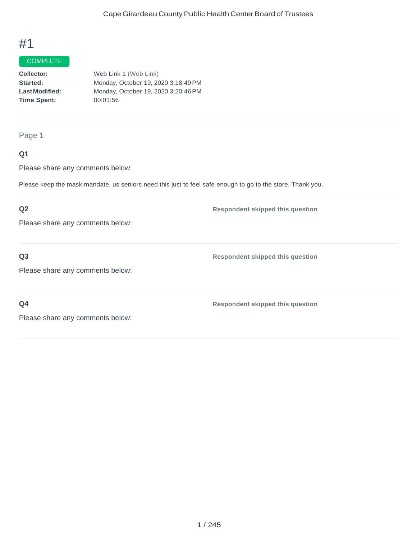#### COMPLETE

| Collector:            | Web Link 1 (Web Link)               |
|-----------------------|-------------------------------------|
| Started:              | Monday, October 19, 2020 3:18:49 PM |
| <b>Last Modified:</b> | Monday, October 19, 2020 3:20:46 PM |
| <b>Time Spent:</b>    | 00:01:56                            |
|                       |                                     |

Page 1

# **Q1**

Please share any comments below:

Please keep the mask mandate, us seniors need this just to feel safe enough to go to the store. Thank you.

## **Q2**

Please share any comments below:

**Q3**

**Respondent skipped this question**

**Respondent skipped this question**

Please share any comments below:

**Q4**

**Respondent skipped this question**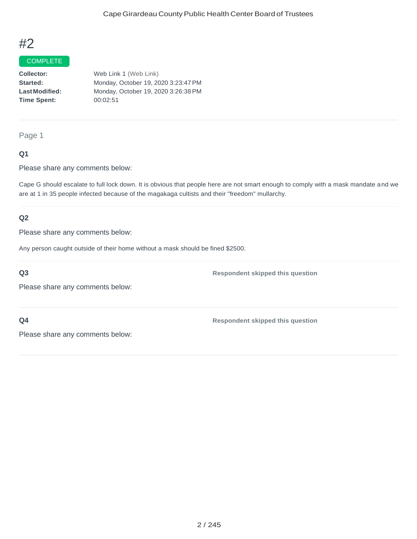#### COMPLETE

**Collector: Started: LastModified: Time Spent:** Web Link 1 (Web Link) Monday, October 19, 2020 3:23:47PM Monday, October 19, 2020 3:26:38PM 00:02:51

Page 1

### **Q1**

Please share any comments below:

Cape G should escalate to full lock down. It is obvious that people here are not smart enough to comply with a mask mandate and we are at 1 in 35 people infected because of the magakaga cultists and their "freedom" mullarchy.

### **Q2**

Please share any comments below:

Any person caught outside of their home without a mask should be fined \$2500.

**Q3**

Please share any comments below:

**Q4**

**Respondent skipped this question**

**Respondent skipped this question**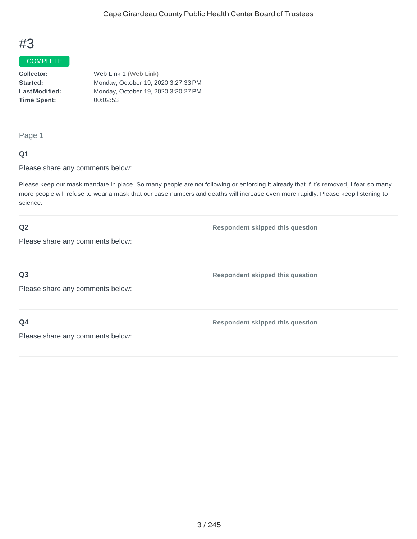#### COMPLETE

**Collector: Started: LastModified: Time Spent:** Web Link 1 (Web Link) Monday, October 19, 2020 3:27:33PM Monday, October 19, 2020 3:30:27PM 00:02:53

## Page 1

#### **Q1**

Please share any comments below:

Please keep our mask mandate in place. So many people are not following or enforcing it already that if it's removed, I fear so many more people will refuse to wear a mask that our case numbers and deaths will increase even more rapidly. Please keep listening to science.

#### **Q2**

**Respondent skipped this question**

Please share any comments below:

#### **Q3**

**Respondent skipped this question**

**Respondent skipped this question**

Please share any comments below:

### **Q4**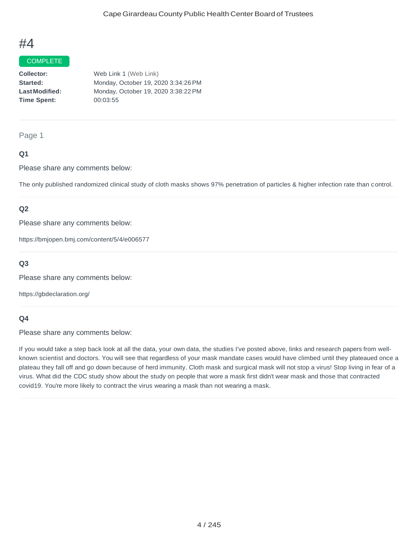#### **COMPLETE**

| <b>Collector:</b>    | Web Link 1 (Web Link)               |
|----------------------|-------------------------------------|
| <b>Started:</b>      | Monday, October 19, 2020 3:34:26 PM |
| <b>LastModified:</b> | Monday, October 19, 2020 3:38:22 PM |
| Time Spent:          | 00:03:55                            |
|                      |                                     |

#### Page 1

### **Q1**

Please share any comments below:

The only published randomized clinical study of cloth masks shows 97% penetration of particles & higher infection rate than control.

### **Q2**

Please share any comments below:

https://bmjopen.bmj.com/content/5/4/e006577

## **Q3**

Please share any comments below:

https://gbdeclaration.org/

#### **Q4**

Please share any comments below:

If you would take a step back look at all the data, your own data, the studies I've posted above, links and research papers from wellknown scientist and doctors. You will see that regardless of your mask mandate cases would have climbed until they plateaued once a plateau they fall off and go down because of herd immunity. Cloth mask and surgical mask will not stop a virus! Stop living in fear of a virus. What did the CDC study show about the study on people that wore a mask first didn't wear mask and those that contracted covid19. You're more likely to contract the virus wearing a mask than not wearing a mask.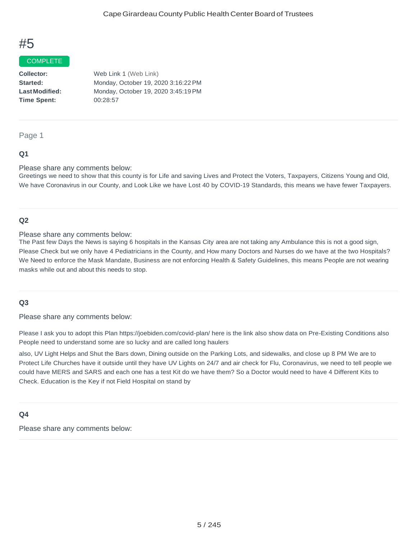#### COMPLETE

**Collector: Started: LastModified: Time Spent:**  Web Link 1 (Web Link) Monday, October 19, 2020 3:16:22PM Monday, October 19, 2020 3:45:19PM 00:28:57

#### Page 1

#### **Q1**

Please share any comments below:

Greetings we need to show that this county is for Life and saving Lives and Protect the Voters, Taxpayers, Citizens Young and Old, We have Coronavirus in our County, and Look Like we have Lost 40 by COVID-19 Standards, this means we have fewer Taxpayers.

### **Q2**

Please share any comments below:

The Past few Days the News is saying 6 hospitals in the Kansas City area are not taking any Ambulance this is not a good sign, Please Check but we only have 4 Pediatricians in the County, and How many Doctors and Nurses do we have at the two Hospitals? We Need to enforce the Mask Mandate, Business are not enforcing Health & Safety Guidelines, this means People are not wearing masks while out and about this needs to stop.

#### **Q3**

Please share any comments below:

Please I ask you to adopt this Plan https://joebiden.com/covid-plan/ here is the link also show data on Pre-Existing Conditions also People need to understand some are so lucky and are called long haulers

also, UV Light Helps and Shut the Bars down, Dining outside on the Parking Lots, and sidewalks, and close up 8 PM We are to Protect Life Churches have it outside until they have UV Lights on 24/7 and air check for Flu, Coronavirus, we need to tell people we could have MERS and SARS and each one has a test Kit do we have them? So a Doctor would need to have 4 Different Kits to Check. Education is the Key if not Field Hospital on stand by

#### **Q4**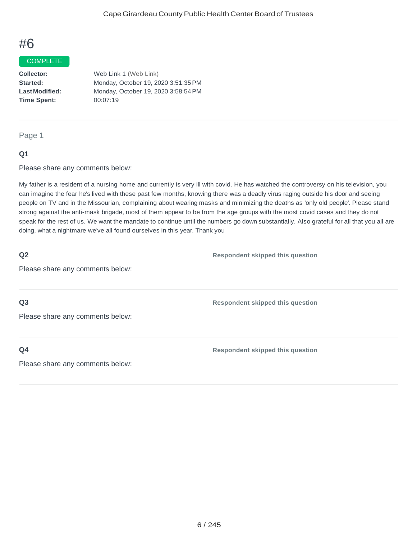#### COMPLETE

**Collector: Started: LastModified: Time Spent:** Web Link 1 (Web Link) Monday, October 19, 2020 3:51:35PM Monday, October 19, 2020 3:58:54PM 00:07:19

Page 1

#### **Q1**

Please share any comments below:

My father is a resident of a nursing home and currently is very ill with covid. He has watched the controversy on his television, you can imagine the fear he's lived with these past few months, knowing there was a deadly virus raging outside his door and seeing people on TV and in the Missourian, complaining about wearing masks and minimizing the deaths as 'only old people'. Please stand strong against the anti-mask brigade, most of them appear to be from the age groups with the most covid cases and they do not speak for the rest of us. We want the mandate to continue until the numbers go down substantially. Also grateful for all that you all are doing, what a nightmare we've all found ourselves in this year. Thank you

| Q2                               | <b>Respondent skipped this question</b> |
|----------------------------------|-----------------------------------------|
| Please share any comments below: |                                         |
|                                  |                                         |
| Q <sub>3</sub>                   | <b>Respondent skipped this question</b> |
| Please share any comments below: |                                         |
|                                  |                                         |
| Q <sub>4</sub>                   | <b>Respondent skipped this question</b> |
| Please share any comments below: |                                         |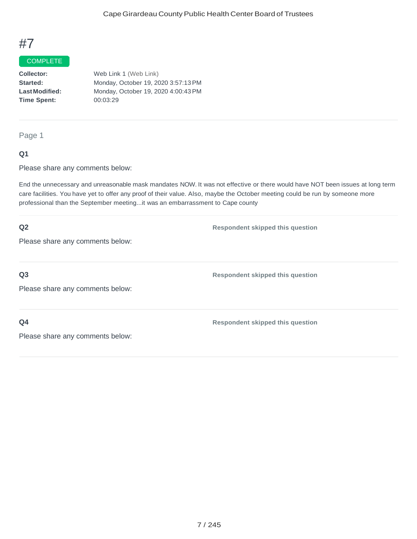## **COMPLETE**

**Collector: Started: LastModified: Time Spent:** Web Link 1 (Web Link) Monday, October 19, 2020 3:57:13PM Monday, October 19, 2020 4:00:43PM 00:03:29

Page 1

#### **Q1**

Please share any comments below:

End the unnecessary and unreasonable mask mandates NOW. It was not effective or there would have NOT been issues at long term care facilities. You have yet to offer any proof of their value. Also, maybe the October meeting could be run by someone more professional than the September meeting...it was an embarrassment to Cape county

| Q2                               | <b>Respondent skipped this question</b> |
|----------------------------------|-----------------------------------------|
| Please share any comments below: |                                         |
|                                  |                                         |
| Q <sub>3</sub>                   | <b>Respondent skipped this question</b> |
| Please share any comments below: |                                         |
|                                  |                                         |
| Q <sub>4</sub>                   | <b>Respondent skipped this question</b> |
| Please share any comments below: |                                         |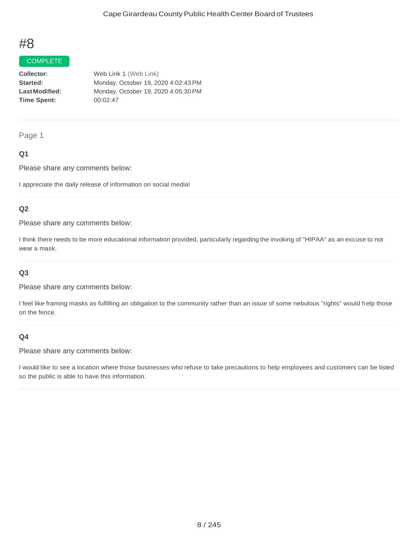#### COMPLETE

**Collector: Started: LastModified: Time Spent:**  Web Link 1 (Web Link) Monday, October 19, 2020 4:02:43PM Monday, October 19, 2020 4:05:30PM 00:02:47

#### Page 1

### **Q1**

Please share any comments below:

I appreciate the daily release of information on social media!

### **Q2**

Please share any comments below:

I think there needs to be more educational information provided, particularly regarding the invoking of "HIPAA" as an excuse to not wear a mask.

#### **Q3**

Please share any comments below:

I feel like framing masks as fulfilling an obligation to the community rather than an issue of some nebulous "rights" would help those on the fence.

### **Q4**

Please share any comments below:

I would like to see a location where those businesses who refuse to take precautions to help employees and customers can be listed so the public is able to have this information.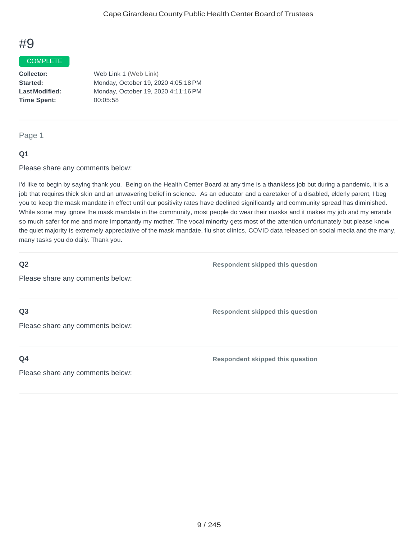#### COMPLETE

**Collector: Started: LastModified: Time Spent:**  Web Link 1 (Web Link) Monday, October 19, 2020 4:05:18PM Monday, October 19, 2020 4:11:16PM 00:05:58

#### Page 1

#### **Q1**

Please share any comments below:

I'd like to begin by saying thank you. Being on the Health Center Board at any time is a thankless job but during a pandemic, it is a job that requires thick skin and an unwavering belief in science. As an educator and a caretaker of a disabled, elderly parent, I beg you to keep the mask mandate in effect until our positivity rates have declined significantly and community spread has diminished. While some may ignore the mask mandate in the community, most people do wear their masks and it makes my job and my errands so much safer for me and more importantly my mother. The vocal minority gets most of the attention unfortunately but please know the quiet majority is extremely appreciative of the mask mandate, flu shot clinics, COVID data released on social media and the many, many tasks you do daily. Thank you.

### **Q2**

**Respondent skipped this question**

Please share any comments below:

#### **Q3**

Please share any comments below:

#### **Q4**

**Respondent skipped this question**

**Respondent skipped this question**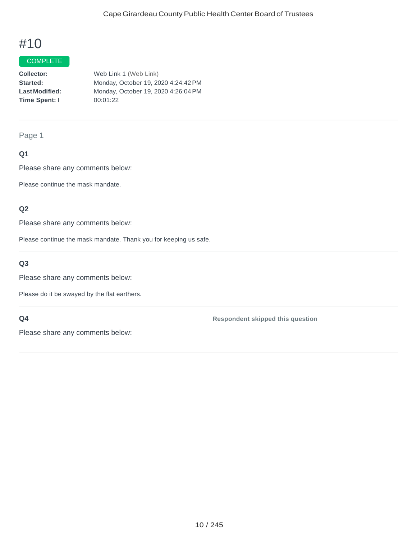## COMPLETE

**Collector: Started: LastModified: Time Spent: I** Web Link 1 (Web Link) Monday, October 19, 2020 4:24:42PM Monday, October 19, 2020 4:26:04PM 00:01:22

#### Page 1

### **Q1**

Please share any comments below:

Please continue the mask mandate.

### **Q2**

Please share any comments below:

Please continue the mask mandate. Thank you for keeping us safe.

## **Q3**

Please share any comments below:

Please do it be swayed by the flat earthers.

### **Q4**

**Respondent skipped this question**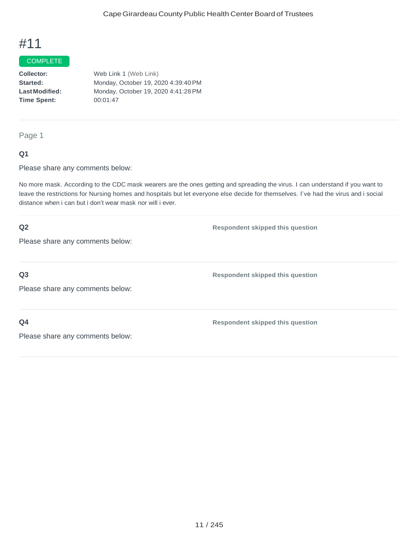## **COMPLETE**

**Collector: Started: LastModified: Time Spent:** Web Link 1 (Web Link) Monday, October 19, 2020 4:39:40PM Monday, October 19, 2020 4:41:28PM 00:01:47

Page 1

#### **Q1**

Please share any comments below:

No more mask. According to the CDC mask wearers are the ones getting and spreading the virus. I can understand if you want to leave the restrictions for Nursing homes and hospitals but let everyone else decide for themselves. I've had the virus and i social distance when i can but i don't wear mask nor will i ever.

| Q2                               | <b>Respondent skipped this question</b> |
|----------------------------------|-----------------------------------------|
| Please share any comments below: |                                         |
|                                  |                                         |
| Q <sub>3</sub>                   | <b>Respondent skipped this question</b> |
| Please share any comments below: |                                         |
|                                  |                                         |
| Q <sub>4</sub>                   | <b>Respondent skipped this question</b> |
| Please share any comments below: |                                         |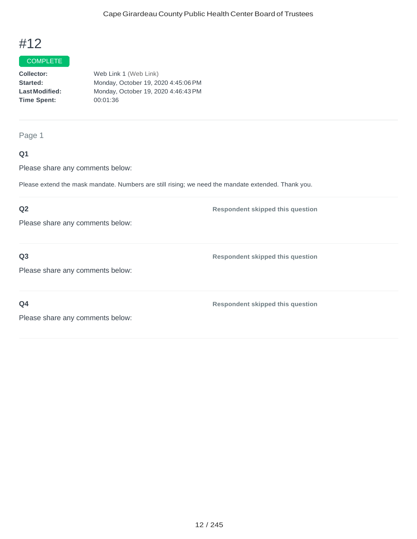#### **COMPLETE**

| <b>Collector:</b>    | Web Link 1 (Web Link)               |
|----------------------|-------------------------------------|
| <b>Started:</b>      | Monday, October 19, 2020 4:45:06 PM |
| <b>LastModified:</b> | Monday, October 19, 2020 4:46:43 PM |
| Time Spent:          | 00:01:36                            |
|                      |                                     |

## Page 1

## **Q1**

Please share any comments below:

Please extend the mask mandate. Numbers are still rising; we need the mandate extended. Thank you.

## **Q2**

Please share any comments below:

### **Q3**

Please share any comments below:

**Q4**

**Respondent skipped this question**

**Respondent skipped this question**

**Respondent skipped this question**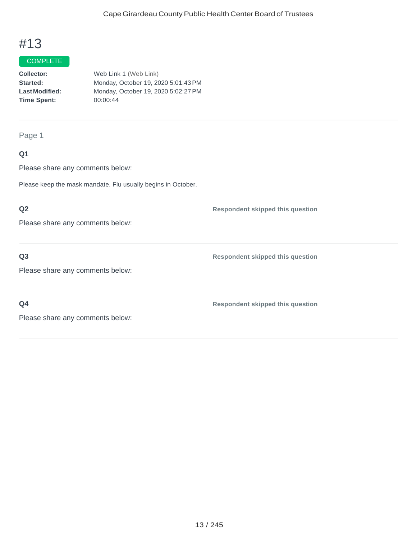#### **COMPLETE**

| <b>Collector:</b>    | Web Link 1 (Web Link)               |
|----------------------|-------------------------------------|
| <b>Started:</b>      | Monday, October 19, 2020 5:01:43 PM |
| <b>LastModified:</b> | Monday, October 19, 2020 5:02:27 PM |
| Time Spent:          | 00:00:44                            |
|                      |                                     |

Page 1

# **Q1**

Please share any comments below:

Please keep the mask mandate. Flu usually begins in October.

## **Q2**

Please share any comments below:

### **Q3**

Please share any comments below:

**Q4**

**Respondent skipped this question**

**Respondent skipped this question**

**Respondent skipped this question**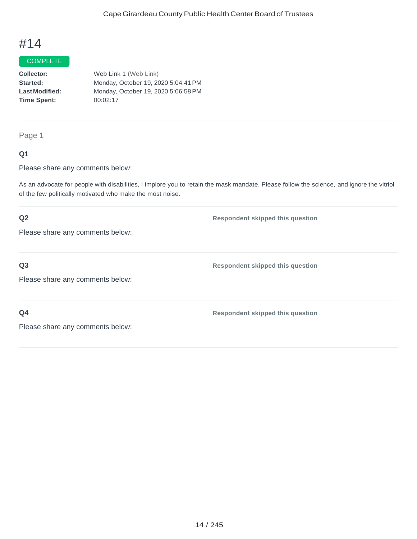## COMPLETE

**Collector: Started: LastModified: Time Spent:**  Web Link 1 (Web Link) Monday, October 19, 2020 5:04:41PM Monday, October 19, 2020 5:06:58PM 00:02:17

Page 1

### **Q1**

Please share any comments below:

As an advocate for people with disabilities, I implore you to retain the mask mandate. Please follow the science, and ignore the vitriol of the few politically motivated who make the most noise.

# **Q2** Please share any comments below: **Respondent skipped this question Q3** Please share any comments below: **Respondent skipped this question Q4** Please share any comments below: **Respondent skipped this question**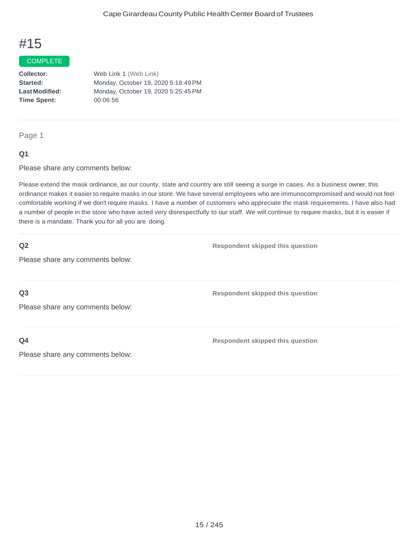#### COMPLETE

**Collector: Started: LastModified: Time Spent:**  Web Link 1 (Web Link) Monday, October 19, 2020 5:18:49PM Monday, October 19, 2020 5:25:45PM 00:06:56

#### Page 1

#### **Q1**

Please share any comments below:

Please extend the mask ordinance, as our county, state and country are still seeing a surge in cases. As a business owner, this ordinance makes it easier to require masks in our store. We have several employees who are immunocompromised and would not feel comfortable working if we don't require masks. I have a number of customers who appreciate the mask requirements. I have also had a number of people in the store who have acted very disrespectfully to our staff. We will continue to require masks, but it is easier if there is a mandate. Thank you for all you are doing.

#### **Q2**

**Respondent skipped this question**

Please share any comments below:

**Q3**

Please share any comments below:

**Q4**

**Respondent skipped this question**

**Respondent skipped this question**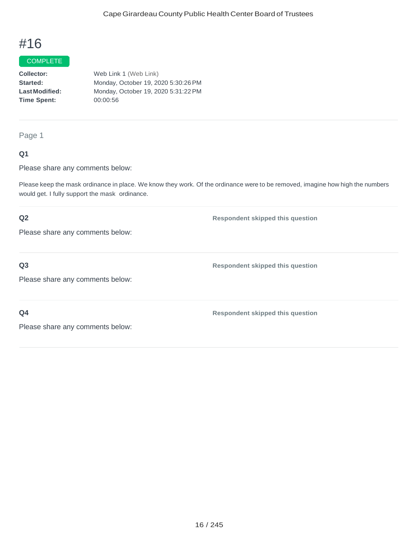# **COMPLETE**

**Collector: Started: LastModified: Time Spent:**  Web Link 1 (Web Link) Monday, October 19, 2020 5:30:26PM Monday, October 19, 2020 5:31:22PM 00:00:56

#### Page 1

### **Q1**

Please share any comments below:

Please keep the mask ordinance in place. We know they work. Of the ordinance were to be removed, imagine how high the numbers would get. I fully support the mask ordinance.

### **Q2**

Please share any comments below:

# **Q3**

Please share any comments below:

**Respondent skipped this question**

**Respondent skipped this question**

**Respondent skipped this question**

**Q4**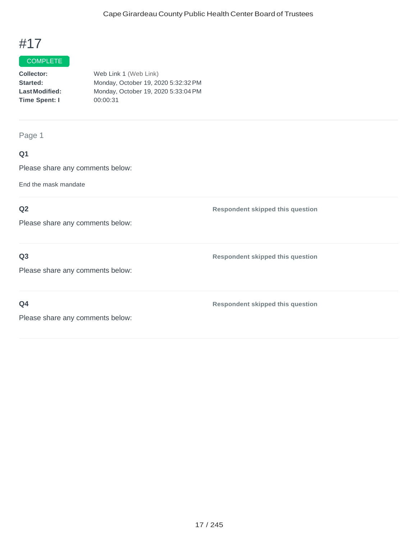### **COMPLETE**

| Collector:            | Web Link 1 (Web Link)               |
|-----------------------|-------------------------------------|
| Started:              | Monday, October 19, 2020 5:32:32 PM |
| <b>Last Modified:</b> | Monday, October 19, 2020 5:33:04 PM |
| Time Spent: I         | 00:00:31                            |
|                       |                                     |

Page 1

# **Q1**

Please share any comments below:

End the mask mandate

# **Q2**

Please share any comments below:

## **Q3**

**Respondent skipped this question**

Please share any comments below:

**Q4**

**Respondent skipped this question**

**Respondent skipped this question**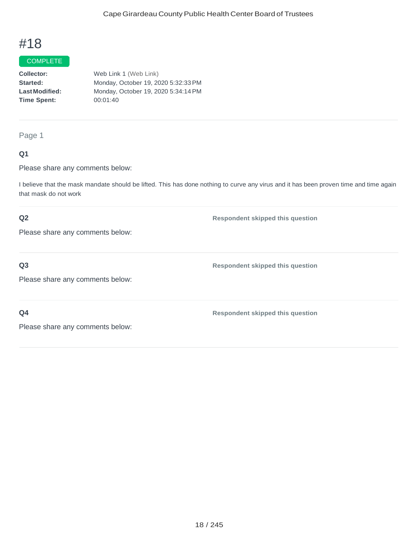#### **COMPLETE**

| <b>Collector:</b>     | Web Link 1 (Web Link)               |
|-----------------------|-------------------------------------|
| Started:              | Monday, October 19, 2020 5:32:33 PM |
| <b>Last Modified:</b> | Monday, October 19, 2020 5:34:14 PM |
| <b>Time Spent:</b>    | 00:01:40                            |
|                       |                                     |

## Page 1

### **Q1**

Please share any comments below:

I believe that the mask mandate should be lifted. This has done nothing to curve any virus and it has been proven time and time again that mask do not work

### **Q2**

**Respondent skipped this question**

**Respondent skipped this question**

Please share any comments below:

# **Q3**

Please share any comments below:

**Q4**

**Respondent skipped this question**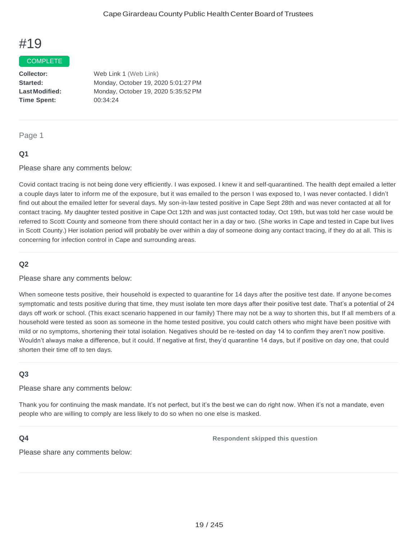#### COMPLETE

**Collector: Started: LastModified: Time Spent:**  Web Link 1 (Web Link) Monday, October 19, 2020 5:01:27PM Monday, October 19, 2020 5:35:52PM 00:34:24

#### Page 1

#### **Q1**

Please share any comments below:

Covid contact tracing is not being done very efficiently. I was exposed. I knew it and self-quarantined. The health dept emailed a letter a couple days later to inform me of the exposure, but it was emailed to the person I was exposed to, I was never contacted. I didn't find out about the emailed letter for several days. My son-in-law tested positive in Cape Sept 28th and was never contacted at all for contact tracing. My daughter tested positive in Cape Oct 12th and was just contacted today, Oct 19th, but was told her case would be referred to Scott County and someone from there should contact her in a day or two. (She works in Cape and tested in Cape but lives in Scott County.) Her isolation period will probably be over within a day of someone doing any contact tracing, if they do at all. This is concerning for infection control in Cape and surrounding areas.

### **Q2**

Please share any comments below:

When someone tests positive, their household is expected to quarantine for 14 days after the positive test date. If anyone becomes symptomatic and tests positive during that time, they must isolate ten more days after their positive test date. That's a potential of 24 days off work or school. (This exact scenario happened in our family) There may not be a way to shorten this, but If all members of a household were tested as soon as someone in the home tested positive, you could catch others who might have been positive with mild or no symptoms, shortening their total isolation. Negatives should be re-tested on day 14 to confirm they aren't now positive. Wouldn't always make a difference, but it could. If negative at first, they'd quarantine 14 days, but if positive on day one, that could shorten their time off to ten days.

#### **Q3**

Please share any comments below:

Thank you for continuing the mask mandate. It's not perfect, but it's the best we can do right now. When it's not a mandate, even people who are willing to comply are less likely to do so when no one else is masked.

#### **Q4**

**Respondent skipped this question**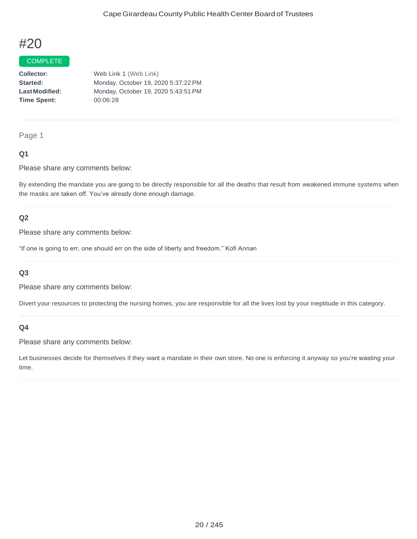#### COMPLETE

**Collector: Started: LastModified: Time Spent:**  Web Link 1 (Web Link) Monday, October 19, 2020 5:37:22PM Monday, October 19, 2020 5:43:51PM 00:06:28

#### Page 1

### **Q1**

Please share any comments below:

By extending the mandate you are going to be directly responsible for all the deaths that result from weakened immune systems when the masks are taken off. You've already done enough damage.

#### **Q2**

Please share any comments below:

"If one is going to err, one should err on the side of liberty and freedom." Kofi Annan

#### **Q3**

Please share any comments below:

Divert your resources to protecting the nursing homes, you are responsible for all the lives lost by your ineptitude in this category.

#### **Q4**

Please share any comments below:

Let businesses decide for themselves if they want a mandate in their own store. No one is enforcing it anyway so you're wasting your time.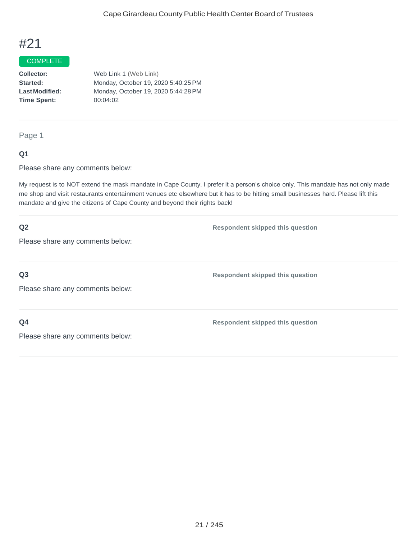#### COMPLETE

**Collector: Started: LastModified: Time Spent:**  Web Link 1 (Web Link) Monday, October 19, 2020 5:40:25PM Monday, October 19, 2020 5:44:28PM 00:04:02

Page 1

#### **Q1**

Please share any comments below:

My request is to NOT extend the mask mandate in Cape County. I prefer it a person's choice only. This mandate has not only made me shop and visit restaurants entertainment venues etc elsewhere but it has to be hitting small businesses hard. Please lift this mandate and give the citizens of Cape County and beyond their rights back!

| Q2                               | <b>Respondent skipped this question</b> |
|----------------------------------|-----------------------------------------|
| Please share any comments below: |                                         |
|                                  |                                         |
| Q <sub>3</sub>                   | <b>Respondent skipped this question</b> |
| Please share any comments below: |                                         |
|                                  |                                         |
| Q <sub>4</sub>                   | <b>Respondent skipped this question</b> |
| Please share any comments below: |                                         |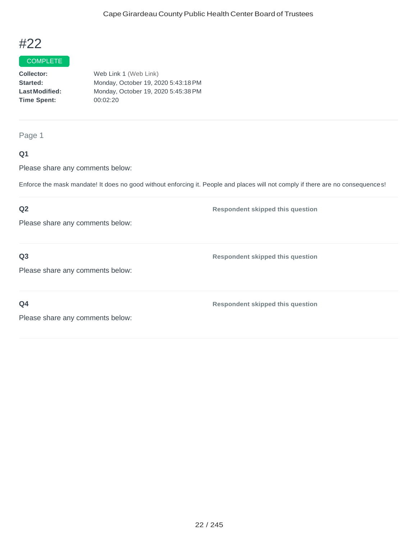#### **COMPLETE**

| <b>Collector:</b>    | Web Link 1 (Web Link)               |
|----------------------|-------------------------------------|
| <b>Started:</b>      | Monday, October 19, 2020 5:43:18 PM |
| <b>LastModified:</b> | Monday, October 19, 2020 5:45:38 PM |
| Time Spent:          | 00:02:20                            |
|                      |                                     |

Page 1

# **Q1**

Please share any comments below:

Enforce the mask mandate! It does no good without enforcing it. People and places will not comply if there are no consequences!

# **Q2**

**Respondent skipped this question**

Please share any comments below:

### **Q3**

**Respondent skipped this question**

Please share any comments below:

**Q4**

**Respondent skipped this question**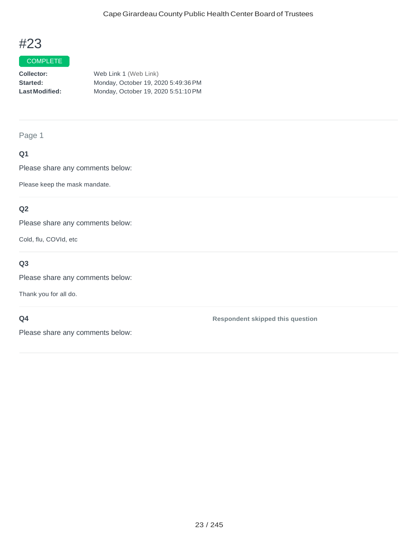#### COMPLETE

| Collector:            | Web Link 1 (Web Link)               |
|-----------------------|-------------------------------------|
| Started:              | Monday, October 19, 2020 5:49:36 PM |
| <b>Last Modified:</b> | Monday, October 19, 2020 5:51:10 PM |

Page 1

# **Q1**

Please share any comments below:

Please keep the mask mandate.

## **Q2**

Please share any comments below:

Cold, flu, COVId, etc

# **Q3**

Please share any comments below:

Thank you for all do.

### **Q4**

Please share any comments below:

**Respondent skipped this question**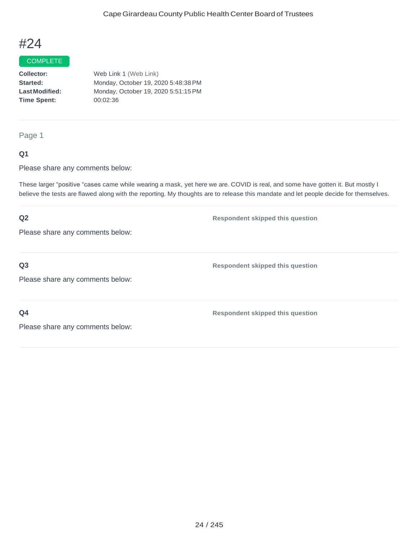#### COMPLETE

**Collector: Started: LastModified: Time Spent:**  Web Link 1 (Web Link) Monday, October 19, 2020 5:48:38PM Monday, October 19, 2020 5:51:15PM 00:02:36

Page 1

### **Q1**

Please share any comments below:

These larger "positive "cases came while wearing a mask, yet here we are. COVID is real, and some have gotten it. But mostly I believe the tests are flawed along with the reporting. My thoughts are to release this mandate and let people decide for themselves.

# **Q2** Please share any comments below: **Respondent skipped this question Q3** Please share any comments below: **Respondent skipped this question Q4** Please share any comments below: **Respondent skipped this question**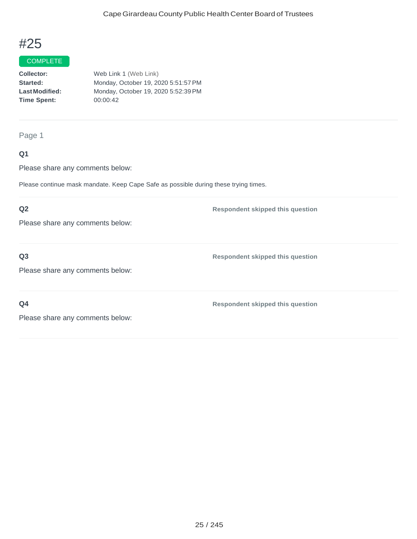#### **COMPLETE**

| <b>Collector:</b>    | Web Link 1 (Web Link)               |
|----------------------|-------------------------------------|
| <b>Started:</b>      | Monday, October 19, 2020 5:51:57 PM |
| <b>LastModified:</b> | Monday, October 19, 2020 5:52:39 PM |
| <b>Time Spent:</b>   | 00:00:42                            |
|                      |                                     |

## Page 1

## **Q1**

Please share any comments below:

Please continue mask mandate. Keep Cape Safe as possible during these trying times.

## **Q2**

Please share any comments below:

### **Q3**

Please share any comments below:

**Q4**

**Respondent skipped this question**

**Respondent skipped this question**

**Respondent skipped this question**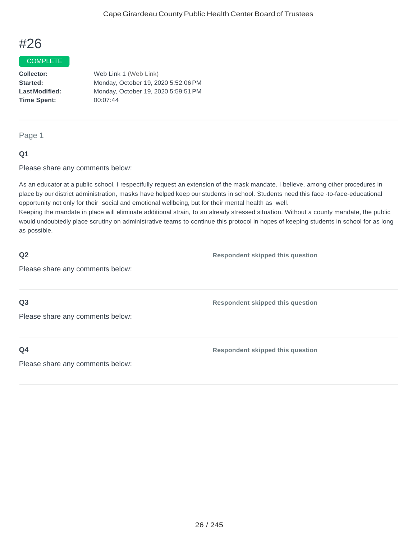#### COMPLETE

**Collector: Started: LastModified: Time Spent:** Web Link 1 (Web Link) Monday, October 19, 2020 5:52:06PM Monday, October 19, 2020 5:59:51PM 00:07:44

#### Page 1

#### **Q1**

Please share any comments below:

As an educator at a public school, I respectfully request an extension of the mask mandate. I believe, among other procedures in place by our district administration, masks have helped keep our students in school. Students need this face -to-face-educational opportunity not only for their social and emotional wellbeing, but for their mental health as well.

Keeping the mandate in place will eliminate additional strain, to an already stressed situation. Without a county mandate, the public would undoubtedly place scrutiny on administrative teams to continue this protocol in hopes of keeping students in school for as long as possible.

| Q2                               | <b>Respondent skipped this question</b> |
|----------------------------------|-----------------------------------------|
| Please share any comments below: |                                         |
|                                  |                                         |
| Q <sub>3</sub>                   | <b>Respondent skipped this question</b> |
| Please share any comments below: |                                         |
|                                  |                                         |
| Q <sub>4</sub>                   | <b>Respondent skipped this question</b> |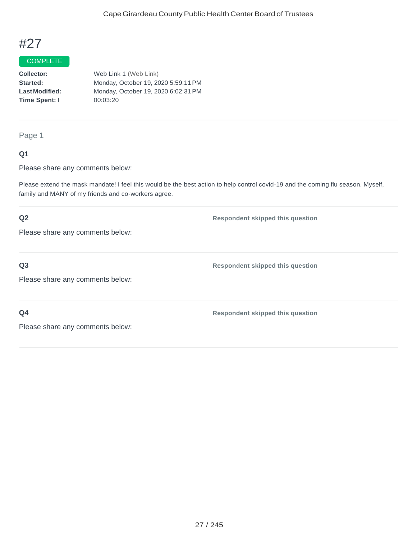# COMPLETE

**Collector: Started: LastModified: Time Spent: I** Web Link 1 (Web Link) Monday, October 19, 2020 5:59:11PM Monday, October 19, 2020 6:02:31PM 00:03:20

Page 1

### **Q1**

Please share any comments below:

Please extend the mask mandate! I feel this would be the best action to help control covid-19 and the coming flu season. Myself, family and MANY of my friends and co-workers agree.

# **Q2** Please share any comments below: **Respondent skipped this question Q3** Please share any comments below: **Respondent skipped this question Q4 Respondent skipped this question**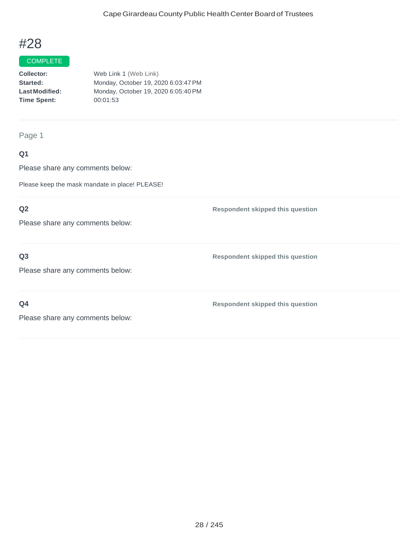## **COMPLETE**

**Collector: Started: LastModified: Time Spent:**  Web Link 1 (Web Link) Monday, October 19, 2020 6:03:47PM Monday, October 19, 2020 6:05:40PM 00:01:53

Page 1

## **Q1**

Please share any comments below:

Please keep the mask mandate in place! PLEASE!

## **Q2**

Please share any comments below:

### **Q3**

Please share any comments below:

**Q4**

**Respondent skipped this question**

**Respondent skipped this question**

**Respondent skipped this question**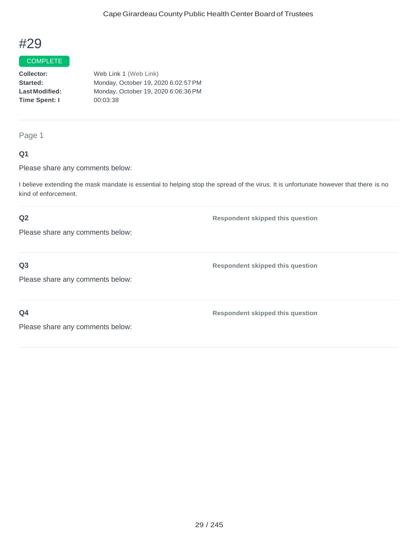#### COMPLETE

**Collector: Started: LastModified: Time Spent: I** Web Link 1 (Web Link) Monday, October 19, 2020 6:02:57PM Monday, October 19, 2020 6:06:36PM 00:03:38

#### Page 1

### **Q1**

Please share any comments below:

I believe extending the mask mandate is essential to helping stop the spread of the virus. It is unfortunate however that there is no kind of enforcement.

### **Q2**

**Respondent skipped this question**

Please share any comments below:

# **Q3**

Please share any comments below:

**Q4**

**Respondent skipped this question**

**Respondent skipped this question**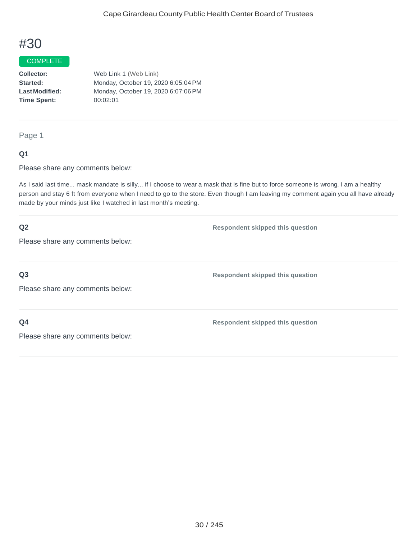#### COMPLETE

**Collector: Started: LastModified: Time Spent:**  Web Link 1 (Web Link) Monday, October 19, 2020 6:05:04PM Monday, October 19, 2020 6:07:06PM 00:02:01

Page 1

#### **Q1**

Please share any comments below:

As I said last time... mask mandate is silly... if I choose to wear a mask that is fine but to force someone is wrong. I am a healthy person and stay 6 ft from everyone when I need to go to the store. Even though I am leaving my comment again you all have already made by your minds just like I watched in last month's meeting.

| Q2                                                 | <b>Respondent skipped this question</b> |
|----------------------------------------------------|-----------------------------------------|
| Please share any comments below:                   |                                         |
| Q <sub>3</sub><br>Please share any comments below: | <b>Respondent skipped this question</b> |
| Q <sub>4</sub><br>Please share any comments below: | <b>Respondent skipped this question</b> |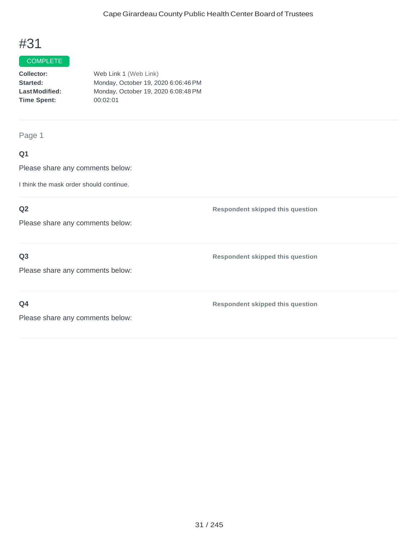## **COMPLETE**

**Collector: Started: LastModified: Time Spent:** Web Link 1 (Web Link) Monday, October 19, 2020 6:06:46PM Monday, October 19, 2020 6:08:48PM 00:02:01

Page 1

# **Q1**

Please share any comments below:

I think the mask order should continue.

### **Q2**

Please share any comments below:

### **Q3**

Please share any comments below:

**Q4**

**Respondent skipped this question**

**Respondent skipped this question**

**Respondent skipped this question**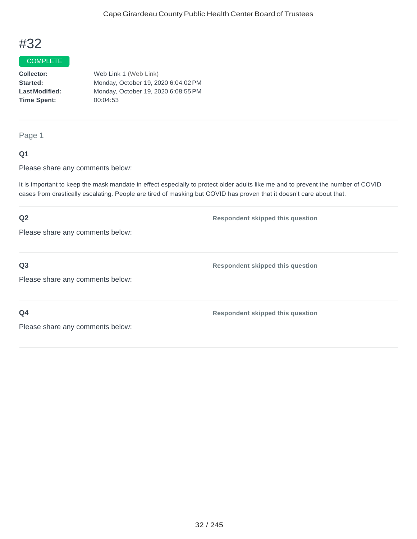#### COMPLETE

**Collector: Started: LastModified: Time Spent:**  Web Link 1 (Web Link) Monday, October 19, 2020 6:04:02PM Monday, October 19, 2020 6:08:55PM 00:04:53

Page 1

### **Q1**

Please share any comments below:

It is important to keep the mask mandate in effect especially to protect older adults like me and to prevent the number of COVID cases from drastically escalating. People are tired of masking but COVID has proven that it doesn't care about that.

# **Q2** Please share any comments below: **Respondent skipped this question Q3** Please share any comments below: **Respondent skipped this question Q4** Please share any comments below: **Respondent skipped this question**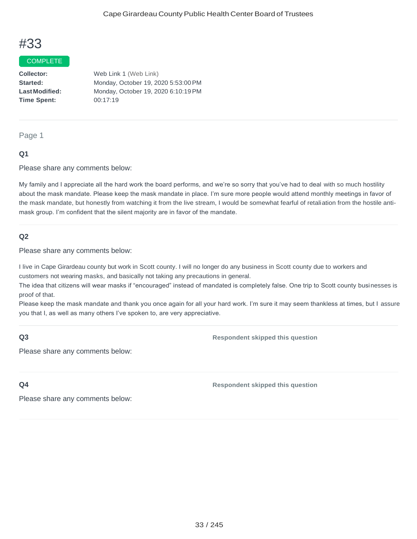#### COMPLETE

**Collector: Started: LastModified: Time Spent:**  Web Link 1 (Web Link) Monday, October 19, 2020 5:53:00PM Monday, October 19, 2020 6:10:19PM 00:17:19

Page 1

#### **Q1**

Please share any comments below:

My family and I appreciate all the hard work the board performs, and we're so sorry that you've had to deal with so much hostility about the mask mandate. Please keep the mask mandate in place. I'm sure more people would attend monthly meetings in favor of the mask mandate, but honestly from watching it from the live stream, I would be somewhat fearful of retaliation from the hostile antimask group. I'm confident that the silent majority are in favor of the mandate.

#### **Q2**

Please share any comments below:

I live in Cape Girardeau county but work in Scott county. I will no longer do any business in Scott county due to workers and customers not wearing masks, and basically not taking any precautions in general.

The idea that citizens will wear masks if "encouraged" instead of mandated is completely false. One trip to Scott county businesses is proof of that.

Please keep the mask mandate and thank you once again for all your hard work. I'm sure it may seem thankless at times, but I assure you that I, as well as many others I've spoken to, are very appreciative.

### **Q3**

**Respondent skipped this question**

Please share any comments below:

**Q4**

**Respondent skipped this question**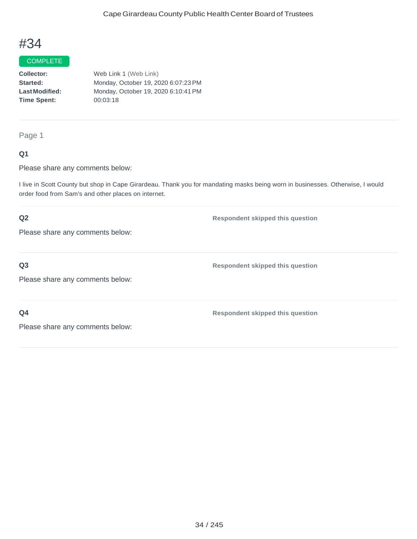#### COMPLETE

**Collector: Started: LastModified: Time Spent:**  Web Link 1 (Web Link) Monday, October 19, 2020 6:07:23PM Monday, October 19, 2020 6:10:41PM 00:03:18

Page 1

### **Q1**

Please share any comments below:

I live in Scott County but shop in Cape Girardeau. Thank you for mandating masks being worn in businesses. Otherwise, I would order food from Sam's and other places on internet.

### **Q2**

Please share any comments below:

**Q3**

Please share any comments below:

**Q4**

**Respondent skipped this question**

**Respondent skipped this question**

**Respondent skipped this question**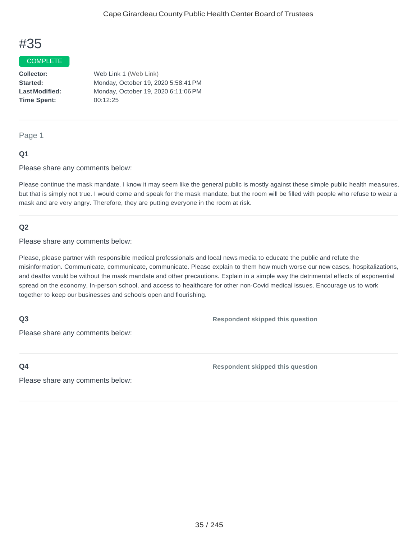#### COMPLETE

**Collector: Started: LastModified: Time Spent:**  Web Link 1 (Web Link) Monday, October 19, 2020 5:58:41PM Monday, October 19, 2020 6:11:06PM 00:12:25

Page 1

#### **Q1**

Please share any comments below:

Please continue the mask mandate. I know it may seem like the general public is mostly against these simple public health measures, but that is simply not true. I would come and speak for the mask mandate, but the room will be filled with people who refuse to wear a mask and are very angry. Therefore, they are putting everyone in the room at risk.

#### **Q2**

Please share any comments below:

Please, please partner with responsible medical professionals and local news media to educate the public and refute the misinformation. Communicate, communicate, communicate. Please explain to them how much worse our new cases, hospitalizations, and deaths would be without the mask mandate and other precautions. Explain in a simple way the detrimental effects of exponential spread on the economy, In-person school, and access to healthcare for other non-Covid medical issues. Encourage us to work together to keep our businesses and schools open and flourishing.

### **Q3**

**Respondent skipped this question**

Please share any comments below:

**Q4**

**Respondent skipped this question**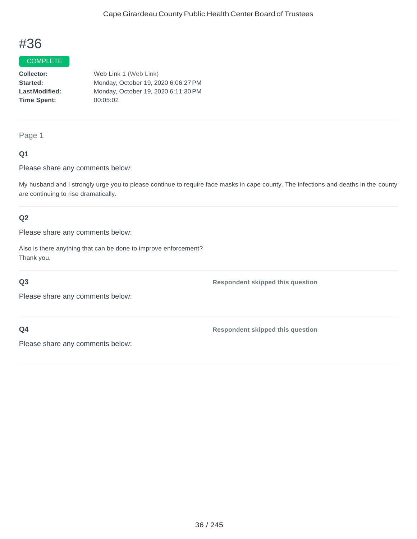#### COMPLETE

**Collector: Started: LastModified: Time Spent:** Web Link 1 (Web Link) Monday, October 19, 2020 6:06:27PM Monday, October 19, 2020 6:11:30PM 00:05:02

#### Page 1

### **Q1**

Please share any comments below:

My husband and I strongly urge you to please continue to require face masks in cape county. The infections and deaths in the county are continuing to rise dramatically.

### **Q2**

Please share any comments below:

Also is there anything that can be done to improve enforcement? Thank you.

#### **Q3**

**Respondent skipped this question**

Please share any comments below:

**Q4**

**Respondent skipped this question**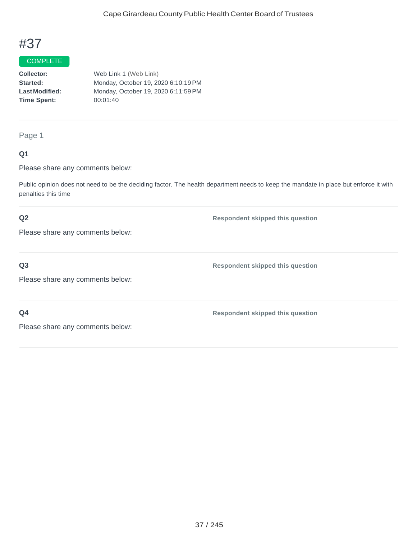## **COMPLETE**

**Collector: Started: LastModified: Time Spent:**  Web Link 1 (Web Link) Monday, October 19, 2020 6:10:19PM Monday, October 19, 2020 6:11:59PM 00:01:40

Page 1

### **Q1**

Please share any comments below:

Public opinion does not need to be the deciding factor. The health department needs to keep the mandate in place but enforce it with penalties this time

#### **Q2**

Please share any comments below:

**Q3**

Please share any comments below:

**Q4**

**Respondent skipped this question**

**Respondent skipped this question**

**Respondent skipped this question**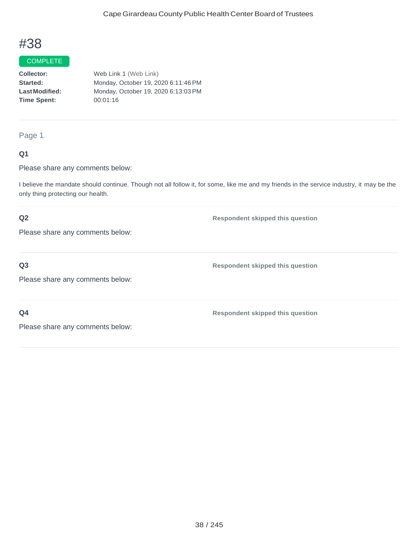#### COMPLETE

**Collector: Started: LastModified: Time Spent:**  Web Link 1 (Web Link) Monday, October 19, 2020 6:11:46PM Monday, October 19, 2020 6:13:03PM 00:01:16

#### Page 1

### **Q1**

Please share any comments below:

I believe the mandate should continue. Though not all follow it, for some, like me and my friends in the service industry, it may be the only thing protecting our health.

### **Q2**

Please share any comments below:

## **Q3**

Please share any comments below:

**Q4**

**Respondent skipped this question**

**Respondent skipped this question**

**Respondent skipped this question**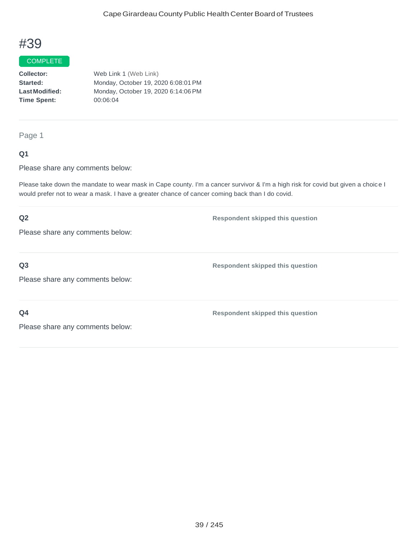#### COMPLETE

**Collector: Started: LastModified: Time Spent:**  Web Link 1 (Web Link) Monday, October 19, 2020 6:08:01PM Monday, October 19, 2020 6:14:06PM 00:06:04

Page 1

#### **Q1**

Please share any comments below:

Please take down the mandate to wear mask in Cape county. I'm a cancer survivor & I'm a high risk for covid but given a choice I would prefer not to wear a mask. I have a greater chance of cancer coming back than I do covid.

## **Q2** Please share any comments below: **Respondent skipped this question Q3** Please share any comments below: **Respondent skipped this question Q4** Please share any comments below: **Respondent skipped this question**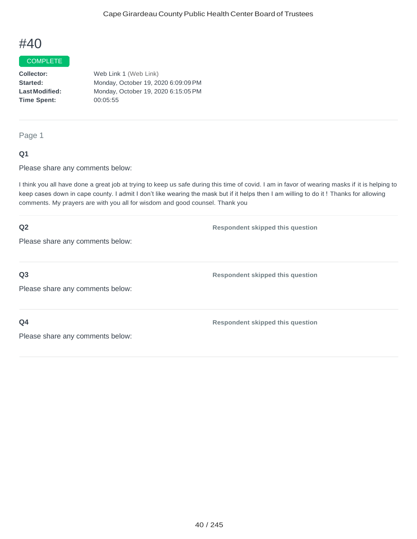#### COMPLETE

**Collector: Started: LastModified: Time Spent:** Web Link 1 (Web Link) Monday, October 19, 2020 6:09:09 PM Monday, October 19, 2020 6:15:05PM 00:05:55

Page 1

#### **Q1**

Please share any comments below:

I think you all have done a great job at trying to keep us safe during this time of covid. I am in favor of wearing masks if it is helping to keep cases down in cape county. I admit I don't like wearing the mask but if it helps then I am willing to do it ! Thanks for allowing comments. My prayers are with you all for wisdom and good counsel. Thank you

| Q2                               | <b>Respondent skipped this question</b> |
|----------------------------------|-----------------------------------------|
| Please share any comments below: |                                         |
|                                  |                                         |
| Q <sub>3</sub>                   | <b>Respondent skipped this question</b> |
| Please share any comments below: |                                         |
|                                  |                                         |
| Q <sub>4</sub>                   | <b>Respondent skipped this question</b> |
| Please share any comments below: |                                         |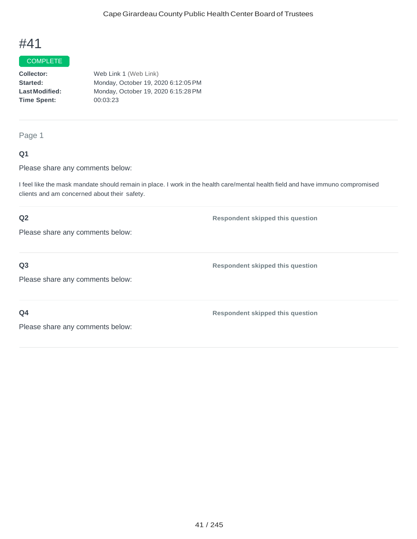## COMPLETE

**Collector: Started: LastModified: Time Spent:**  Web Link 1 (Web Link) Monday, October 19, 2020 6:12:05PM Monday, October 19, 2020 6:15:28PM 00:03:23

Page 1

### **Q1**

Please share any comments below:

I feel like the mask mandate should remain in place. I work in the health care/mental health field and have immuno compromised clients and am concerned about their safety.

**Respondent skipped this question**

**Respondent skipped this question**

**Respondent skipped this question**

### **Q2**

Please share any comments below:

**Q3**

Please share any comments below:

**Q4**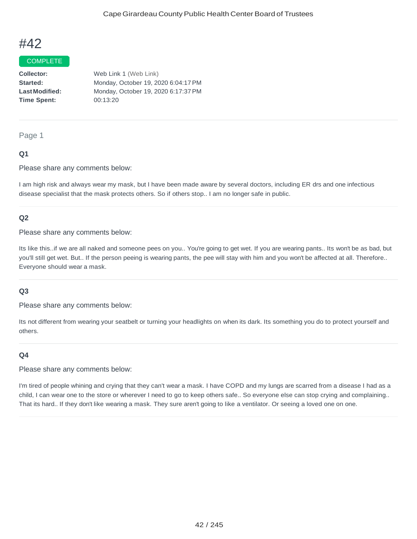#### COMPLETE

**Collector: Started: LastModified: Time Spent:**  Web Link 1 (Web Link) Monday, October 19, 2020 6:04:17PM Monday, October 19, 2020 6:17:37PM 00:13:20

#### Page 1

#### **Q1**

Please share any comments below:

I am high risk and always wear my mask, but I have been made aware by several doctors, including ER drs and one infectious disease specialist that the mask protects others. So if others stop.. I am no longer safe in public.

### **Q2**

Please share any comments below:

Its like this..if we are all naked and someone pees on you.. You're going to get wet. If you are wearing pants.. Its won't be as bad, but you'll still get wet. But.. If the person peeing is wearing pants, the pee will stay with him and you won't be affected at all. Therefore.. Everyone should wear a mask.

#### **Q3**

Please share any comments below:

Its not different from wearing your seatbelt or turning your headlights on when its dark. Its something you do to protect yourself and others.

#### **Q4**

#### Please share any comments below:

I'm tired of people whining and crying that they can't wear a mask. I have COPD and my lungs are scarred from a disease I had as a child, I can wear one to the store or wherever I need to go to keep others safe.. So everyone else can stop crying and complaining.. That its hard.. If they don't like wearing a mask. They sure aren't going to like a ventilator. Or seeing a loved one on one.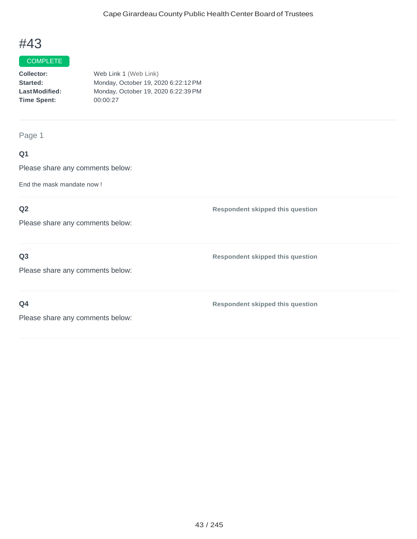#### **COMPLETE**

| <b>Collector:</b>    | Web Link 1 (Web Link)               |
|----------------------|-------------------------------------|
| <b>Started:</b>      | Monday, October 19, 2020 6:22:12 PM |
| <b>LastModified:</b> | Monday, October 19, 2020 6:22:39 PM |
| <b>Time Spent:</b>   | 00:00:27                            |
|                      |                                     |

Page 1

## **Q1**

Please share any comments below:

End the mask mandate now !

## **Q2**

Please share any comments below:

**Q3**

Please share any comments below:

**Q4**

**Respondent skipped this question**

**Respondent skipped this question**

**Respondent skipped this question**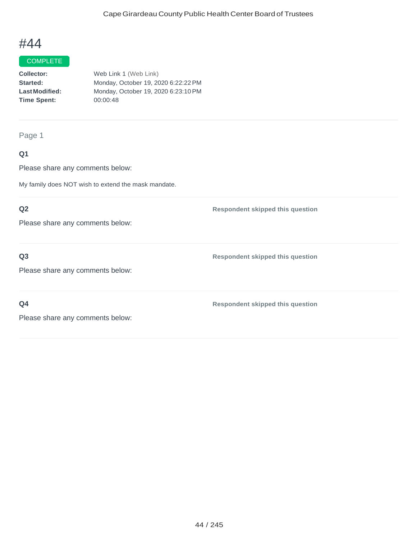#### **COMPLETE**

| <b>Collector:</b>    | Web Link 1 (Web Link)               |
|----------------------|-------------------------------------|
| <b>Started:</b>      | Monday, October 19, 2020 6:22:22 PM |
| <b>LastModified:</b> | Monday, October 19, 2020 6:23:10 PM |
| Time Spent:          | 00:00:48                            |
|                      |                                     |

Page 1

## **Q1**

Please share any comments below:

My family does NOT wish to extend the mask mandate.

## **Q2**

Please share any comments below:

### **Q3**

Please share any comments below:

**Q4**

**Respondent skipped this question**

**Respondent skipped this question**

**Respondent skipped this question**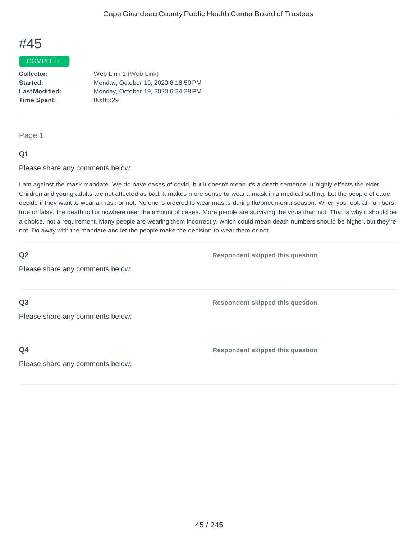#### COMPLETE

**Collector: Started: LastModified: Time Spent:**  Web Link 1 (Web Link) Monday, October 19, 2020 6:18:59PM Monday, October 19, 2020 6:24:28PM 00:05:29

#### Page 1

#### **Q1**

Please share any comments below:

I am against the mask mandate. We do have cases of covid, but it doesn't mean it's a death sentence. It highly effects the elder. Children and young adults are not affected as bad. It makes more sense to wear a mask in a medical setting. Let the people of caoe decide if they want to wear a mask or not. No one is ordered to wear masks during flu/pneumonia season. When you look at numbers, true or false, the death toll is nowhere near the amount of cases. More people are surviving the virus than not. That is why it should be a choice, not a requirement. Many people are wearing them incorrectly, which could mean death numbers should be higher, but they're not. Do away with the mandate and let the people make the decision to wear them or not.

| <b>Respondent skipped this question</b> |
|-----------------------------------------|
|                                         |
|                                         |
| <b>Respondent skipped this question</b> |
|                                         |
|                                         |
| <b>Respondent skipped this question</b> |
|                                         |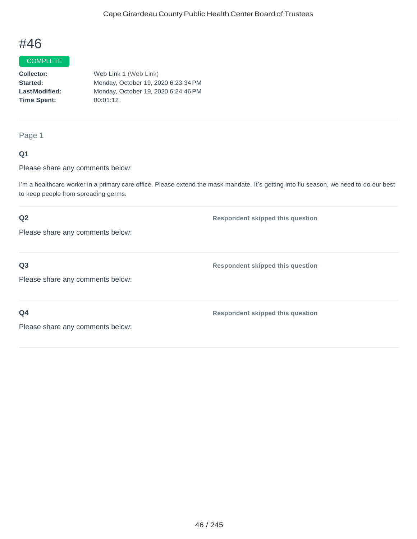## **COMPLETE**

**Collector: Started: LastModified: Time Spent:** Web Link 1 (Web Link) Monday, October 19, 2020 6:23:34PM Monday, October 19, 2020 6:24:46PM 00:01:12

#### Page 1

### **Q1**

Please share any comments below:

I'm a healthcare worker in a primary care office. Please extend the mask mandate. It's getting into flu season, we need to do our best to keep people from spreading germs.

### **Q2**

Please share any comments below:

## **Q3**

Please share any comments below:

**Q4**

**Respondent skipped this question**

**Respondent skipped this question**

**Respondent skipped this question**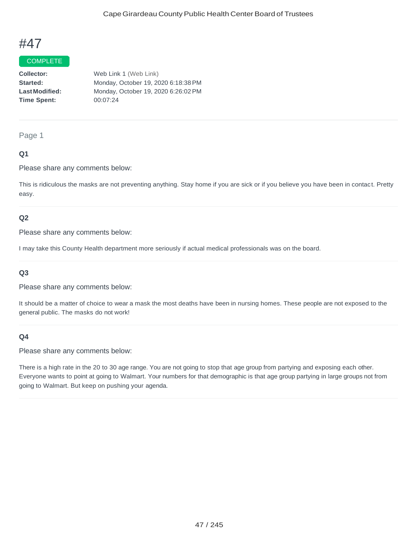#### COMPLETE

**Collector: Started: LastModified: Time Spent:**  Web Link 1 (Web Link) Monday, October 19, 2020 6:18:38PM Monday, October 19, 2020 6:26:02PM 00:07:24

#### Page 1

#### **Q1**

Please share any comments below:

This is ridiculous the masks are not preventing anything. Stay home if you are sick or if you believe you have been in contact. Pretty easy.

#### **Q2**

Please share any comments below:

I may take this County Health department more seriously if actual medical professionals was on the board.

#### **Q3**

Please share any comments below:

It should be a matter of choice to wear a mask the most deaths have been in nursing homes. These people are not exposed to the general public. The masks do not work!

### **Q4**

Please share any comments below:

There is a high rate in the 20 to 30 age range. You are not going to stop that age group from partying and exposing each other. Everyone wants to point at going to Walmart. Your numbers for that demographic is that age group partying in large groups not from going to Walmart. But keep on pushing your agenda.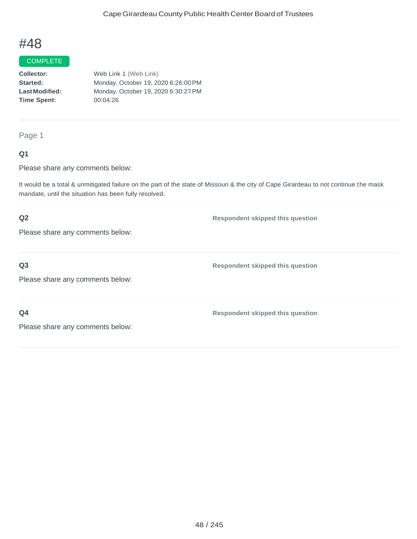#### COMPLETE

**Collector: Started: LastModified: Time Spent:** Web Link 1 (Web Link) Monday, October 19, 2020 6:26:00PM Monday, October 19, 2020 6:30:27PM 00:04:26

Page 1

### **Q1**

Please share any comments below:

It would be a total & unmitigated failure on the part of the state of Missouri & the city of Cape Girardeau to not continue the mask mandate, until the situation has been fully resolved.

### **Q2**

Please share any comments below:

**Q3**

Please share any comments below:

**Q4**

**Respondent skipped this question**

**Respondent skipped this question**

**Respondent skipped this question**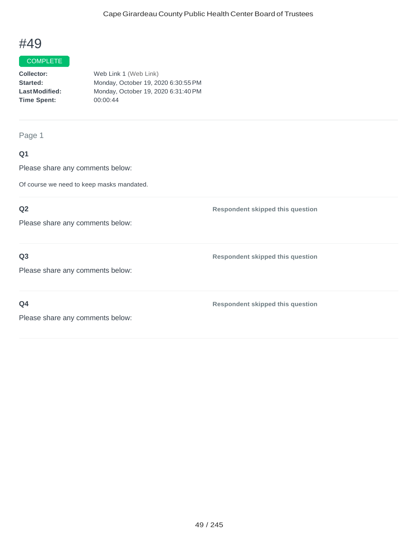#### **COMPLETE**

| <b>Collector:</b>    | Web Link 1 (Web Link)               |
|----------------------|-------------------------------------|
| <b>Started:</b>      | Monday, October 19, 2020 6:30:55 PM |
| <b>LastModified:</b> | Monday, October 19, 2020 6:31:40 PM |
| Time Spent:          | 00:00:44                            |
|                      |                                     |

Page 1

## **Q1**

Please share any comments below:

Of course we need to keep masks mandated.

## **Q2**

Please share any comments below:

### **Q3**

Please share any comments below:

**Q4**

**Respondent skipped this question**

**Respondent skipped this question**

**Respondent skipped this question**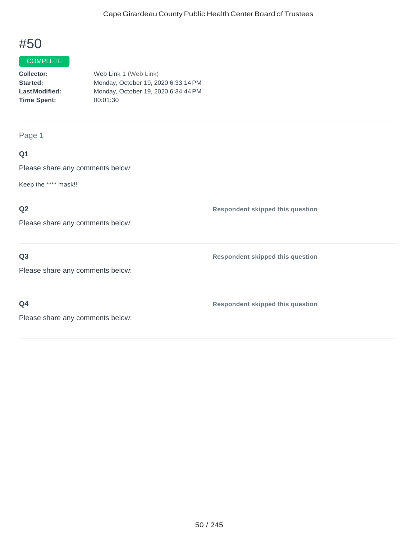#### **COMPLETE**

| Collector:            | Web Link 1 (Web Link)               |
|-----------------------|-------------------------------------|
| Started:              | Monday, October 19, 2020 6:33:14 PM |
| <b>Last Modified:</b> | Monday, October 19, 2020 6:34:44 PM |
| <b>Time Spent:</b>    | 00:01:30                            |
|                       |                                     |

## Page 1

## **Q1**

Please share any comments below:

Keep the \*\*\*\* mask!!

### **Q2**

Please share any comments below:

## **Q3**

**Respondent skipped this question**

Please share any comments below:

## **Q4**

**Respondent skipped this question**

**Respondent skipped this question**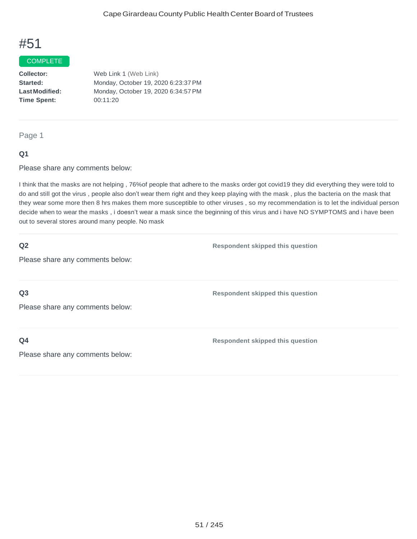#### COMPLETE

**Collector: Started: LastModified: Time Spent:**  Web Link 1 (Web Link) Monday, October 19, 2020 6:23:37PM Monday, October 19, 2020 6:34:57PM 00:11:20

#### Page 1

#### **Q1**

Please share any comments below:

I think that the masks are not helping , 76%of people that adhere to the masks order got covid19 they did everything they were told to do and still got the virus , people also don't wear them right and they keep playing with the mask , plus the bacteria on the mask that they wear some more then 8 hrs makes them more susceptible to other viruses , so my recommendation is to let the individual person decide when to wear the masks , i doesn't wear a mask since the beginning of this virus and i have NO SYMPTOMS and i have been out to several stores around many people. No mask

#### **Q2**

**Respondent skipped this question**

Please share any comments below:

**Q3**

Please share any comments below:

**Q4**

**Respondent skipped this question**

**Respondent skipped this question**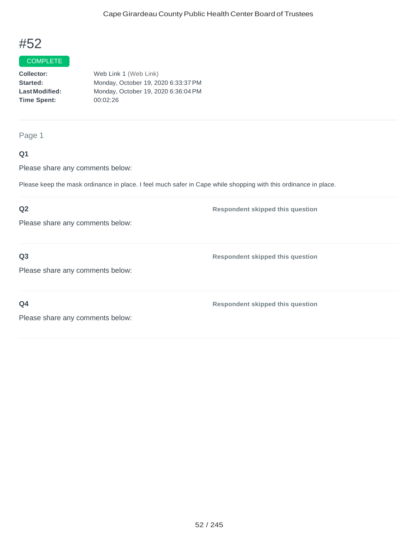#### **COMPLETE**

| <b>Collector:</b>    | Web Link 1 (Web Link)               |
|----------------------|-------------------------------------|
| <b>Started:</b>      | Monday, October 19, 2020 6:33:37 PM |
| <b>LastModified:</b> | Monday, October 19, 2020 6:36:04 PM |
| Time Spent:          | 00:02:26                            |
|                      |                                     |

Page 1

## **Q1**

Please share any comments below:

Please keep the mask ordinance in place. I feel much safer in Cape while shopping with this ordinance in place.

#### **Q2**

Please share any comments below:

**Q3**

**Respondent skipped this question**

Please share any comments below:

**Q4**

**Respondent skipped this question**

**Respondent skipped this question**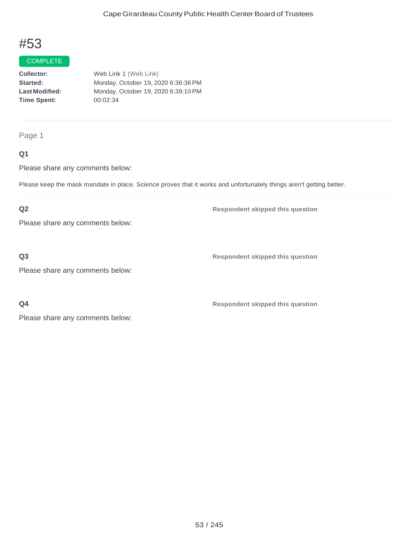#### **COMPLETE**

| Collector:            | Web Link 1 (Web Link)               |
|-----------------------|-------------------------------------|
| Started:              | Monday, October 19, 2020 6:36:36 PM |
| <b>Last Modified:</b> | Monday, October 19, 2020 6:39:10 PM |
| <b>Time Spent:</b>    | 00:02:34                            |
|                       |                                     |

Page 1

## **Q1**

Please share any comments below:

Please keep the mask mandate in place. Science proves that it works and unfortunately things aren't getting better.

## **Q2**

Please share any comments below:

### **Q3**

Please share any comments below:

**Q4**

**Respondent skipped this question**

**Respondent skipped this question**

**Respondent skipped this question**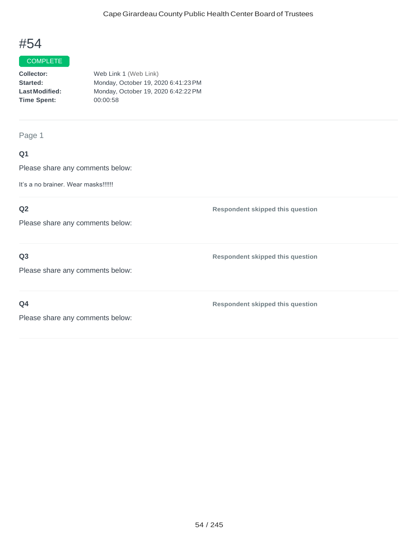#### **COMPLETE**

| <b>Collector:</b>    | Web Link 1 (Web Link)               |
|----------------------|-------------------------------------|
| <b>Started:</b>      | Monday, October 19, 2020 6:41:23 PM |
| <b>LastModified:</b> | Monday, October 19, 2020 6:42:22 PM |
| Time Spent:          | 00:00:58                            |
|                      |                                     |

Page 1

## **Q1**

Please share any comments below:

It's a no brainer. Wear masks!!!!!!

## **Q2**

Please share any comments below:

## **Q3**

**Respondent skipped this question**

**Respondent skipped this question**

Please share any comments below:

**Q4**

**Respondent skipped this question**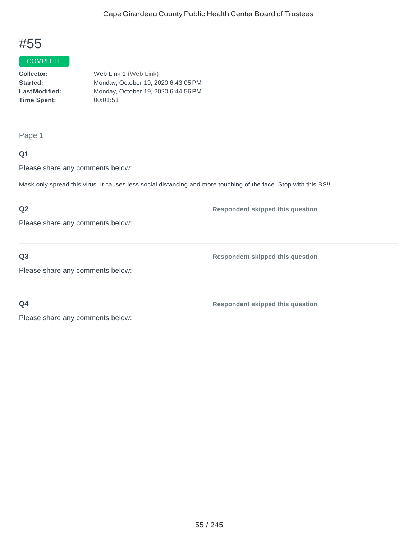## **COMPLETE**

**Collector: Started: LastModified: Time Spent:**  Web Link 1 (Web Link) Monday, October 19, 2020 6:43:05PM Monday, October 19, 2020 6:44:56PM 00:01:51

#### Page 1

### **Q1**

Please share any comments below:

Mask only spread this virus. It causes less social distancing and more touching of the face. Stop with this BS!!

#### **Q2**

Please share any comments below:

### **Q3**

Please share any comments below:

**Q4**

**Respondent skipped this question**

**Respondent skipped this question**

**Respondent skipped this question**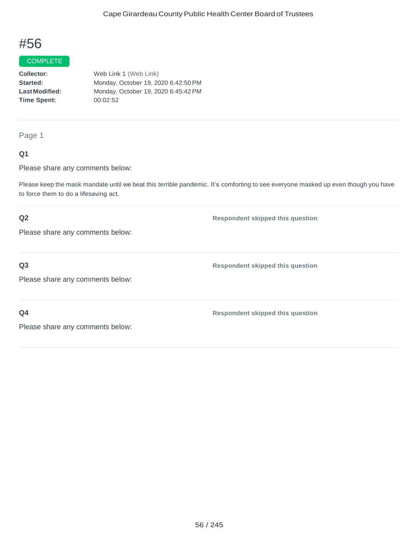#### COMPLETE

**Collector: Started: LastModified: Time Spent:**  Web Link 1 (Web Link) Monday, October 19, 2020 6:42:50PM Monday, October 19, 2020 6:45:42PM 00:02:52

Page 1

#### **Q1**

Please share any comments below:

Please keep the mask mandate until we beat this terrible pandemic. It's comforting to see everyone masked up even though you have to force them to do a lifesaving act.

### **Q2**

Please share any comments below:

**Q3**

Please share any comments below:

**Q4**

**Respondent skipped this question**

**Respondent skipped this question**

**Respondent skipped this question**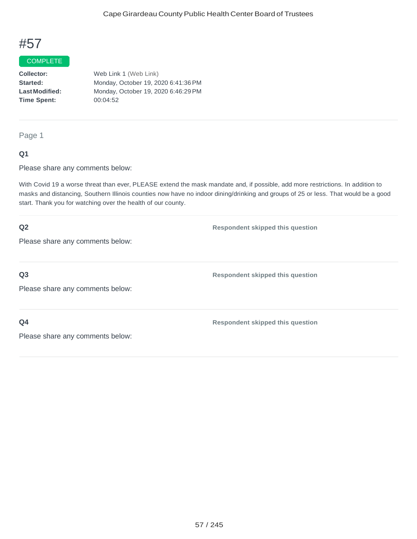## **COMPLETE**

**Collector: Started: LastModified: Time Spent:**  Web Link 1 (Web Link) Monday, October 19, 2020 6:41:36PM Monday, October 19, 2020 6:46:29PM 00:04:52

Page 1

#### **Q1**

Please share any comments below:

With Covid 19 a worse threat than ever, PLEASE extend the mask mandate and, if possible, add more restrictions. In addition to masks and distancing, Southern Illinois counties now have no indoor dining/drinking and groups of 25 or less. That would be a good start. Thank you for watching over the health of our county.

| Q2                               | <b>Respondent skipped this question</b> |
|----------------------------------|-----------------------------------------|
| Please share any comments below: |                                         |
|                                  |                                         |
| Q <sub>3</sub>                   | <b>Respondent skipped this question</b> |
| Please share any comments below: |                                         |
|                                  |                                         |
| Q <sub>4</sub>                   | <b>Respondent skipped this question</b> |
| Please share any comments below: |                                         |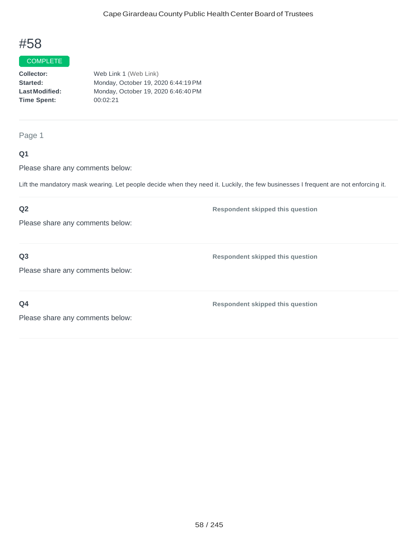## **COMPLETE**

**Collector: Started: LastModified: Time Spent:**  Web Link 1 (Web Link) Monday, October 19, 2020 6:44:19PM Monday, October 19, 2020 6:46:40PM 00:02:21

Page 1

### **Q1**

Please share any comments below:

Lift the mandatory mask wearing. Let people decide when they need it. Luckily, the few businesses I frequent are not enforcing it.

## **Q2**

Please share any comments below:

**Q3**

**Respondent skipped this question**

**Respondent skipped this question**

Please share any comments below:

**Q4**

**Respondent skipped this question**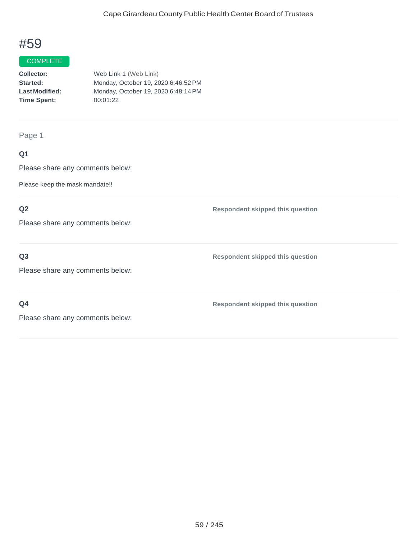## **COMPLETE**

**Collector: Started: LastModified: Time Spent:** Web Link 1 (Web Link) Monday, October 19, 2020 6:46:52PM Monday, October 19, 2020 6:48:14PM 00:01:22

Page 1

## **Q1**

Please share any comments below:

Please keep the mask mandate!!

### **Q2**

Please share any comments below:

**Q3**

Please share any comments below:

**Q4**

**Respondent skipped this question**

**Respondent skipped this question**

**Respondent skipped this question**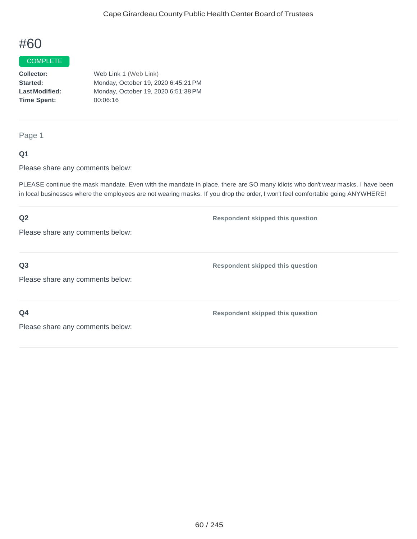#### COMPLETE

**Collector: Started: LastModified: Time Spent:**  Web Link 1 (Web Link) Monday, October 19, 2020 6:45:21PM Monday, October 19, 2020 6:51:38PM 00:06:16

Page 1

### **Q1**

Please share any comments below:

PLEASE continue the mask mandate. Even with the mandate in place, there are SO many idiots who don't wear masks. I have been in local businesses where the employees are not wearing masks. If you drop the order, I won't feel comfortable going ANYWHERE!

## **Q2** Please share any comments below: **Respondent skipped this question Q3** Please share any comments below: **Respondent skipped this question Q4** Please share any comments below: **Respondent skipped this question**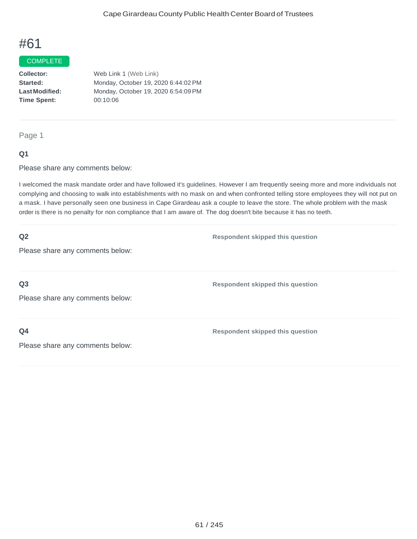#### COMPLETE

**Collector: Started: LastModified: Time Spent:**  Web Link 1 (Web Link) Monday, October 19, 2020 6:44:02PM Monday, October 19, 2020 6:54:09PM 00:10:06

Page 1

#### **Q1**

Please share any comments below:

I welcomed the mask mandate order and have followed it's guidelines. However I am frequently seeing more and more individuals not complying and choosing to walk into establishments with no mask on and when confronted telling store employees they will not put on a mask. I have personally seen one business in Cape Girardeau ask a couple to leave the store. The whole problem with the mask order is there is no penalty for non compliance that I am aware of. The dog doesn't bite because it has no teeth.

| Q2                               | <b>Respondent skipped this question</b> |
|----------------------------------|-----------------------------------------|
| Please share any comments below: |                                         |
|                                  |                                         |
| Q <sub>3</sub>                   | <b>Respondent skipped this question</b> |
| Please share any comments below: |                                         |
|                                  |                                         |
| Q <sub>4</sub>                   | <b>Respondent skipped this question</b> |
| Please share any comments below: |                                         |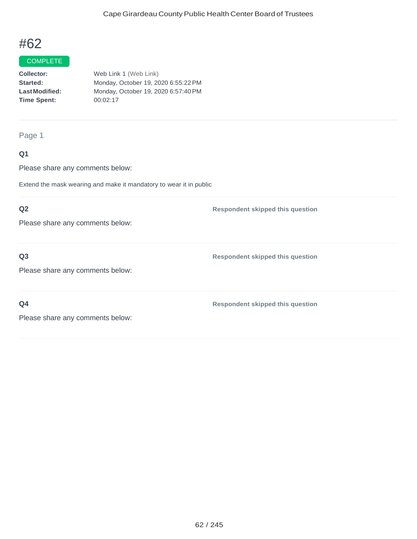## **COMPLETE**

**Collector: Started: LastModified: Time Spent:**  Web Link 1 (Web Link) Monday, October 19, 2020 6:55:22PM Monday, October 19, 2020 6:57:40PM 00:02:17

#### Page 1

### **Q1**

Please share any comments below:

Extend the mask wearing and make it mandatory to wear it in public

### **Q2**

Please share any comments below:

### **Q3**

Please share any comments below:

**Q4**

**Respondent skipped this question**

**Respondent skipped this question**

**Respondent skipped this question**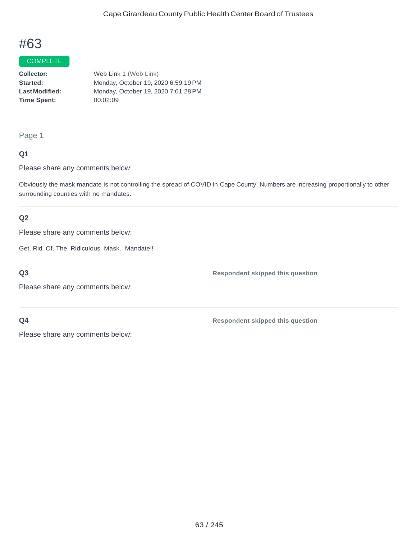#### COMPLETE

**Collector: Started: LastModified: Time Spent:**  Web Link 1 (Web Link) Monday, October 19, 2020 6:59:19PM Monday, October 19, 2020 7:01:28PM 00:02:09

#### Page 1

### **Q1**

Please share any comments below:

Obviously the mask mandate is not controlling the spread of COVID in Cape County. Numbers are increasing proportionally to other surrounding counties with no mandates.

### **Q2**

Please share any comments below:

Get. Rid. Of. The. Ridiculous. Mask. Mandate!!

**Q3**

Please share any comments below:

### **Q4**

**Respondent skipped this question**

**Respondent skipped this question**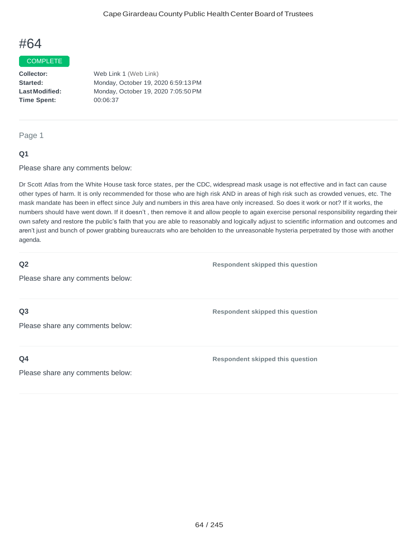#### COMPLETE

**Collector: Started: LastModified: Time Spent:**  Web Link 1 (Web Link) Monday, October 19, 2020 6:59:13PM Monday, October 19, 2020 7:05:50PM 00:06:37

#### Page 1

#### **Q1**

Please share any comments below:

Dr Scott Atlas from the White House task force states, per the CDC, widespread mask usage is not effective and in fact can cause other types of harm. It is only recommended for those who are high risk AND in areas of high risk such as crowded venues, etc. The mask mandate has been in effect since July and numbers in this area have only increased. So does it work or not? If it works, the numbers should have went down. If it doesn't , then remove it and allow people to again exercise personal responsibility regarding their own safety and restore the public's faith that you are able to reasonably and logically adjust to scientific information and outcomes and aren't just and bunch of power grabbing bureaucrats who are beholden to the unreasonable hysteria perpetrated by those with another agenda.

#### **Q2**

Please share any comments below:

**Q3**

Please share any comments below:

**Q4**

**Respondent skipped this question**

**Respondent skipped this question**

**Respondent skipped this question**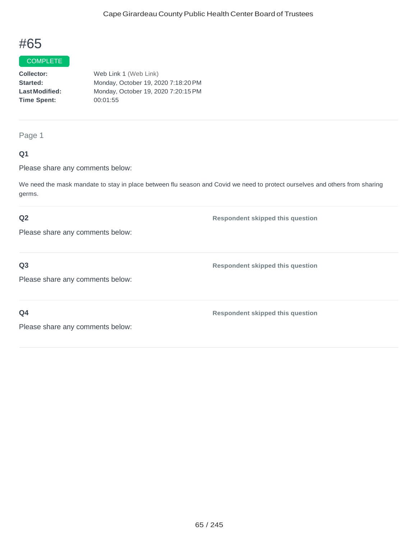#### **COMPLETE**

| <b>Collector:</b>    | Web Link 1 (Web Link)               |
|----------------------|-------------------------------------|
| <b>Started:</b>      | Monday, October 19, 2020 7:18:20 PM |
| <b>LastModified:</b> | Monday, October 19, 2020 7:20:15 PM |
| <b>Time Spent:</b>   | 00:01:55                            |
|                      |                                     |

## Page 1

### **Q1**

Please share any comments below:

We need the mask mandate to stay in place between flu season and Covid we need to protect ourselves and others from sharing germs.

#### **Q2**

**Respondent skipped this question**

Please share any comments below:

## **Q3**

Please share any comments below:

**Q4**

**Respondent skipped this question**

**Respondent skipped this question**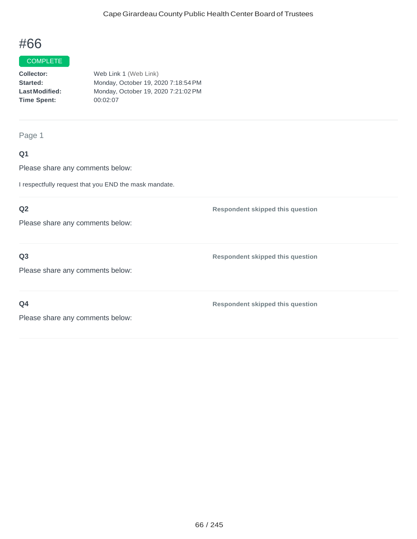#### **COMPLETE**

| <b>Collector:</b>    | Web Link 1 (Web Link)               |
|----------------------|-------------------------------------|
| <b>Started:</b>      | Monday, October 19, 2020 7:18:54 PM |
| <b>LastModified:</b> | Monday, October 19, 2020 7:21:02 PM |
| <b>Time Spent:</b>   | 00:02:07                            |
|                      |                                     |

Page 1

## **Q1**

Please share any comments below:

I respectfully request that you END the mask mandate.

## **Q2**

Please share any comments below:

### **Q3**

Please share any comments below:

**Q4**

**Respondent skipped this question**

**Respondent skipped this question**

**Respondent skipped this question**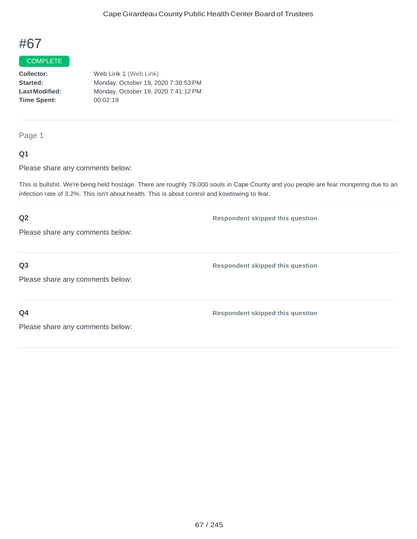#### COMPLETE

**Collector: Started: LastModified: Time Spent:**  Web Link 1 (Web Link) Monday, October 19, 2020 7:38:53PM Monday, October 19, 2020 7:41:12PM 00:02:19

Page 1

#### **Q1**

Please share any comments below:

This is bullshit. We're being held hostage. There are roughly 79,000 souls in Cape County and you people are fear mongering due to an infection rate of 3.2%. This isn't about health. This is about control and kowtowing to fear.

## **Q2** Please share any comments below: **Respondent skipped this question Q3** Please share any comments below: **Respondent skipped this question Q4** Please share any comments below: **Respondent skipped this question**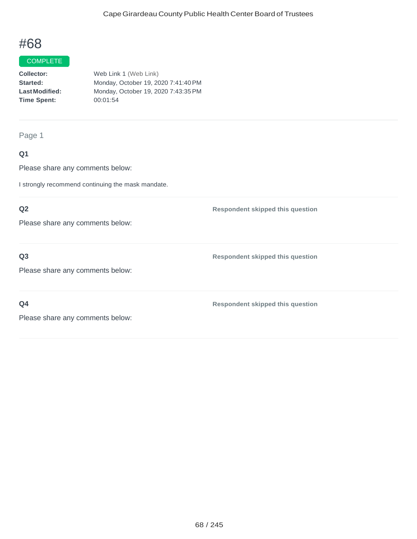## **COMPLETE**

**Collector: Started: LastModified: Time Spent:**  Web Link 1 (Web Link) Monday, October 19, 2020 7:41:40PM Monday, October 19, 2020 7:43:35PM 00:01:54

Page 1

### **Q1**

Please share any comments below:

I strongly recommend continuing the mask mandate.

### **Q2**

Please share any comments below:

### **Q3**

Please share any comments below:

**Q4**

**Respondent skipped this question**

**Respondent skipped this question**

**Respondent skipped this question**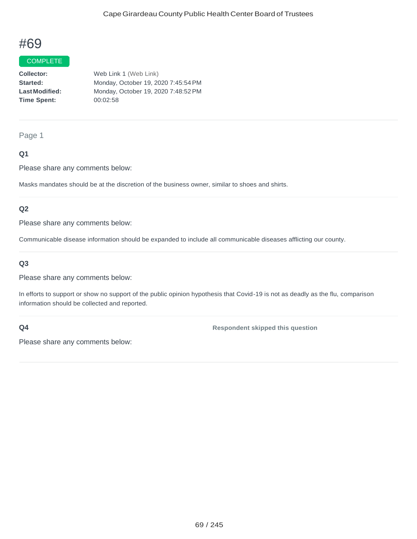#### COMPLETE

**Collector: Started: LastModified: Time Spent:**  Web Link 1 (Web Link) Monday, October 19, 2020 7:45:54PM Monday, October 19, 2020 7:48:52PM 00:02:58

#### Page 1

### **Q1**

Please share any comments below:

Masks mandates should be at the discretion of the business owner, similar to shoes and shirts.

#### **Q2**

Please share any comments below:

Communicable disease information should be expanded to include all communicable diseases afflicting our county.

### **Q3**

Please share any comments below:

In efforts to support or show no support of the public opinion hypothesis that Covid-19 is not as deadly as the flu, comparison information should be collected and reported.

#### **Q4**

**Respondent skipped this question**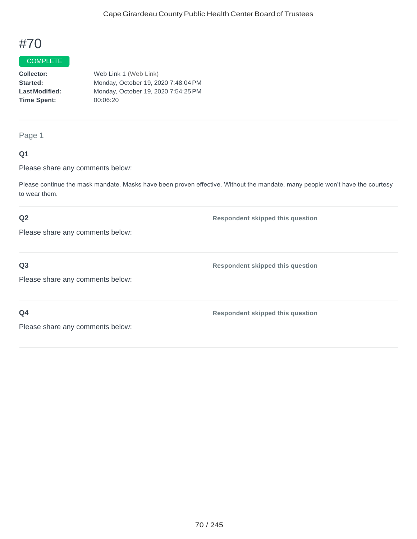#### COMPLETE

**Collector: Started: LastModified: Time Spent:**  Web Link 1 (Web Link) Monday, October 19, 2020 7:48:04PM Monday, October 19, 2020 7:54:25PM 00:06:20

#### Page 1

### **Q1**

Please share any comments below:

Please continue the mask mandate. Masks have been proven effective. Without the mandate, many people won't have the courtesy to wear them.

#### **Q2**

**Respondent skipped this question**

Please share any comments below:

## **Q3**

Please share any comments below:

**Q4**

**Respondent skipped this question**

**Respondent skipped this question**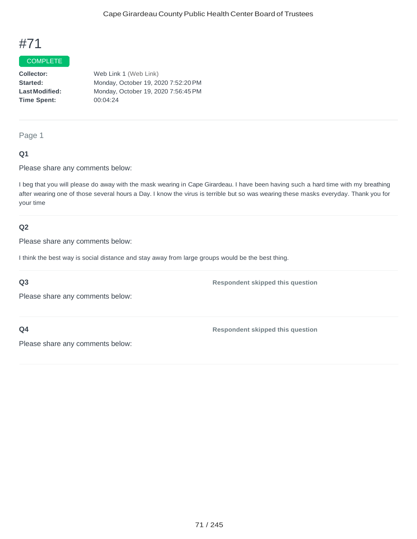#### COMPLETE

**Collector: Started: LastModified: Time Spent:**  Web Link 1 (Web Link) Monday, October 19, 2020 7:52:20PM Monday, October 19, 2020 7:56:45PM 00:04:24

## Page 1

#### **Q1**

Please share any comments below:

I beg that you will please do away with the mask wearing in Cape Girardeau. I have been having such a hard time with my breathing after wearing one of those several hours a Day. I know the virus is terrible but so was wearing these masks everyday. Thank you for your time

#### **Q2**

Please share any comments below:

I think the best way is social distance and stay away from large groups would be the best thing.

#### **Q3**

**Respondent skipped this question**

Please share any comments below:

**Q4**

**Respondent skipped this question**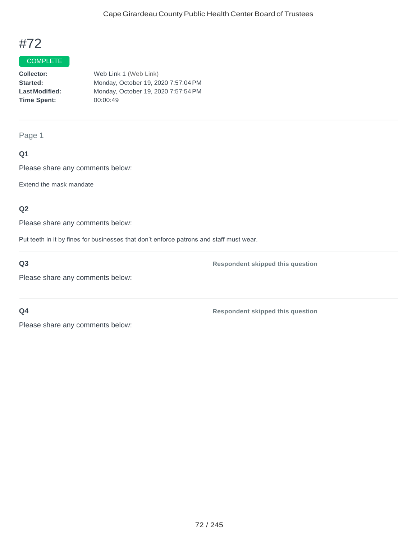## **COMPLETE**

**Collector: Started: LastModified: Time Spent:**  Web Link 1 (Web Link) Monday, October 19, 2020 7:57:04PM Monday, October 19, 2020 7:57:54PM 00:00:49

Page 1

## **Q1**

Please share any comments below:

Extend the mask mandate

### **Q2**

Please share any comments below:

Put teeth in it by fines for businesses that don't enforce patrons and staff must wear.

**Q3**

Please share any comments below:

**Respondent skipped this question**

**Q4**

Please share any comments below: **Respondent skipped this question**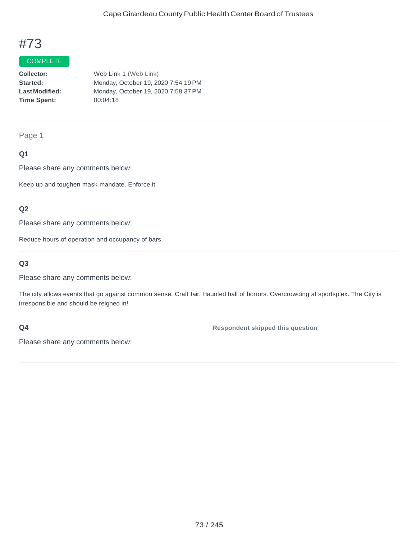### COMPLETE

**Collector: Started: LastModified: Time Spent:** Web Link 1 (Web Link) Monday, October 19, 2020 7:54:19PM Monday, October 19, 2020 7:58:37PM 00:04:18

Page 1

## **Q1**

Please share any comments below:

Keep up and toughen mask mandate. Enforce it.

### **Q2**

Please share any comments below:

Reduce hours of operation and occupancy of bars.

### **Q3**

Please share any comments below:

The city allows events that go against common sense. Craft fair. Haunted hall of horrors. Overcrowding at sportsplex. The City is irresponsible and should be reigned in!

#### **Q4**

**Respondent skipped this question**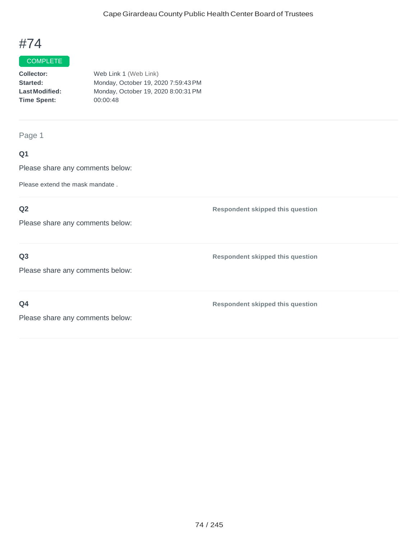### **COMPLETE**

| <b>Collector:</b>    | Web Link 1 (Web Link)               |
|----------------------|-------------------------------------|
| <b>Started:</b>      | Monday, October 19, 2020 7:59:43 PM |
| <b>LastModified:</b> | Monday, October 19, 2020 8:00:31 PM |
| Time Spent:          | 00:00:48                            |
|                      |                                     |

Page 1

## **Q1**

Please share any comments below:

Please extend the mask mandate .

## **Q2**

Please share any comments below:

### **Q3**

**Respondent skipped this question**

**Respondent skipped this question**

Please share any comments below:

**Q4**

**Respondent skipped this question**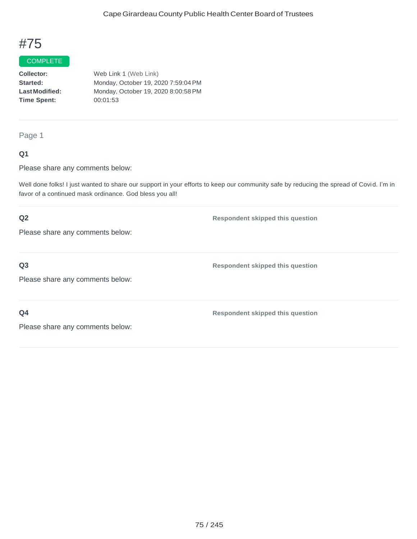### COMPLETE

**Collector: Started: LastModified: Time Spent:**  Web Link 1 (Web Link) Monday, October 19, 2020 7:59:04PM Monday, October 19, 2020 8:00:58PM 00:01:53

Page 1

### **Q1**

Please share any comments below:

Well done folks! I just wanted to share our support in your efforts to keep our community safe by reducing the spread of Covid. I'm in favor of a continued mask ordinance. God bless you all!

## **Q2**

Please share any comments below:

**Q3**

Please share any comments below:

**Q4**

**Respondent skipped this question**

**Respondent skipped this question**

**Respondent skipped this question**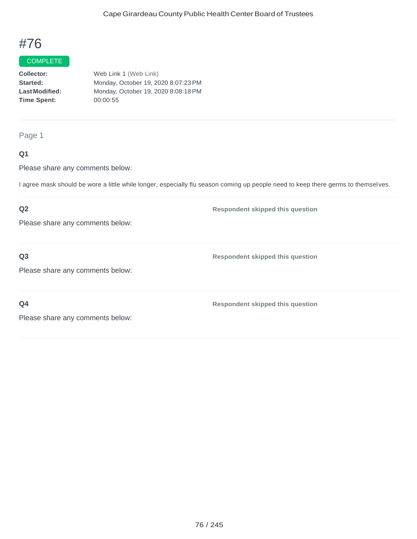## **COMPLETE**

**Collector: Started: LastModified: Time Spent:**  Web Link 1 (Web Link) Monday, October 19, 2020 8:07:23PM Monday, October 19, 2020 8:08:18PM 00:00:55

Page 1

### **Q1**

Please share any comments below:

I agree mask should be wore a little while longer, especially flu season coming up people need to keep there germs to themsel ves.

### **Q2**

**Respondent skipped this question**

Please share any comments below:

**Q3**

**Respondent skipped this question**

Please share any comments below:

**Q4**

**Respondent skipped this question**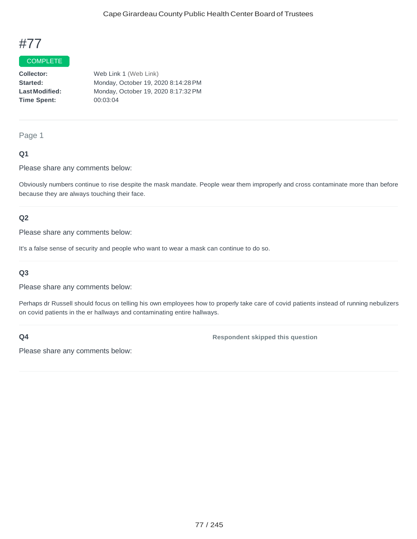### COMPLETE

**Collector: Started: LastModified: Time Spent:**  Web Link 1 (Web Link) Monday, October 19, 2020 8:14:28PM Monday, October 19, 2020 8:17:32PM 00:03:04

#### Page 1

### **Q1**

Please share any comments below:

Obviously numbers continue to rise despite the mask mandate. People wear them improperly and cross contaminate more than before because they are always touching their face.

### **Q2**

Please share any comments below:

It's a false sense of security and people who want to wear a mask can continue to do so.

### **Q3**

Please share any comments below:

Perhaps dr Russell should focus on telling his own employees how to properly take care of covid patients instead of running nebulizers on covid patients in the er hallways and contaminating entire hallways.

### **Q4**

**Respondent skipped this question**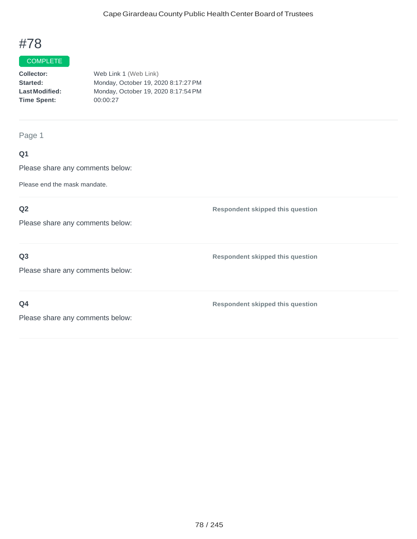#### **COMPLETE**

| <b>Collector:</b>    | Web Link 1 (Web Link)               |
|----------------------|-------------------------------------|
| <b>Started:</b>      | Monday, October 19, 2020 8:17:27 PM |
| <b>LastModified:</b> | Monday, October 19, 2020 8:17:54 PM |
| <b>Time Spent:</b>   | 00:00:27                            |
|                      |                                     |

Page 1

## **Q1**

Please share any comments below:

Please end the mask mandate.

## **Q2**

Please share any comments below:

**Q3**

Please share any comments below:

**Q4**

**Respondent skipped this question**

**Respondent skipped this question**

**Respondent skipped this question**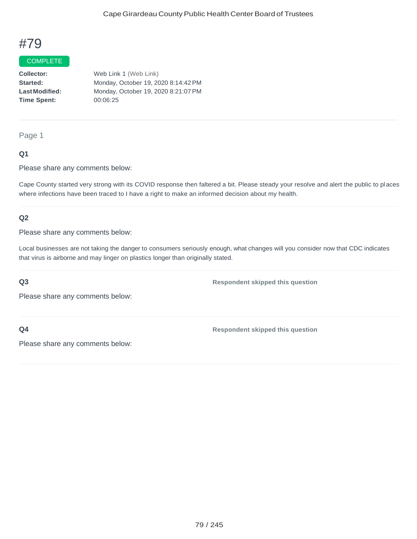#### COMPLETE

**Collector: Started: LastModified: Time Spent:**  Web Link 1 (Web Link) Monday, October 19, 2020 8:14:42PM Monday, October 19, 2020 8:21:07PM 00:06:25

Page 1

### **Q1**

Please share any comments below:

Cape County started very strong with its COVID response then faltered a bit. Please steady your resolve and alert the public to places where infections have been traced to I have a right to make an informed decision about my health.

### **Q2**

Please share any comments below:

Local businesses are not taking the danger to consumers seriously enough, what changes will you consider now that CDC indicates that virus is airborne and may linger on plastics longer than originally stated.

#### **Q3**

**Respondent skipped this question**

Please share any comments below:

**Q4**

**Respondent skipped this question**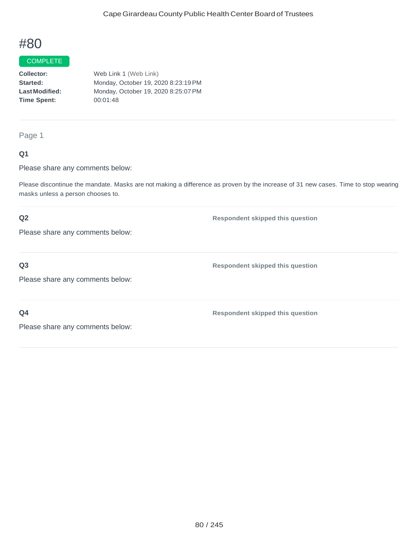#### COMPLETE

**Collector: Started: LastModified: Time Spent:** Web Link 1 (Web Link) Monday, October 19, 2020 8:23:19PM Monday, October 19, 2020 8:25:07PM 00:01:48

Page 1

### **Q1**

Please share any comments below:

Please discontinue the mandate. Masks are not making a difference as proven by the increase of 31 new cases. Time to stop wearing masks unless a person chooses to.

### **Q2**

**Respondent skipped this question**

**Respondent skipped this question**

Please share any comments below:

**Q3**

Please share any comments below:

**Q4**

**Respondent skipped this question**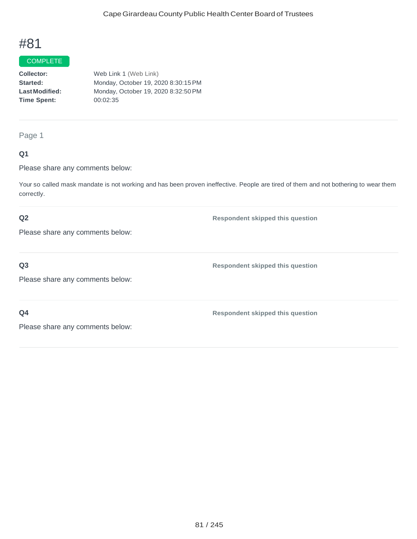## COMPLETE

**Collector: Started: LastModified: Time Spent:**  Web Link 1 (Web Link) Monday, October 19, 2020 8:30:15PM Monday, October 19, 2020 8:32:50PM 00:02:35

Page 1

### **Q1**

Please share any comments below:

Your so called mask mandate is not working and has been proven ineffective. People are tired of them and not bothering to wear them correctly.

### **Q2**

**Respondent skipped this question**

Please share any comments below:

**Q3**

Please share any comments below:

**Q4**

**Respondent skipped this question**

**Respondent skipped this question**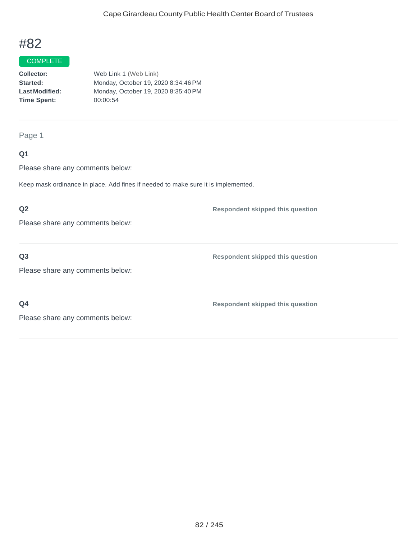## **COMPLETE**

**Collector: Started: LastModified: Time Spent:**  Web Link 1 (Web Link) Monday, October 19, 2020 8:34:46PM Monday, October 19, 2020 8:35:40PM 00:00:54

Page 1

### **Q1**

Please share any comments below:

Keep mask ordinance in place. Add fines if needed to make sure it is implemented.

### **Q2**

Please share any comments below:

**Q3**

Please share any comments below:

**Q4**

**Respondent skipped this question**

**Respondent skipped this question**

**Respondent skipped this question**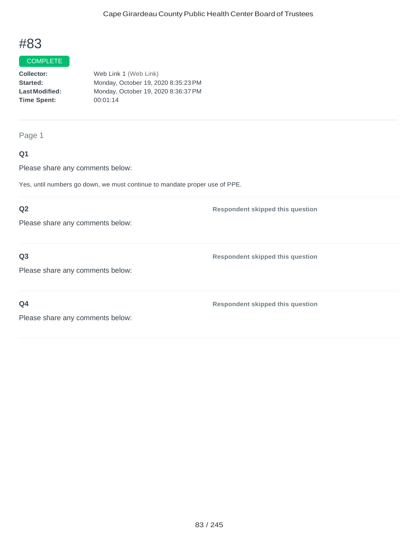## **COMPLETE**

**Collector: Started: LastModified: Time Spent:**  Web Link 1 (Web Link) Monday, October 19, 2020 8:35:23PM Monday, October 19, 2020 8:36:37PM 00:01:14

Page 1

### **Q1**

Please share any comments below:

Yes, until numbers go down, we must continue to mandate proper use of PPE.

### **Q2**

Please share any comments below:

### **Q3**

Please share any comments below:

**Q4**

**Respondent skipped this question**

**Respondent skipped this question**

**Respondent skipped this question**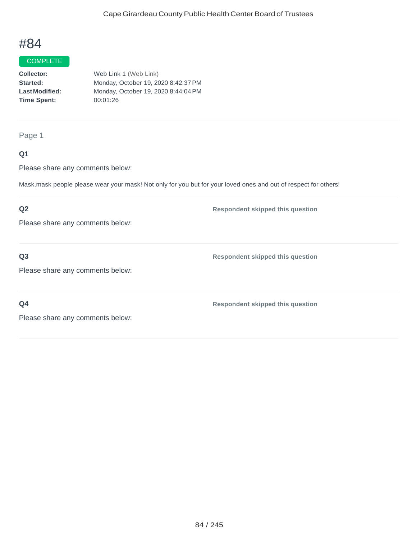## **COMPLETE**

**Collector: Started: LastModified: Time Spent:**  Web Link 1 (Web Link) Monday, October 19, 2020 8:42:37PM Monday, October 19, 2020 8:44:04PM 00:01:26

Page 1

### **Q1**

Please share any comments below:

Mask,mask people please wear your mask! Not only for you but for your loved ones and out of respect for others!

## **Q2**

Please share any comments below:

**Q3**

**Respondent skipped this question**

**Respondent skipped this question**

Please share any comments below:

**Q4**

**Respondent skipped this question**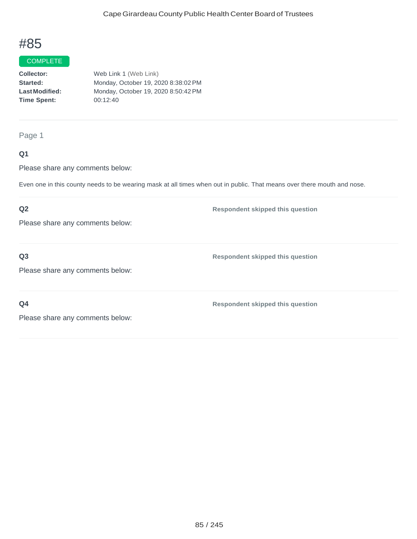## **COMPLETE**

**Collector: Started: LastModified: Time Spent:**  Web Link 1 (Web Link) Monday, October 19, 2020 8:38:02PM Monday, October 19, 2020 8:50:42PM 00:12:40

Page 1

### **Q1**

Please share any comments below:

Even one in this county needs to be wearing mask at all times when out in public. That means over there mouth and nose.

## **Q2**

Please share any comments below:

**Q3**

**Respondent skipped this question**

**Respondent skipped this question**

Please share any comments below:

**Q4**

**Respondent skipped this question**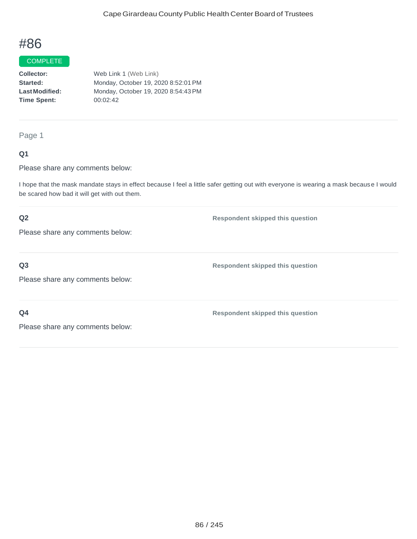### COMPLETE

**Collector: Started: LastModified: Time Spent:**  Web Link 1 (Web Link) Monday, October 19, 2020 8:52:01PM Monday, October 19, 2020 8:54:43PM 00:02:42

Page 1

### **Q1**

Please share any comments below:

I hope that the mask mandate stays in effect because I feel a little safer getting out with everyone is wearing a mask because I would be scared how bad it will get with out them.

### **Q2**

Please share any comments below:

**Q3**

Please share any comments below:

**Q4**

**Respondent skipped this question**

**Respondent skipped this question**

**Respondent skipped this question**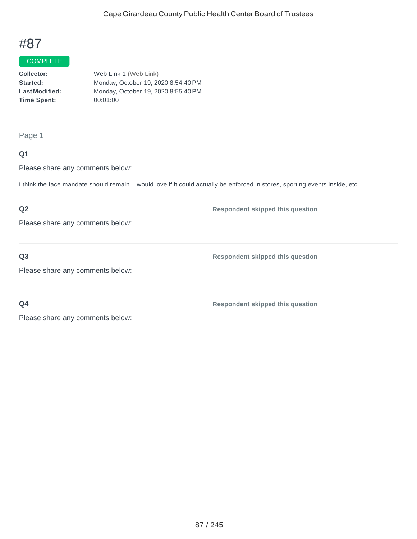## **COMPLETE**

**Collector: Started: LastModified: Time Spent:** Web Link 1 (Web Link) Monday, October 19, 2020 8:54:40PM Monday, October 19, 2020 8:55:40PM 00:01:00

Page 1

### **Q1**

Please share any comments below:

I think the face mandate should remain. I would love if it could actually be enforced in stores, sporting events inside, etc.

## **Q2**

Please share any comments below:

**Q3**

**Q4**

Please share any comments below:

**Respondent skipped this question**

**Respondent skipped this question**

**Respondent skipped this question**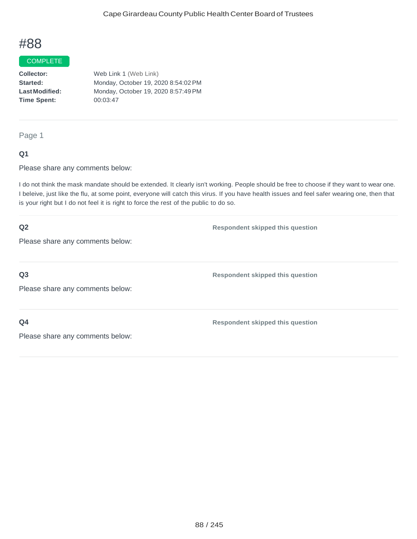### COMPLETE

**Collector: Started: LastModified: Time Spent:** Web Link 1 (Web Link) Monday, October 19, 2020 8:54:02PM Monday, October 19, 2020 8:57:49PM 00:03:47

Page 1

### **Q1**

Please share any comments below:

I do not think the mask mandate should be extended. It clearly isn't working. People should be free to choose if they want to wear one. I beleive, just like the flu, at some point, everyone will catch this virus. If you have health issues and feel safer wearing one, then that is your right but I do not feel it is right to force the rest of the public to do so.

| Q2                               | <b>Respondent skipped this question</b> |
|----------------------------------|-----------------------------------------|
| Please share any comments below: |                                         |
|                                  |                                         |
| Q <sub>3</sub>                   | <b>Respondent skipped this question</b> |
| Please share any comments below: |                                         |
|                                  |                                         |
| Q <sub>4</sub>                   | <b>Respondent skipped this question</b> |
| Please share any comments below: |                                         |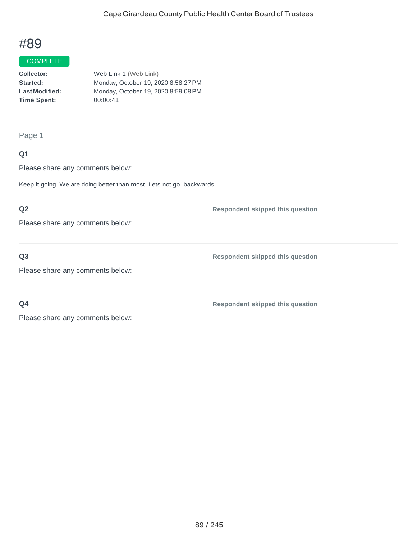## **COMPLETE**

**Collector: Started: LastModified: Time Spent:**  Web Link 1 (Web Link) Monday, October 19, 2020 8:58:27PM Monday, October 19, 2020 8:59:08PM 00:00:41

Page 1

### **Q1**

Please share any comments below:

Keep it going. We are doing better than most. Lets not go backwards

### **Q2**

Please share any comments below:

### **Q3**

Please share any comments below:

**Q4**

**Respondent skipped this question**

**Respondent skipped this question**

**Respondent skipped this question**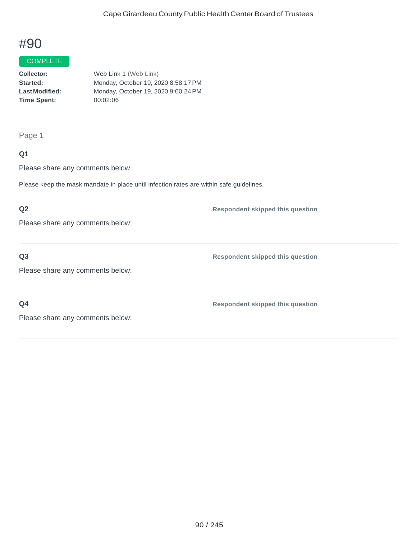## **COMPLETE**

**Collector: Started: LastModified: Time Spent:**  Web Link 1 (Web Link) Monday, October 19, 2020 8:58:17PM Monday, October 19, 2020 9:00:24PM 00:02:06

#### Page 1

### **Q1**

Please share any comments below:

Please keep the mask mandate in place until infection rates are within safe guidelines.

### **Q2**

Please share any comments below:

### **Q3**

Please share any comments below:

**Q4**

**Respondent skipped this question**

**Respondent skipped this question**

**Respondent skipped this question**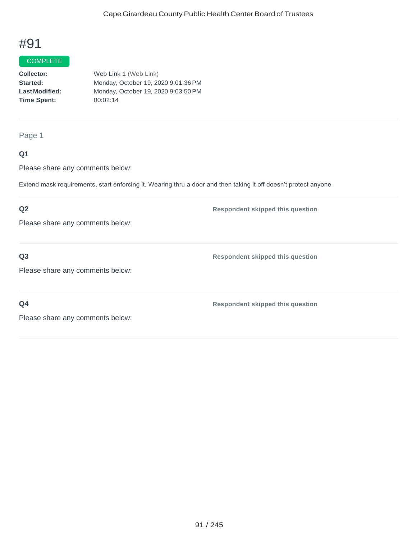## **COMPLETE**

**Collector: Started: LastModified: Time Spent:**  Web Link 1 (Web Link) Monday, October 19, 2020 9:01:36PM Monday, October 19, 2020 9:03:50PM 00:02:14

Page 1

### **Q1**

Please share any comments below:

Extend mask requirements, start enforcing it. Wearing thru a door and then taking it off doesn't protect anyone

### **Q2**

Please share any comments below:

**Q3**

**Respondent skipped this question**

**Respondent skipped this question**

Please share any comments below:

**Q4**

**Respondent skipped this question**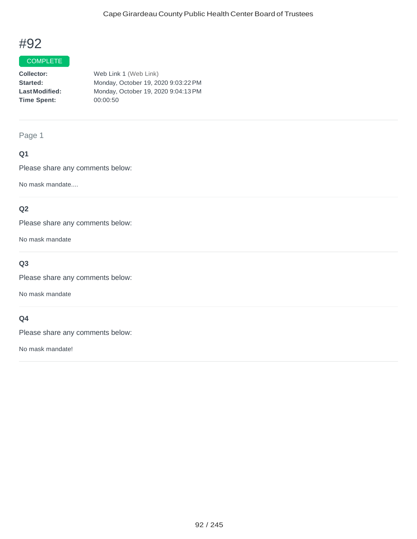## **COMPLETE**

**Collector: Started: LastModified: Time Spent:**  Web Link 1 (Web Link) Monday, October 19, 2020 9:03:22PM Monday, October 19, 2020 9:04:13PM 00:00:50

Page 1

## **Q1**

Please share any comments below:

No mask mandate....

### **Q2**

Please share any comments below:

No mask mandate

## **Q3**

Please share any comments below:

No mask mandate

### **Q4**

Please share any comments below:

No mask mandate!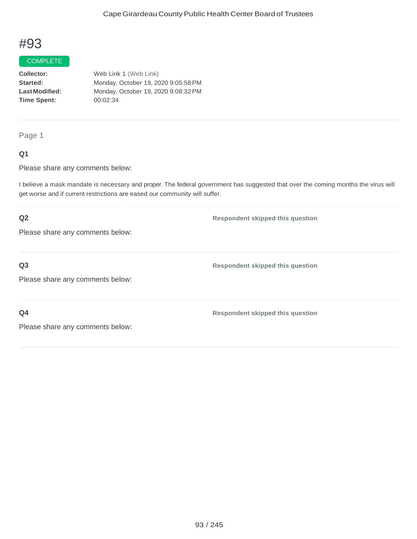#### COMPLETE

**Collector: Started: LastModified: Time Spent:**  Web Link 1 (Web Link) Monday, October 19, 2020 9:05:58PM Monday, October 19, 2020 9:08:32PM 00:02:34

Page 1

### **Q1**

Please share any comments below:

I believe a mask mandate is necessary and proper. The federal government has suggested that over the coming months the virus will get worse and if current restrictions are eased our community will suffer.

# **Q2** Please share any comments below: **Respondent skipped this question Q3** Please share any comments below: **Respondent skipped this question Q4 Respondent skipped this question**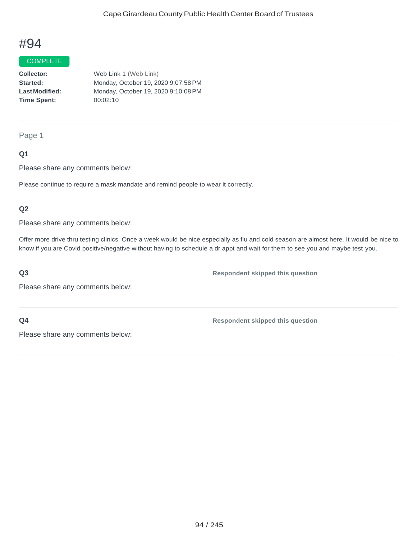#### COMPLETE

**Collector: Started: LastModified: Time Spent:** Web Link 1 (Web Link) Monday, October 19, 2020 9:07:58PM Monday, October 19, 2020 9:10:08PM 00:02:10

#### Page 1

### **Q1**

Please share any comments below:

Please continue to require a mask mandate and remind people to wear it correctly.

#### **Q2**

Please share any comments below:

Offer more drive thru testing clinics. Once a week would be nice especially as flu and cold season are almost here. It would be nice to know if you are Covid positive/negative without having to schedule a dr appt and wait for them to see you and maybe test you.

#### **Q3**

Please share any comments below:

**Q4**

**Respondent skipped this question**

**Respondent skipped this question**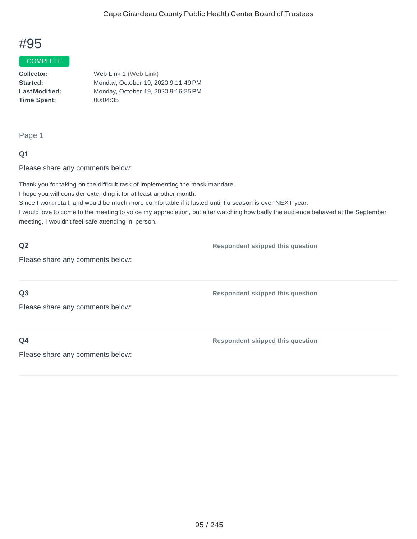#### COMPLETE

**Collector: Started: LastModified: Time Spent:**  Web Link 1 (Web Link) Monday, October 19, 2020 9:11:49PM Monday, October 19, 2020 9:16:25PM 00:04:35

#### Page 1

### **Q1**

Please share any comments below:

Thank you for taking on the difficult task of implementing the mask mandate.

I hope you will consider extending it for at least another month.

Since I work retail, and would be much more comfortable if it lasted until flu season is over NEXT year.

I would love to come to the meeting to voice my appreciation, but after watching how badly the audience behaved at the September meeting, I wouldn't feel safe attending in person.

#### **Q2**

**Respondent skipped this question**

Please share any comments below:

**Q3**

**Respondent skipped this question**

Please share any comments below:

**Q4**

**Respondent skipped this question**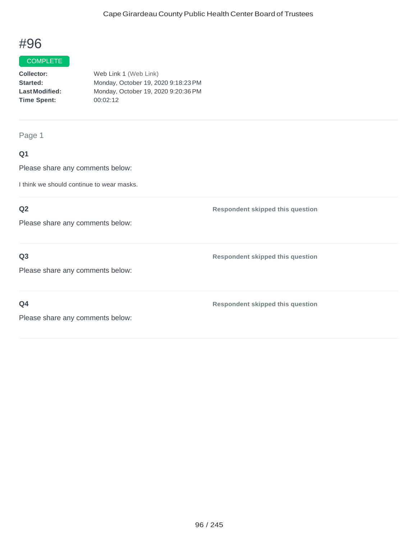## **COMPLETE**

**Collector: Started: LastModified: Time Spent:**  Web Link 1 (Web Link) Monday, October 19, 2020 9:18:23PM Monday, October 19, 2020 9:20:36PM 00:02:12

Page 1

### **Q1**

Please share any comments below:

I think we should continue to wear masks.

### **Q2**

Please share any comments below:

### **Q3**

Please share any comments below:

**Q4**

**Respondent skipped this question**

**Respondent skipped this question**

**Respondent skipped this question**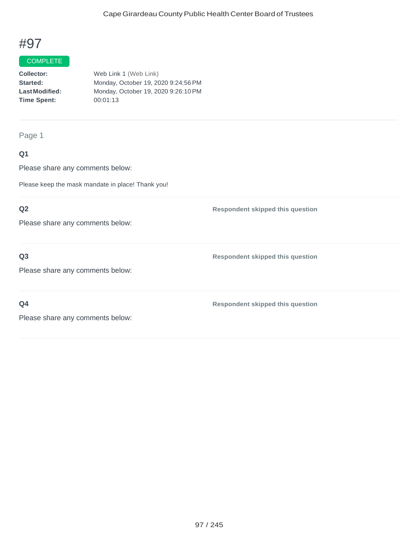## **COMPLETE**

**Collector: Started: LastModified: Time Spent:**  Web Link 1 (Web Link) Monday, October 19, 2020 9:24:56PM Monday, October 19, 2020 9:26:10PM 00:01:13

Page 1

## **Q1**

Please share any comments below:

Please keep the mask mandate in place! Thank you!

### **Q2**

Please share any comments below:

### **Q3**

Please share any comments below:

**Q4**

**Respondent skipped this question**

**Respondent skipped this question**

**Respondent skipped this question**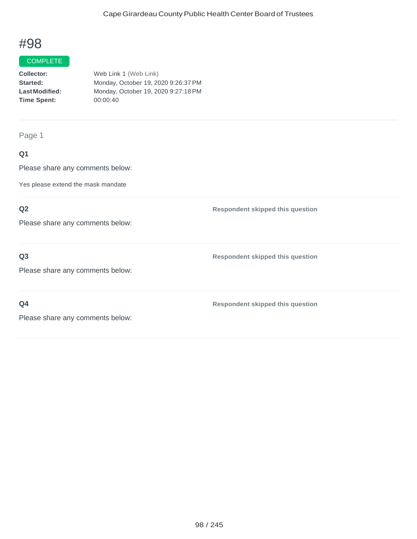#### **COMPLETE**

| Collector:            | Web Link 1 (Web Link)               |
|-----------------------|-------------------------------------|
| Started:              | Monday, October 19, 2020 9:26:37 PM |
| <b>Last Modified:</b> | Monday, October 19, 2020 9:27:18 PM |
| <b>Time Spent:</b>    | 00:00:40                            |
|                       |                                     |

Page 1

## **Q1**

Please share any comments below:

Yes please extend the mask mandate

## **Q2**

Please share any comments below:

### **Q3**

Please share any comments below:

**Q4**

**Respondent skipped this question**

**Respondent skipped this question**

**Respondent skipped this question**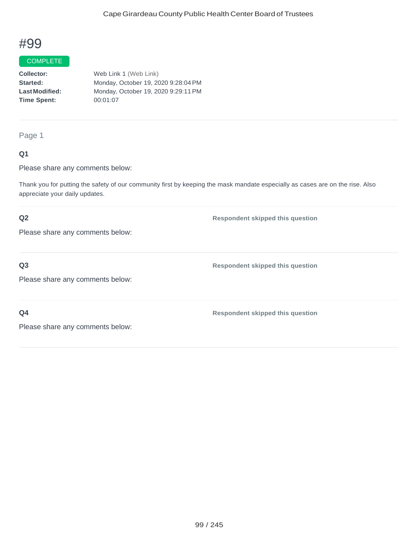### COMPLETE

**Collector: Started: LastModified: Time Spent:**  Web Link 1 (Web Link) Monday, October 19, 2020 9:28:04PM Monday, October 19, 2020 9:29:11PM 00:01:07

Page 1

### **Q1**

Please share any comments below:

Thank you for putting the safety of our community first by keeping the mask mandate especially as cases are on the rise. Also appreciate your daily updates.

### **Q2**

**Respondent skipped this question**

**Respondent skipped this question**

Please share any comments below:

**Q3**

Please share any comments below:

**Q4**

**Respondent skipped this question**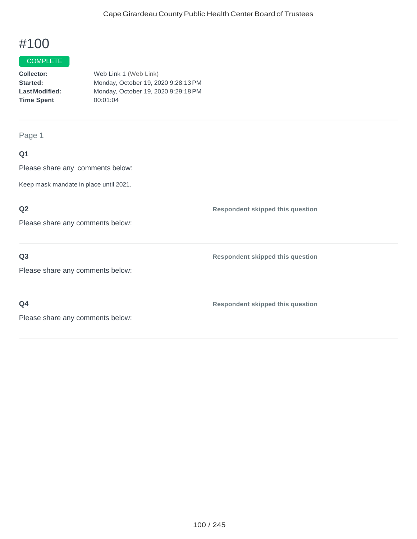#### **COMPLETE**

| Collector:            | Web Link 1 (Web Link)               |
|-----------------------|-------------------------------------|
| Started:              | Monday, October 19, 2020 9:28:13 PM |
| <b>Last Modified:</b> | Monday, October 19, 2020 9:29:18 PM |
| <b>Time Spent</b>     | 00:01:04                            |
|                       |                                     |

Page 1

## **Q1**

Please share any comments below:

Keep mask mandate in place until 2021.

### **Q2**

Please share any comments below:

### **Q3**

Please share any comments below:

**Q4**

**Respondent skipped this question**

**Respondent skipped this question**

**Respondent skipped this question**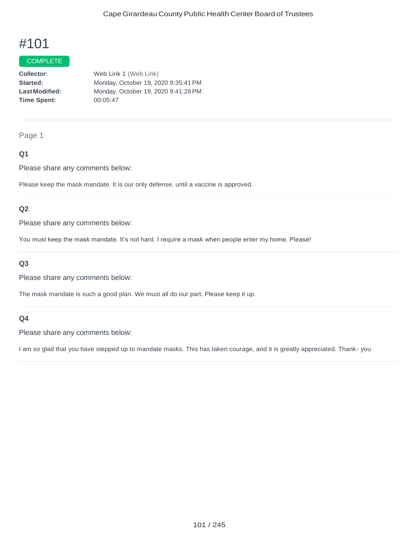#### **COMPLETE**

**Collector: Started: LastModified: Time Spent:**  Web Link 1 (Web Link) Monday, October 19, 2020 9:35:41PM Monday, October 19, 2020 9:41:28PM 00:05:47

#### Page 1

### **Q1**

Please share any comments below:

Please keep the mask mandate. It is our only defense, until a vaccine is approved.

#### **Q2**

Please share any comments below:

You must keep the mask mandate. It's not hard. I require a mask when people enter my home. Please!

### **Q3**

Please share any comments below:

The mask mandate is such a good plan. We must all do our part. Please keep it up.

#### **Q4**

Please share any comments below:

I am so glad that you have stepped up to mandate masks. This has taken courage, and it is greatly appreciated. Thank- you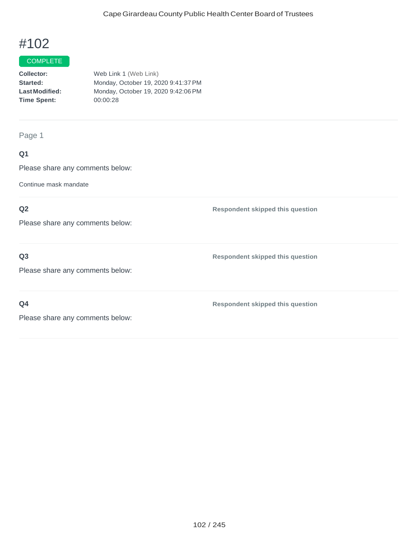#### **COMPLETE**

| <b>Collector:</b>    | Web Link 1 (Web Link)               |
|----------------------|-------------------------------------|
| <b>Started:</b>      | Monday, October 19, 2020 9:41:37 PM |
| <b>LastModified:</b> | Monday, October 19, 2020 9:42:06 PM |
| <b>Time Spent:</b>   | 00:00:28                            |
|                      |                                     |

Page 1

## **Q1**

Please share any comments below:

Continue mask mandate

## **Q2**

Please share any comments below:

## **Q3**

Please share any comments below:

**Q4**

**Respondent skipped this question**

**Respondent skipped this question**

**Respondent skipped this question**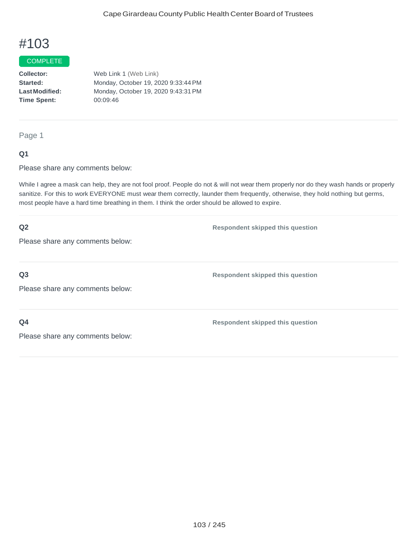#### COMPLETE

**Collector: Started: LastModified: Time Spent:**  Web Link 1 (Web Link) Monday, October 19, 2020 9:33:44PM Monday, October 19, 2020 9:43:31PM 00:09:46

Page 1

### **Q1**

Please share any comments below:

While I agree a mask can help, they are not fool proof. People do not & will not wear them properly nor do they wash hands or properly sanitize. For this to work EVERYONE must wear them correctly, launder them frequently, otherwise, they hold nothing but germs, most people have a hard time breathing in them. I think the order should be allowed to expire.

| Q2                               | <b>Respondent skipped this question</b> |
|----------------------------------|-----------------------------------------|
| Please share any comments below: |                                         |
|                                  |                                         |
| Q <sub>3</sub>                   | <b>Respondent skipped this question</b> |
| Please share any comments below: |                                         |
|                                  |                                         |
| Q <sub>4</sub>                   | <b>Respondent skipped this question</b> |
| Please share any comments below: |                                         |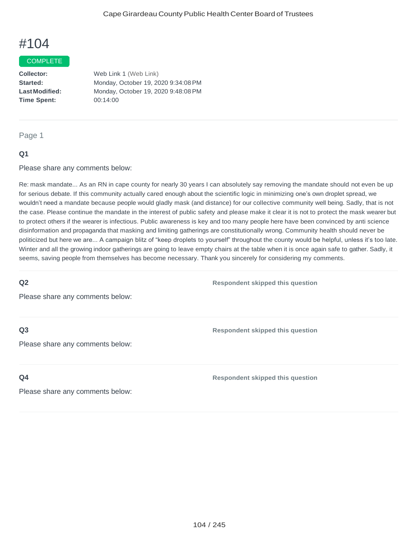#### **COMPLETE**

**Collector: Started: LastModified: Time Spent:** Web Link 1 (Web Link) Monday, October 19, 2020 9:34:08PM Monday, October 19, 2020 9:48:08PM 00:14:00

Page 1

#### **Q1**

Please share any comments below:

Re: mask mandate... As an RN in cape county for nearly 30 years I can absolutely say removing the mandate should not even be up for serious debate. If this community actually cared enough about the scientific logic in minimizing one's own droplet spread, we wouldn't need a mandate because people would gladly mask (and distance) for our collective community well being. Sadly, that is not the case. Please continue the mandate in the interest of public safety and please make it clear it is not to protect the mask wearer but to protect others if the wearer is infectious. Public awareness is key and too many people here have been convinced by anti science disinformation and propaganda that masking and limiting gatherings are constitutionally wrong. Community health should never be politicized but here we are... A campaign blitz of "keep droplets to yourself" throughout the county would be helpful, unless it's too late. Winter and all the growing indoor gatherings are going to leave empty chairs at the table when it is once again safe to gather. Sadly, it seems, saving people from themselves has become necessary. Thank you sincerely for considering my comments.

**Q2**

**Respondent skipped this question**

**Respondent skipped this question**

Please share any comments below:

## **Q3**

**Q4**

Please share any comments below:

**Respondent skipped this question**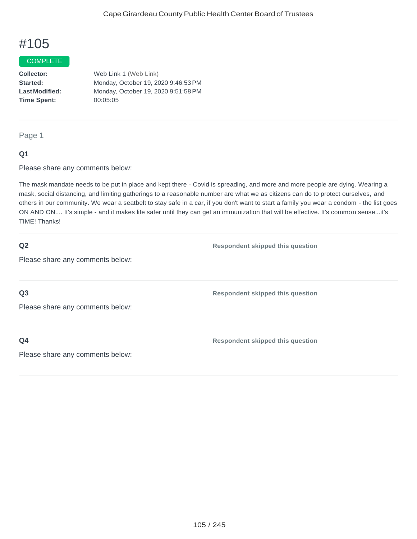#### **COMPLETE**

**Collector: Started: LastModified: Time Spent:** Web Link 1 (Web Link) Monday, October 19, 2020 9:46:53PM Monday, October 19, 2020 9:51:58PM 00:05:05

Page 1

### **Q1**

Please share any comments below:

The mask mandate needs to be put in place and kept there - Covid is spreading, and more and more people are dying. Wearing a mask, social distancing, and limiting gatherings to a reasonable number are what we as citizens can do to protect ourselves, and others in our community. We wear a seatbelt to stay safe in a car, if you don't want to start a family you wear a condom - the list goes ON AND ON.... It's simple - and it makes life safer until they can get an immunization that will be effective. It's common sense...it's TIME! Thanks!

#### **Q2**

**Respondent skipped this question**

**Respondent skipped this question**

Please share any comments below:

**Q3**

Please share any comments below:

**Q4**

**Respondent skipped this question**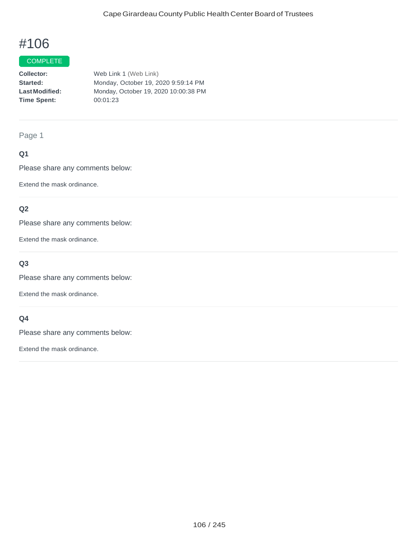## **COMPLETE**

**Collector: Started: LastModified: Time Spent:**  Web Link 1 (Web Link) Monday, October 19, 2020 9:59:14 PM Monday, October 19, 2020 10:00:38 PM 00:01:23

Page 1

### **Q1**

Please share any comments below:

Extend the mask ordinance.

### **Q2**

Please share any comments below:

Extend the mask ordinance.

## **Q3**

Please share any comments below:

Extend the mask ordinance.

### **Q4**

Please share any comments below:

Extend the mask ordinance.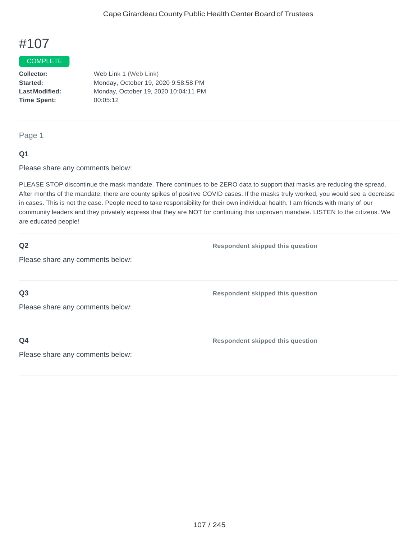#### **COMPLETE**

**Collector: Started: LastModified: Time Spent:** Web Link 1 (Web Link) Monday, October 19, 2020 9:58:58 PM Monday, October 19, 2020 10:04:11 PM 00:05:12

Page 1

### **Q1**

Please share any comments below:

PLEASE STOP discontinue the mask mandate. There continues to be ZERO data to support that masks are reducing the spread. After months of the mandate, there are county spikes of positive COVID cases. If the masks truly worked, you would see a decrease in cases. This is not the case. People need to take responsibility for their own individual health. I am friends with many of our community leaders and they privately express that they are NOT for continuing this unproven mandate. LISTEN to the citizens. We are educated people!

#### **Q2**

**Respondent skipped this question**

Please share any comments below:

**Q3**

**Respondent skipped this question**

Please share any comments below:

**Q4**

**Respondent skipped this question**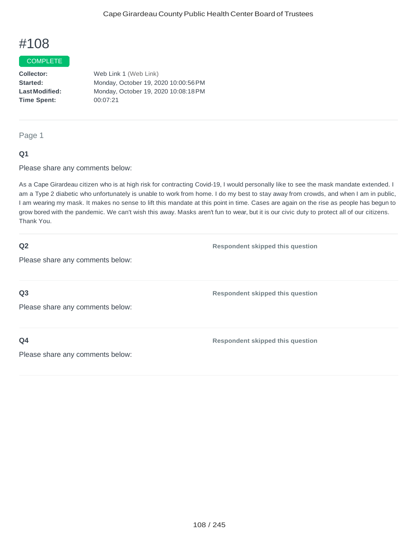#### **COMPLETE**

**Collector: Started: LastModified: Time Spent:**  Web Link 1 (Web Link) Monday, October 19, 2020 10:00:56PM Monday, October 19, 2020 10:08:18PM 00:07:21

Page 1

### **Q1**

Please share any comments below:

As a Cape Girardeau citizen who is at high risk for contracting Covid-19, I would personally like to see the mask mandate extended. I am a Type 2 diabetic who unfortunately is unable to work from home. I do my best to stay away from crowds, and when I am in public, I am wearing my mask. It makes no sense to lift this mandate at this point in time. Cases are again on the rise as people has begun to grow bored with the pandemic. We can't wish this away. Masks aren't fun to wear, but it is our civic duty to protect all of our citizens. Thank You.

#### **Q2**

**Respondent skipped this question**

**Respondent skipped this question**

Please share any comments below:

**Q3**

Please share any comments below:

**Q4**

**Respondent skipped this question**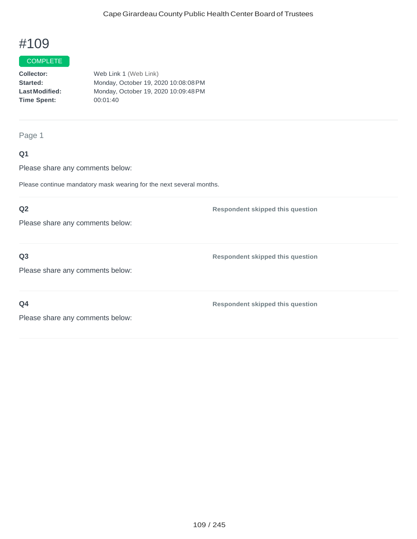#### **COMPLETE**

**Collector: Started: LastModified: Time Spent:**  Web Link 1 (Web Link) Monday, October 19, 2020 10:08:08PM Monday, October 19, 2020 10:09:48PM 00:01:40

Page 1

### **Q1**

Please share any comments below:

Please continue mandatory mask wearing for the next several months.

### **Q2**

Please share any comments below:

### **Q3**

Please share any comments below:

**Q4**

**Respondent skipped this question**

**Respondent skipped this question**

**Respondent skipped this question**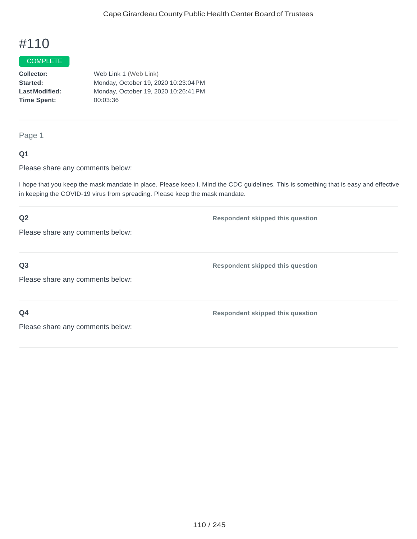#### **COMPLETE**

**Collector: Started: LastModified: Time Spent:**  Web Link 1 (Web Link) Monday, October 19, 2020 10:23:04PM Monday, October 19, 2020 10:26:41PM 00:03:36

Page 1

### **Q1**

Please share any comments below:

I hope that you keep the mask mandate in place. Please keep I. Mind the CDC guidelines. This is something that is easy and effective in keeping the COVID-19 virus from spreading. Please keep the mask mandate.

## **Q2** Please share any comments below: **Respondent skipped this question Q3** Please share any comments below: **Respondent skipped this question Q4** Please share any comments below: **Respondent skipped this question**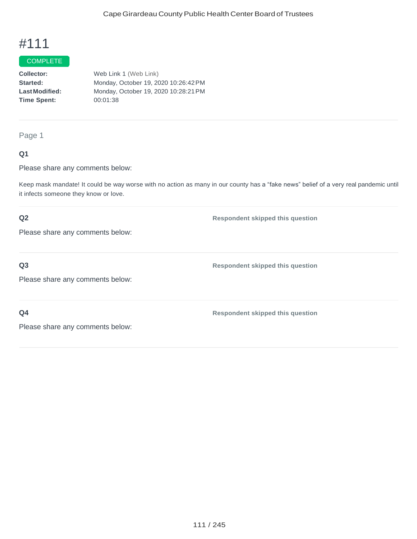## **COMPLETE**

**Collector: Started: LastModified: Time Spent:** Web Link 1 (Web Link) Monday, October 19, 2020 10:26:42PM Monday, October 19, 2020 10:28:21PM 00:01:38

Page 1

### **Q1**

Please share any comments below:

Keep mask mandate! It could be way worse with no action as many in our county has a "fake news" belief of a very real pandemic until it infects someone they know or love.

### **Q2**

Please share any comments below:

**Q3**

Please share any comments below:

**Respondent skipped this question**

**Respondent skipped this question**

**Respondent skipped this question**

**Q4**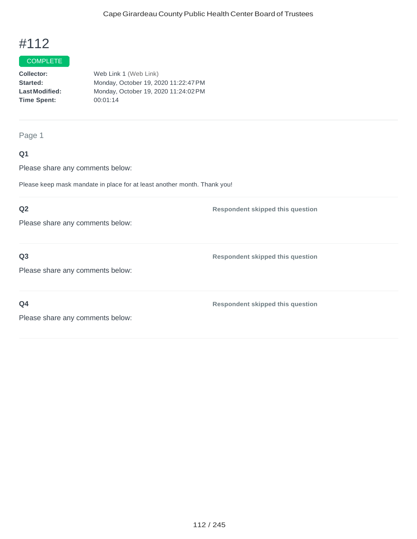## COMPLETE

**Collector: Started: LastModified: Time Spent:**  Web Link 1 (Web Link) Monday, October 19, 2020 11:22:47PM Monday, October 19, 2020 11:24:02PM 00:01:14

Page 1

### **Q1**

Please share any comments below:

Please keep mask mandate in place for at least another month. Thank you!

### **Q2**

Please share any comments below:

### **Q3**

Please share any comments below:

**Q4**

**Respondent skipped this question**

**Respondent skipped this question**

**Respondent skipped this question**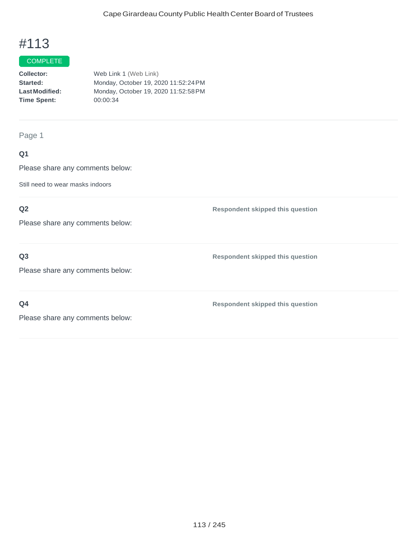#### **COMPLETE**

| <b>Collector:</b>     | Web Link 1 (Web Link)                |
|-----------------------|--------------------------------------|
| <b>Started:</b>       | Monday, October 19, 2020 11:52:24 PM |
| <b>Last Modified:</b> | Monday, October 19, 2020 11:52:58 PM |
| <b>Time Spent:</b>    | 00:00:34                             |
|                       |                                      |

Page 1

## **Q1**

Please share any comments below:

Still need to wear masks indoors

## **Q2**

Please share any comments below:

**Q3**

Please share any comments below:

**Q4**

**Respondent skipped this question**

**Respondent skipped this question**

**Respondent skipped this question**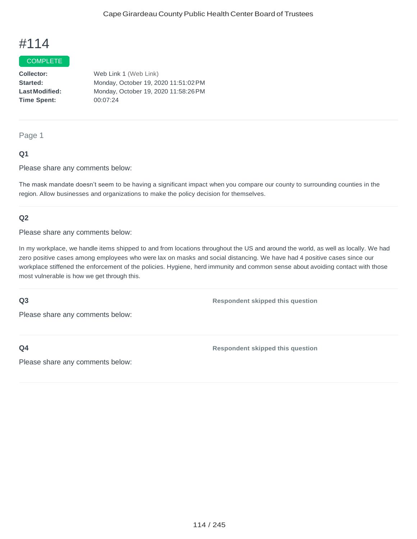#### **COMPLETE**

**Collector: Started: LastModified: Time Spent:**  Web Link 1 (Web Link) Monday, October 19, 2020 11:51:02PM Monday, October 19, 2020 11:58:26PM 00:07:24

#### Page 1

### **Q1**

Please share any comments below:

The mask mandate doesn't seem to be having a significant impact when you compare our county to surrounding counties in the region. Allow businesses and organizations to make the policy decision for themselves.

#### **Q2**

Please share any comments below:

In my workplace, we handle items shipped to and from locations throughout the US and around the world, as well as locally. We had zero positive cases among employees who were lax on masks and social distancing. We have had 4 positive cases since our workplace stiffened the enforcement of the policies. Hygiene, herd immunity and common sense about avoiding contact with those most vulnerable is how we get through this.

#### **Q3**

**Respondent skipped this question**

Please share any comments below:

**Q4**

**Respondent skipped this question**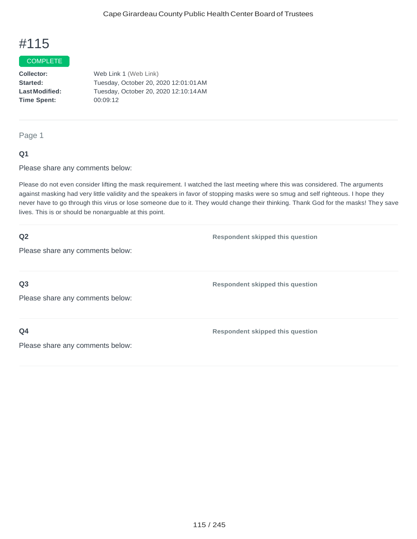#### COMPLETE

**Collector: Started: LastModified: Time Spent:**  Web Link 1 (Web Link) Tuesday, October 20, 2020 12:01:01AM Tuesday, October 20, 2020 12:10:14AM 00:09:12

Page 1

#### **Q1**

Please share any comments below:

Please do not even consider lifting the mask requirement. I watched the last meeting where this was considered. The arguments against masking had very little validity and the speakers in favor of stopping masks were so smug and self righteous. I hope they never have to go through this virus or lose someone due to it. They would change their thinking. Thank God for the masks! They save lives. This is or should be nonarguable at this point.

| Q2                               | <b>Respondent skipped this question</b> |
|----------------------------------|-----------------------------------------|
| Please share any comments below: |                                         |
|                                  |                                         |
| Q <sub>3</sub>                   | <b>Respondent skipped this question</b> |
| Please share any comments below: |                                         |
|                                  |                                         |
| Q <sub>4</sub>                   | <b>Respondent skipped this question</b> |
| Please share any comments below: |                                         |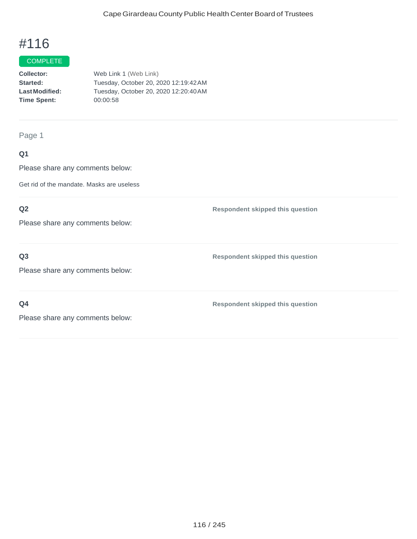#### **COMPLETE**

| <b>Collector:</b>    | Web Link 1 (Web Link)                 |
|----------------------|---------------------------------------|
| <b>Started:</b>      | Tuesday, October 20, 2020 12:19:42 AM |
| <b>LastModified:</b> | Tuesday, October 20, 2020 12:20:40 AM |
| <b>Time Spent:</b>   | 00:00:58                              |
|                      |                                       |

Page 1

## **Q1**

Please share any comments below:

Get rid of the mandate. Masks are useless

## **Q2**

Please share any comments below:

### **Q3**

Please share any comments below:

**Q4**

**Respondent skipped this question**

**Respondent skipped this question**

**Respondent skipped this question**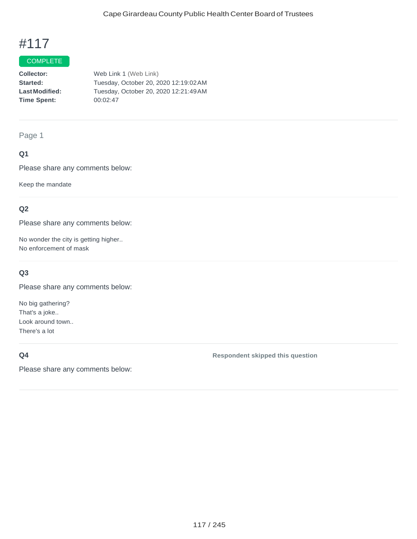## **COMPLETE**

**Collector: Started: LastModified: Time Spent:** Web Link 1 (Web Link) Tuesday, October 20, 2020 12:19:02AM Tuesday, October 20, 2020 12:21:49AM 00:02:47

#### Page 1

### **Q1**

Please share any comments below:

Keep the mandate

### **Q2**

Please share any comments below:

No wonder the city is getting higher.. No enforcement of mask

#### **Q3**

Please share any comments below:

No big gathering? That's a joke.. Look around town.. There's a lot

## **Q4**

Please share any comments below:

#### **Respondent skipped this question**

117 / 245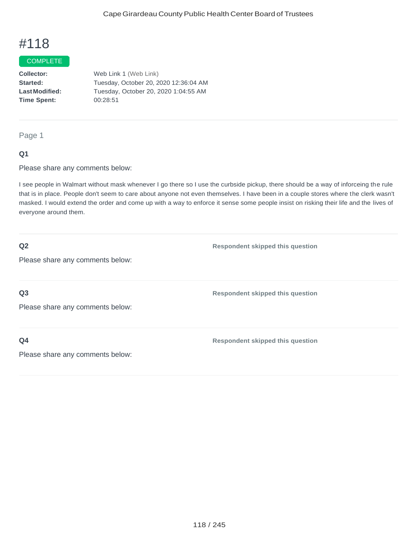#### **COMPLETE**

**Collector: Started: LastModified: Time Spent:**  Web Link 1 (Web Link) Tuesday, October 20, 2020 12:36:04 AM Tuesday, October 20, 2020 1:04:55 AM 00:28:51

Page 1

#### **Q1**

Please share any comments below:

I see people in Walmart without mask whenever I go there so I use the curbside pickup, there should be a way of inforceing the rule that is in place. People don't seem to care about anyone not even themselves. I have been in a couple stores where the clerk wasn't masked. I would extend the order and come up with a way to enforce it sense some people insist on risking their life and the lives of everyone around them.

**Q2**

**Respondent skipped this question**

Please share any comments below:

**Q3**

Please share any comments below:

**Q4**

**Respondent skipped this question**

**Respondent skipped this question**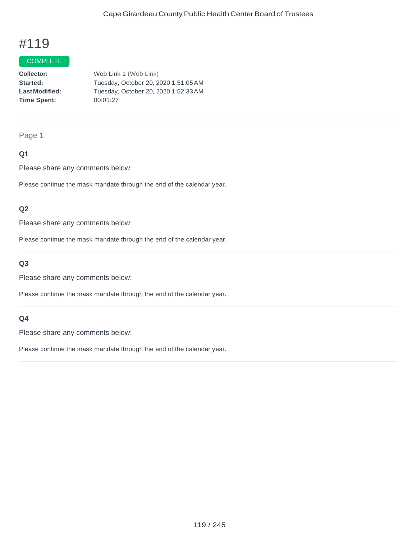#### **COMPLETE**

**Collector: Started: LastModified: Time Spent:**  Web Link 1 (Web Link) Tuesday, October 20, 2020 1:51:05AM Tuesday, October 20, 2020 1:52:33AM 00:01:27

#### Page 1

### **Q1**

Please share any comments below:

Please continue the mask mandate through the end of the calendar year.

### **Q2**

Please share any comments below:

Please continue the mask mandate through the end of the calendar year.

### **Q3**

Please share any comments below:

Please continue the mask mandate through the end of the calendar year.

#### **Q4**

Please share any comments below:

Please continue the mask mandate through the end of the calendar year.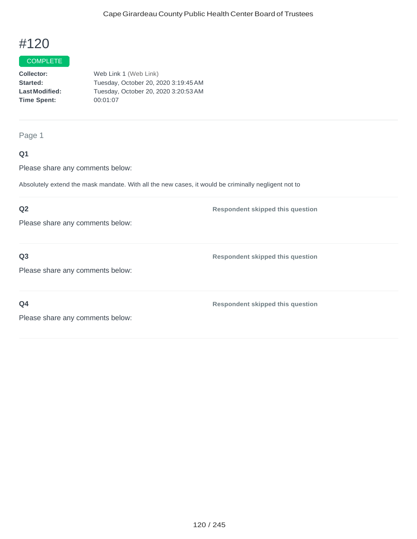## **COMPLETE**

**Collector: Started: LastModified: Time Spent:**  Web Link 1 (Web Link) Tuesday, October 20, 2020 3:19:45AM Tuesday, October 20, 2020 3:20:53AM 00:01:07

#### Page 1

### **Q1**

Please share any comments below:

Absolutely extend the mask mandate. With all the new cases, it would be criminally negligent not to

### **Q2**

Please share any comments below:

### **Q3**

Please share any comments below:

**Q4**

**Respondent skipped this question**

**Respondent skipped this question**

**Respondent skipped this question**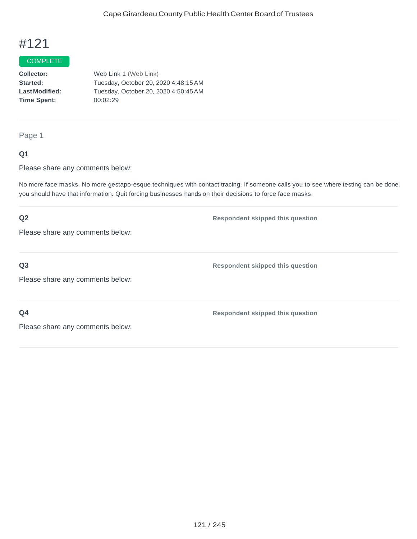#### COMPLETE

**Collector: Started: LastModified: Time Spent:** Web Link 1 (Web Link) Tuesday, October 20, 2020 4:48:15AM Tuesday, October 20, 2020 4:50:45AM 00:02:29

Page 1

### **Q1**

Please share any comments below:

No more face masks. No more gestapo-esque techniques with contact tracing. If someone calls you to see where testing can be done, you should have that information. Quit forcing businesses hands on their decisions to force face masks.

## **Q2** Please share any comments below: **Respondent skipped this question Q3** Please share any comments below: **Respondent skipped this question Q4** Please share any comments below: **Respondent skipped this question**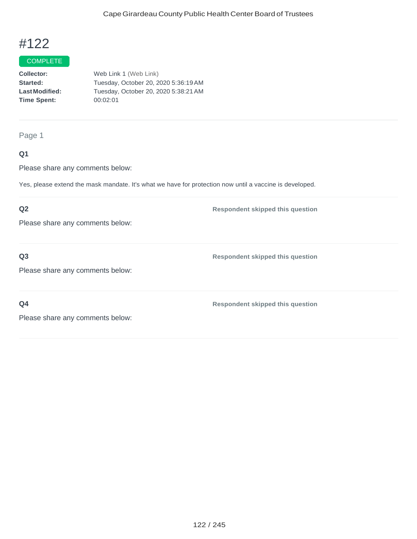#### **COMPLETE**

| <b>Collector:</b>    | Web Link 1 (Web Link)                |
|----------------------|--------------------------------------|
| <b>Started:</b>      | Tuesday, October 20, 2020 5:36:19 AM |
| <b>LastModified:</b> | Tuesday, October 20, 2020 5:38:21 AM |
| Time Spent:          | 00:02:01                             |
|                      |                                      |

Page 1

## **Q1**

Please share any comments below:

Yes, please extend the mask mandate. It's what we have for protection now until a vaccine is developed.

## **Q2**

Please share any comments below:

**Q3**

**Respondent skipped this question**

**Respondent skipped this question**

Please share any comments below:

**Q4**

**Respondent skipped this question**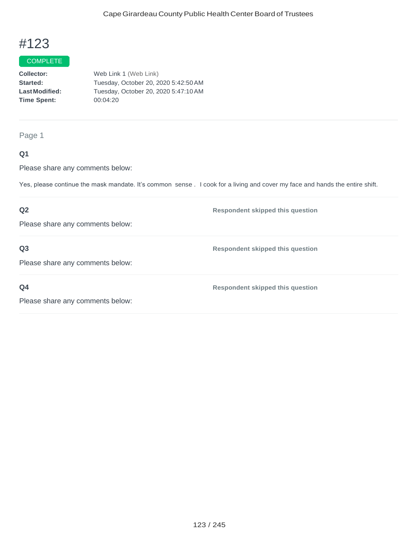#### **COMPLETE**

**Collector: Started: LastModified: Time Spent:**  Web Link 1 (Web Link) Tuesday, October 20, 2020 5:42:50AM Tuesday, October 20, 2020 5:47:10AM 00:04:20

Page 1

### **Q1**

Please share any comments below:

Yes, please continue the mask mandate. It's common sense . I cook for a living and cover my face and hands the entire shift.

## **Q2** Please share any comments below: **Respondent skipped this question Q3** Please share any comments below: **Respondent skipped this question Q4** Please share any comments below: **Respondent skipped this question**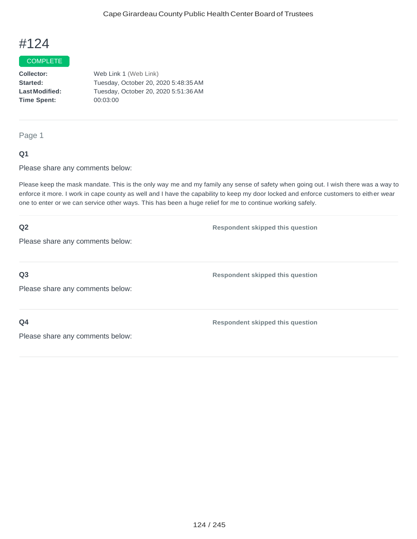#### COMPLETE

**Collector: Started: LastModified: Time Spent:** Web Link 1 (Web Link) Tuesday, October 20, 2020 5:48:35AM Tuesday, October 20, 2020 5:51:36AM 00:03:00

Page 1

#### **Q1**

Please share any comments below:

Please keep the mask mandate. This is the only way me and my family any sense of safety when going out. I wish there was a way to enforce it more. I work in cape county as well and I have the capability to keep my door locked and enforce customers to either wear one to enter or we can service other ways. This has been a huge relief for me to continue working safely.

| Q2                               | <b>Respondent skipped this question</b> |
|----------------------------------|-----------------------------------------|
| Please share any comments below: |                                         |
|                                  |                                         |
| Q <sub>3</sub>                   | <b>Respondent skipped this question</b> |
| Please share any comments below: |                                         |
|                                  |                                         |
| Q <sub>4</sub>                   | <b>Respondent skipped this question</b> |
| Please share any comments below: |                                         |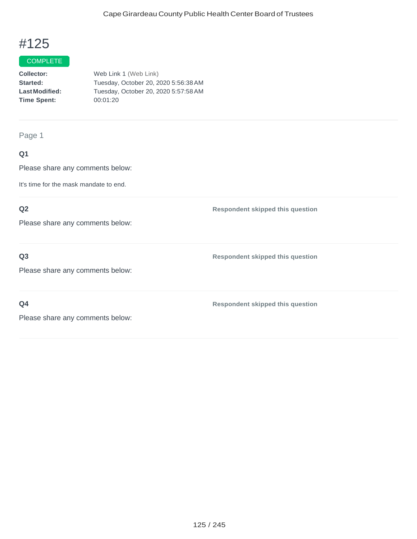#### **COMPLETE**

| <b>Collector:</b>    | Web Link 1 (Web Link)                |
|----------------------|--------------------------------------|
| <b>Started:</b>      | Tuesday, October 20, 2020 5:56:38 AM |
| <b>LastModified:</b> | Tuesday, October 20, 2020 5:57:58 AM |
| <b>Time Spent:</b>   | 00:01:20                             |
|                      |                                      |

Page 1

## **Q1**

Please share any comments below:

It's time for the mask mandate to end.

## **Q2**

Please share any comments below:

## **Q3**

Please share any comments below:

**Q4**

**Respondent skipped this question**

**Respondent skipped this question**

**Respondent skipped this question**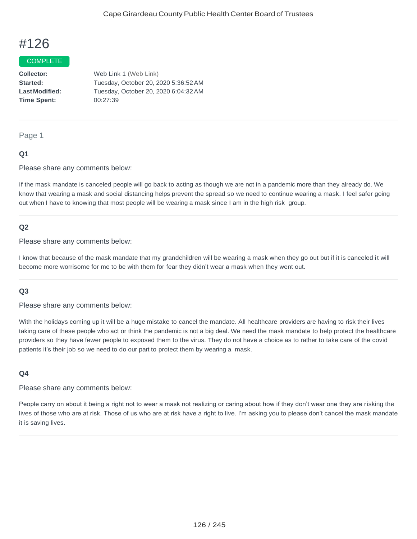#### COMPLETE

**Collector: Started: LastModified: Time Spent:** Web Link 1 (Web Link) Tuesday, October 20, 2020 5:36:52AM Tuesday, October 20, 2020 6:04:32AM 00:27:39

#### Page 1

#### **Q1**

Please share any comments below:

If the mask mandate is canceled people will go back to acting as though we are not in a pandemic more than they already do. We know that wearing a mask and social distancing helps prevent the spread so we need to continue wearing a mask. I feel safer going out when I have to knowing that most people will be wearing a mask since I am in the high risk group.

#### **Q2**

Please share any comments below:

I know that because of the mask mandate that my grandchildren will be wearing a mask when they go out but if it is canceled it will become more worrisome for me to be with them for fear they didn't wear a mask when they went out.

#### **Q3**

Please share any comments below:

With the holidays coming up it will be a huge mistake to cancel the mandate. All healthcare providers are having to risk their lives taking care of these people who act or think the pandemic is not a big deal. We need the mask mandate to help protect the healthcare providers so they have fewer people to exposed them to the virus. They do not have a choice as to rather to take care of the covid patients it's their job so we need to do our part to protect them by wearing a mask.

#### **Q4**

Please share any comments below:

People carry on about it being a right not to wear a mask not realizing or caring about how if they don't wear one they are risking the lives of those who are at risk. Those of us who are at risk have a right to live. I'm asking you to please don't cancel the mask mandate it is saving lives.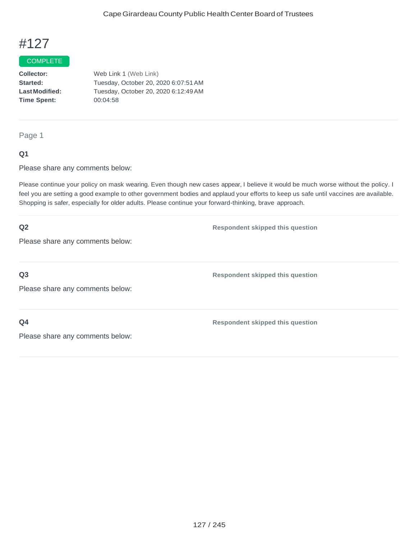#### COMPLETE

**Collector: Started: LastModified: Time Spent:**  Web Link 1 (Web Link) Tuesday, October 20, 2020 6:07:51AM Tuesday, October 20, 2020 6:12:49AM 00:04:58

Page 1

#### **Q1**

Please share any comments below:

Please continue your policy on mask wearing. Even though new cases appear, I believe it would be much worse without the policy. I feel you are setting a good example to other government bodies and applaud your efforts to keep us safe until vaccines are available. Shopping is safer, especially for older adults. Please continue your forward-thinking, brave approach.

| Q2                               | <b>Respondent skipped this question</b> |
|----------------------------------|-----------------------------------------|
| Please share any comments below: |                                         |
|                                  |                                         |
| Q <sub>3</sub>                   | <b>Respondent skipped this question</b> |
| Please share any comments below: |                                         |
| Q4                               | <b>Respondent skipped this question</b> |
|                                  |                                         |
| Please share any comments below: |                                         |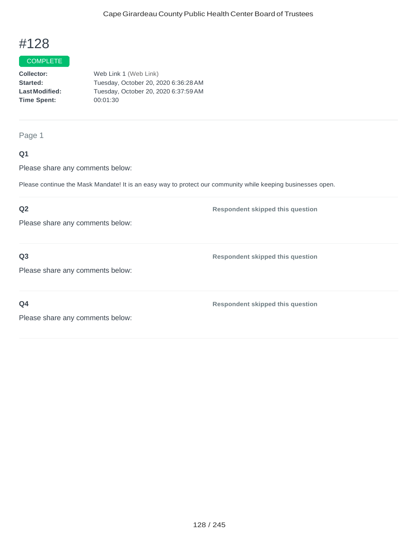#### **COMPLETE**

**Collector: Started: LastModified: Time Spent:**  Web Link 1 (Web Link) Tuesday, October 20, 2020 6:36:28AM Tuesday, October 20, 2020 6:37:59AM 00:01:30

Page 1

### **Q1**

Please share any comments below:

Please continue the Mask Mandate! It is an easy way to protect our community while keeping businesses open.

### **Q2**

Please share any comments below:

**Q3**

**Respondent skipped this question**

**Respondent skipped this question**

Please share any comments below:

**Q4**

**Respondent skipped this question**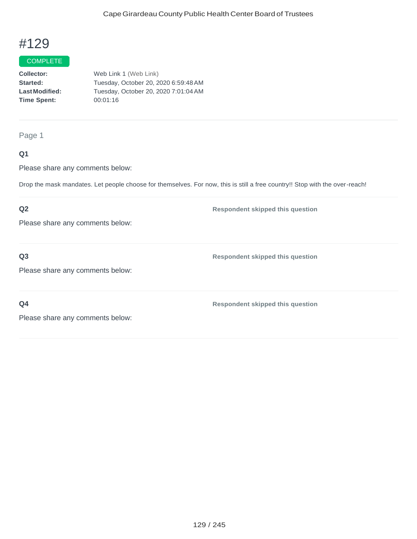#### COMPLETE

**Collector: Started: LastModified: Time Spent:**  Web Link 1 (Web Link) Tuesday, October 20, 2020 6:59:48AM Tuesday, October 20, 2020 7:01:04AM 00:01:16

Page 1

### **Q1**

Please share any comments below:

Drop the mask mandates. Let people choose for themselves. For now, this is still a free country!! Stop with the over-reach!

#### **Q2**

Please share any comments below:

**Q3**

**Respondent skipped this question**

**Respondent skipped this question**

Please share any comments below:

**Q4**

**Respondent skipped this question**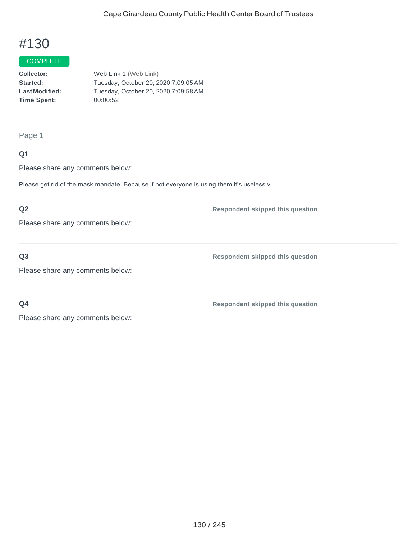## **COMPLETE**

**Collector: Started: LastModified: Time Spent:**  Web Link 1 (Web Link) Tuesday, October 20, 2020 7:09:05AM Tuesday, October 20, 2020 7:09:58AM 00:00:52

#### Page 1

### **Q1**

Please share any comments below:

Please get rid of the mask mandate. Because if not everyone is using them it's useless v

### **Q2**

Please share any comments below:

### **Q3**

**Respondent skipped this question**

**Respondent skipped this question**

Please share any comments below:

**Q4**

**Respondent skipped this question**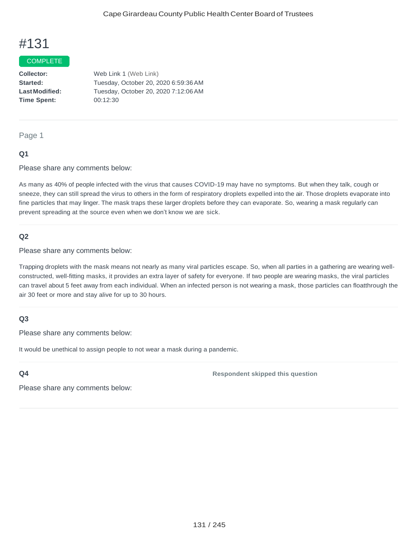#### **COMPLETE**

**Collector: Started: LastModified: Time Spent:** Web Link 1 (Web Link) Tuesday, October 20, 2020 6:59:36AM Tuesday, October 20, 2020 7:12:06AM 00:12:30

Page 1

#### **Q1**

Please share any comments below:

As many as 40% of people infected with the virus that causes COVID-19 may have no symptoms. But when they talk, cough or sneeze, they can still spread the virus to others in the form of respiratory droplets expelled into the air. Those droplets evaporate into fine particles that may linger. The mask traps these larger droplets before they can evaporate. So, wearing a mask regularly can prevent spreading at the source even when we don't know we are sick.

#### **Q2**

Please share any comments below:

Trapping droplets with the mask means not nearly as many viral particles escape. So, when all parties in a gathering are wearing wellconstructed, well-fitting masks, it provides an extra layer of safety for everyone. If two people are wearing masks, the viral particles can travel about 5 feet away from each individual. When an infected person is not wearing a mask, those particles can floatthrough the air 30 feet or more and stay alive for up to 30 hours.

#### **Q3**

Please share any comments below:

It would be unethical to assign people to not wear a mask during a pandemic.

#### **Q4**

**Respondent skipped this question**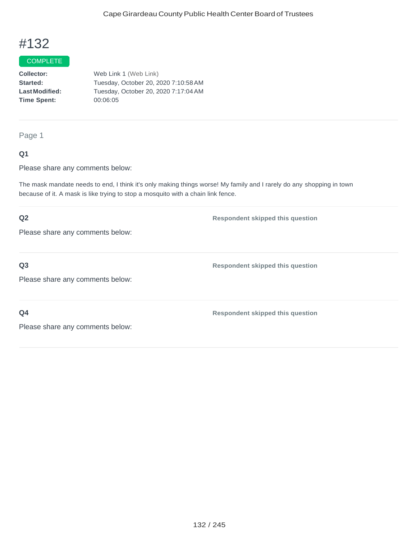#### COMPLETE

**Collector: Started: LastModified: Time Spent:**  Web Link 1 (Web Link) Tuesday, October 20, 2020 7:10:58AM Tuesday, October 20, 2020 7:17:04AM 00:06:05

Page 1

### **Q1**

Please share any comments below:

The mask mandate needs to end, I think it's only making things worse! My family and I rarely do any shopping in town because of it. A mask is like trying to stop a mosquito with a chain link fence.

# **Q2** Please share any comments below: **Respondent skipped this question**

**Q3**

Please share any comments below:

**Q4**

**Respondent skipped this question**

**Respondent skipped this question**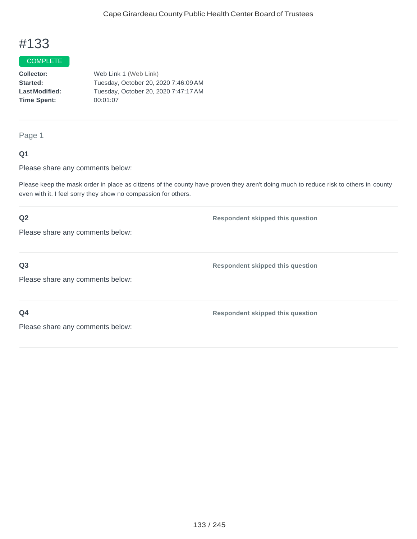#### **COMPLETE**

**Collector: Started: LastModified: Time Spent:**  Web Link 1 (Web Link) Tuesday, October 20, 2020 7:46:09AM Tuesday, October 20, 2020 7:47:17AM 00:01:07

Page 1

### **Q1**

Please share any comments below:

Please keep the mask order in place as citizens of the county have proven they aren't doing much to reduce risk to others in county even with it. I feel sorry they show no compassion for others.

## **Q2** Please share any comments below: **Respondent skipped this question Q3** Please share any comments below: **Respondent skipped this question Q4** Please share any comments below: **Respondent skipped this question**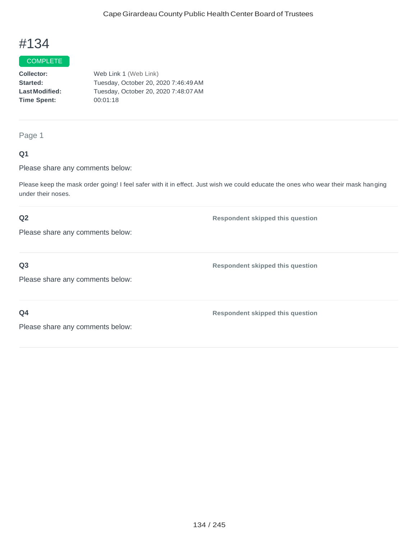#### **COMPLETE**

**Collector: Started: LastModified: Time Spent:**  Web Link 1 (Web Link) Tuesday, October 20, 2020 7:46:49AM Tuesday, October 20, 2020 7:48:07AM 00:01:18

#### Page 1

### **Q1**

Please share any comments below:

Please keep the mask order going! I feel safer with it in effect. Just wish we could educate the ones who wear their mask hanging under their noses.

### **Q2**

Please share any comments below:

**Q3**

Please share any comments below:

**Q4**

**Respondent skipped this question**

**Respondent skipped this question**

**Respondent skipped this question**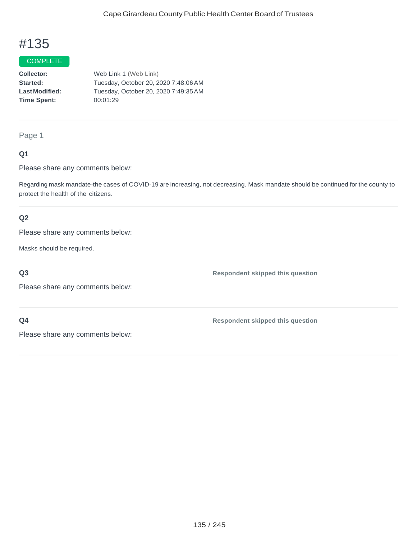#### **COMPLETE**

**Collector: Started: LastModified: Time Spent:**  Web Link 1 (Web Link) Tuesday, October 20, 2020 7:48:06AM Tuesday, October 20, 2020 7:49:35AM 00:01:29

#### Page 1

### **Q1**

Please share any comments below:

Regarding mask mandate-the cases of COVID-19 are increasing, not decreasing. Mask mandate should be continued for the county to protect the health of the citizens.

### **Q2**

Please share any comments below:

Masks should be required.

#### **Q3**

**Respondent skipped this question**

Please share any comments below:

### **Q4**

**Respondent skipped this question**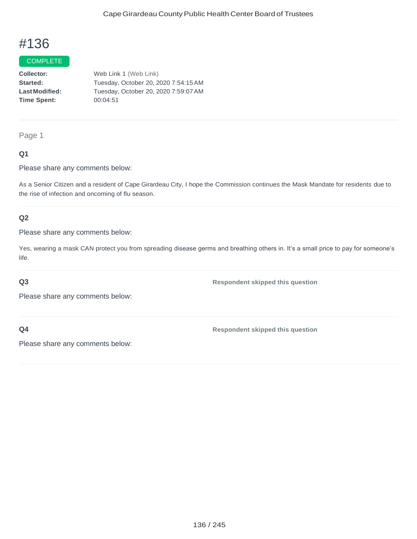#### COMPLETE

**Collector: Started: LastModified: Time Spent:** Web Link 1 (Web Link) Tuesday, October 20, 2020 7:54:15AM Tuesday, October 20, 2020 7:59:07AM 00:04:51

Page 1

### **Q1**

Please share any comments below:

As a Senior Citizen and a resident of Cape Girardeau City, I hope the Commission continues the Mask Mandate for residents due to the rise of infection and oncoming of flu season.

### **Q2**

Please share any comments below:

Yes, wearing a mask CAN protect you from spreading disease germs and breathing others in. It's a small price to pay for someone's life.

#### **Q3**

**Respondent skipped this question**

Please share any comments below:

**Q4**

**Respondent skipped this question**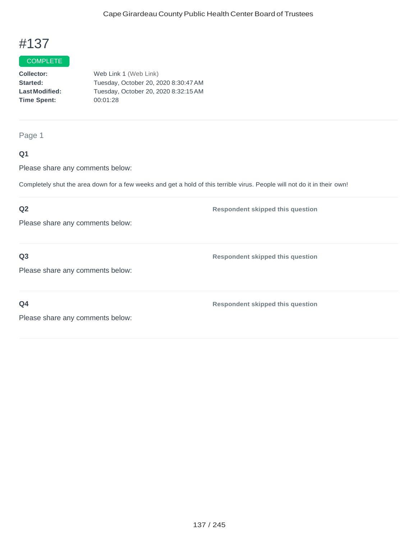## **COMPLETE**

**Collector: Started: LastModified: Time Spent:**  Web Link 1 (Web Link) Tuesday, October 20, 2020 8:30:47AM Tuesday, October 20, 2020 8:32:15AM 00:01:28

Page 1

### **Q1**

Please share any comments below:

Completely shut the area down for a few weeks and get a hold of this terrible virus. People will not do it in their own!

### **Q2**

Please share any comments below:

**Q3**

**Respondent skipped this question**

**Respondent skipped this question**

Please share any comments below:

**Q4**

**Respondent skipped this question**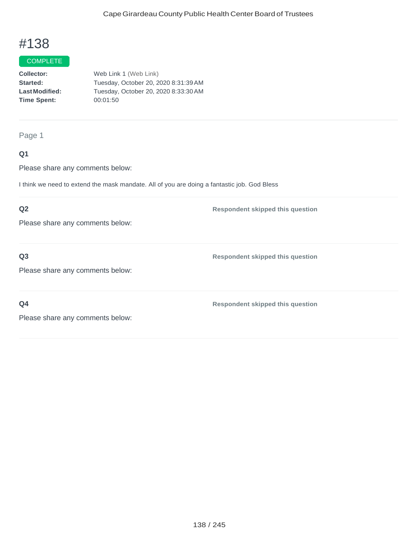## **COMPLETE**

**Collector: Started: LastModified: Time Spent:**  Web Link 1 (Web Link) Tuesday, October 20, 2020 8:31:39AM Tuesday, October 20, 2020 8:33:30AM 00:01:50

#### Page 1

### **Q1**

Please share any comments below:

I think we need to extend the mask mandate. All of you are doing a fantastic job. God Bless

### **Q2**

Please share any comments below:

### **Q3**

Please share any comments below:

**Q4**

**Respondent skipped this question**

**Respondent skipped this question**

**Respondent skipped this question**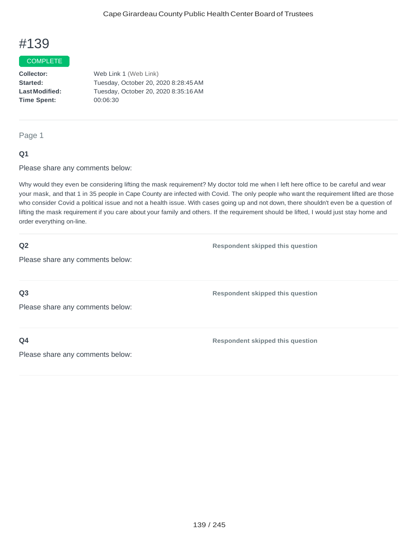#### **COMPLETE**

**Collector: Started: LastModified: Time Spent:**  Web Link 1 (Web Link) Tuesday, October 20, 2020 8:28:45AM Tuesday, October 20, 2020 8:35:16AM 00:06:30

#### Page 1

#### **Q1**

Please share any comments below:

Why would they even be considering lifting the mask requirement? My doctor told me when I left here office to be careful and wear your mask, and that 1 in 35 people in Cape County are infected with Covid. The only people who want the requirement lifted are those who consider Covid a political issue and not a health issue. With cases going up and not down, there shouldn't even be a question of lifting the mask requirement if you care about your family and others. If the requirement should be lifted, I would just stay home and order everything on-line.

#### **Q2**

**Respondent skipped this question**

**Respondent skipped this question**

Please share any comments below:

**Q3**

Please share any comments below:

**Q4**

**Respondent skipped this question**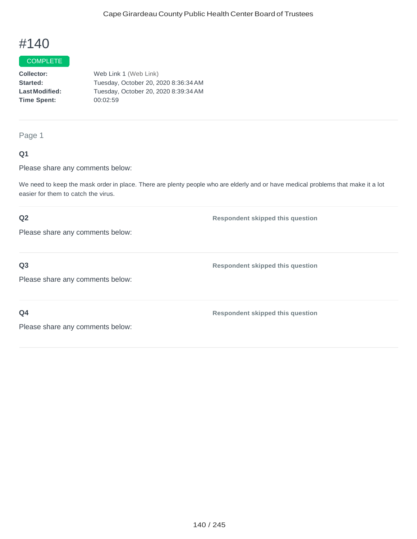#### **COMPLETE**

**Collector: Started: LastModified: Time Spent:**  Web Link 1 (Web Link) Tuesday, October 20, 2020 8:36:34AM Tuesday, October 20, 2020 8:39:34AM 00:02:59

Page 1

### **Q1**

Please share any comments below:

We need to keep the mask order in place. There are plenty people who are elderly and or have medical problems that make it a lot easier for them to catch the virus.

### **Q2**

Please share any comments below:

**Q3**

Please share any comments below:

**Q4**

**Respondent skipped this question**

**Respondent skipped this question**

**Respondent skipped this question**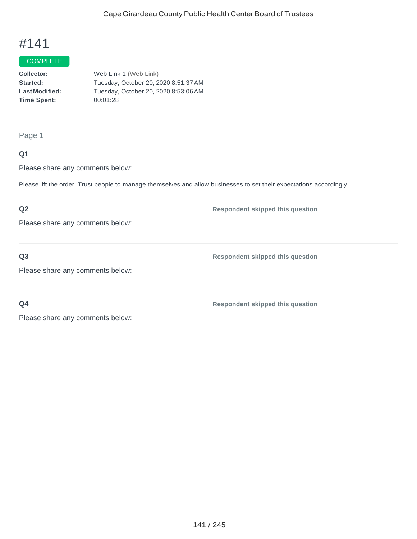## COMPLETE

**Collector: Started: LastModified: Time Spent:**  Web Link 1 (Web Link) Tuesday, October 20, 2020 8:51:37AM Tuesday, October 20, 2020 8:53:06AM 00:01:28

Page 1

### **Q1**

Please share any comments below:

Please lift the order. Trust people to manage themselves and allow businesses to set their expectations accordingly.

### **Q2**

Please share any comments below:

### **Q3**

Please share any comments below:

**Q4**

**Respondent skipped this question**

**Respondent skipped this question**

**Respondent skipped this question**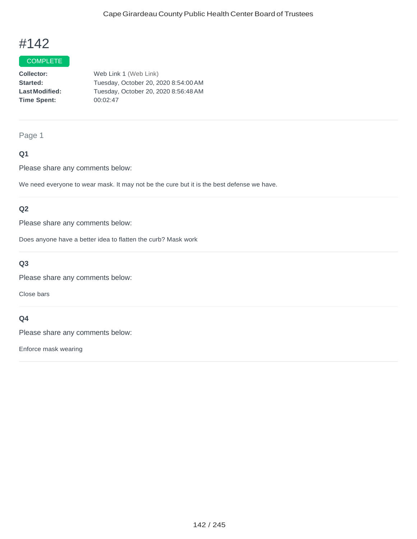## **COMPLETE**

**Collector: Started: LastModified: Time Spent:**  Web Link 1 (Web Link) Tuesday, October 20, 2020 8:54:00AM Tuesday, October 20, 2020 8:56:48AM 00:02:47

#### Page 1

### **Q1**

Please share any comments below:

We need everyone to wear mask. It may not be the cure but it is the best defense we have.

### **Q2**

Please share any comments below:

Does anyone have a better idea to flatten the curb? Mask work

### **Q3**

Please share any comments below:

Close bars

### **Q4**

Please share any comments below:

Enforce mask wearing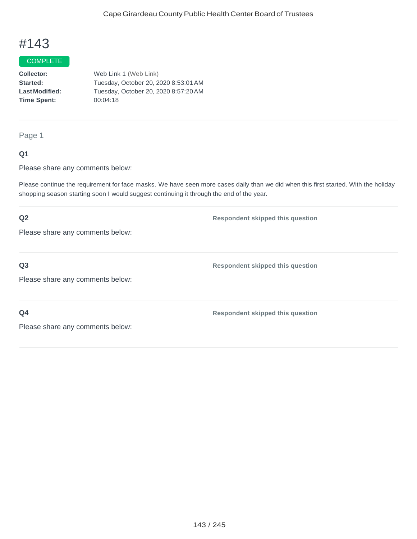#### **COMPLETE**

**Collector: Started: LastModified: Time Spent:**  Web Link 1 (Web Link) Tuesday, October 20, 2020 8:53:01AM Tuesday, October 20, 2020 8:57:20AM 00:04:18

Page 1

### **Q1**

Please share any comments below:

Please continue the requirement for face masks. We have seen more cases daily than we did when this first started. With the holiday shopping season starting soon I would suggest continuing it through the end of the year.

## **Q2** Please share any comments below: **Respondent skipped this question Q3** Please share any comments below: **Respondent skipped this question Q4** Please share any comments below: **Respondent skipped this question**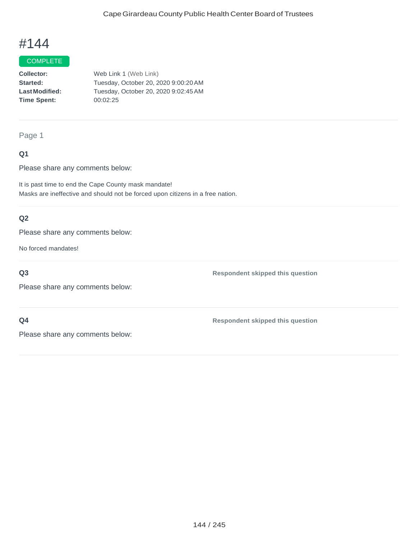#### COMPLETE

**Collector: Started: LastModified: Time Spent:** Web Link 1 (Web Link) Tuesday, October 20, 2020 9:00:20AM Tuesday, October 20, 2020 9:02:45AM 00:02:25

Page 1

### **Q1**

Please share any comments below:

It is past time to end the Cape County mask mandate! Masks are ineffective and should not be forced upon citizens in a free nation.

## **Q2**

Please share any comments below:

No forced mandates!

**Q3**

**Respondent skipped this question**

Please share any comments below:

### **Q4**

**Respondent skipped this question**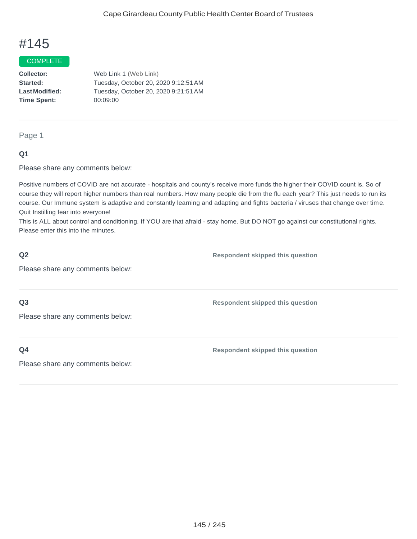#### COMPLETE

**Collector: Started: LastModified: Time Spent:**  Web Link 1 (Web Link) Tuesday, October 20, 2020 9:12:51AM Tuesday, October 20, 2020 9:21:51AM 00:09:00

Page 1

## **Q1**

Please share any comments below:

Positive numbers of COVID are not accurate - hospitals and county's receive more funds the higher their COVID count is. So of course they will report higher numbers than real numbers. How many people die from the flu each year? This just needs to run its course. Our Immune system is adaptive and constantly learning and adapting and fights bacteria / viruses that change over time. Quit Instilling fear into everyone!

This is ALL about control and conditioning. If YOU are that afraid - stay home. But DO NOT go against our constitutional rights. Please enter this into the minutes.

| Q <sub>2</sub>                   | <b>Respondent skipped this question</b> |
|----------------------------------|-----------------------------------------|
| Please share any comments below: |                                         |
|                                  |                                         |
| Q <sub>3</sub>                   | <b>Respondent skipped this question</b> |
| Please share any comments below: |                                         |
|                                  |                                         |
| Q <sub>4</sub>                   | <b>Respondent skipped this question</b> |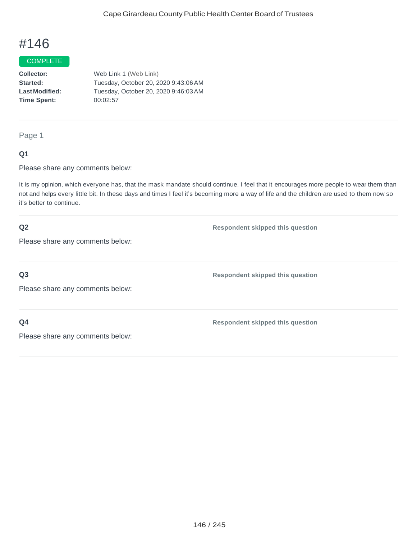#### **COMPLETE**

**Collector: Started: LastModified: Time Spent:**  Web Link 1 (Web Link) Tuesday, October 20, 2020 9:43:06AM Tuesday, October 20, 2020 9:46:03AM 00:02:57

Page 1

### **Q1**

Please share any comments below:

It is my opinion, which everyone has, that the mask mandate should continue. I feel that it encourages more people to wear them than not and helps every little bit. In these days and times I feel it's becoming more a way of life and the children are used to them now so it's better to continue.

### **Q2**

**Respondent skipped this question**

Please share any comments below:

### **Q3**

**Respondent skipped this question**

**Respondent skipped this question**

Please share any comments below:

## **Q4**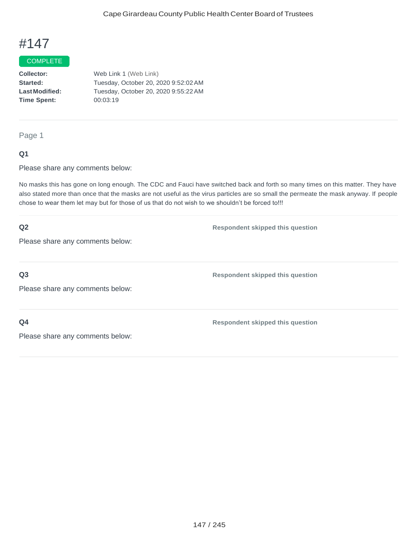### COMPLETE

**Collector: Started: LastModified: Time Spent:**  Web Link 1 (Web Link) Tuesday, October 20, 2020 9:52:02AM Tuesday, October 20, 2020 9:55:22AM 00:03:19

Page 1

### **Q1**

Please share any comments below:

No masks this has gone on long enough. The CDC and Fauci have switched back and forth so many times on this matter. They have also stated more than once that the masks are not useful as the virus particles are so small the permeate the mask anyway. If people chose to wear them let may but for those of us that do not wish to we shouldn't be forced to!!!

| Q2                               | <b>Respondent skipped this question</b> |
|----------------------------------|-----------------------------------------|
| Please share any comments below: |                                         |
|                                  |                                         |
| Q <sub>3</sub>                   | <b>Respondent skipped this question</b> |
| Please share any comments below: |                                         |
|                                  |                                         |
| Q <sub>4</sub>                   | <b>Respondent skipped this question</b> |
| Please share any comments below: |                                         |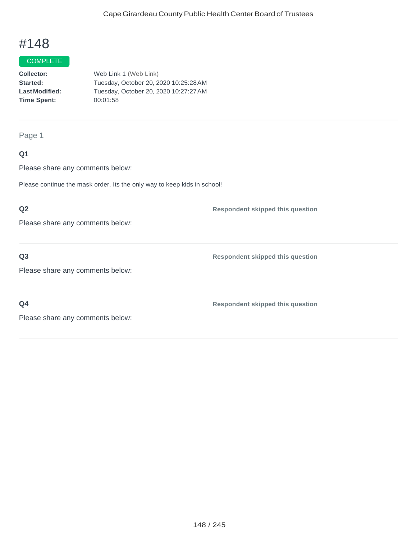# **COMPLETE**

**Collector: Started: LastModified: Time Spent:** Web Link 1 (Web Link) Tuesday, October 20, 2020 10:25:28AM Tuesday, October 20, 2020 10:27:27AM 00:01:58

#### Page 1

## **Q1**

Please share any comments below:

Please continue the mask order. Its the only way to keep kids in school!

## **Q2**

Please share any comments below:

## **Q3**

Please share any comments below:

**Q4**

**Respondent skipped this question**

**Respondent skipped this question**

**Respondent skipped this question**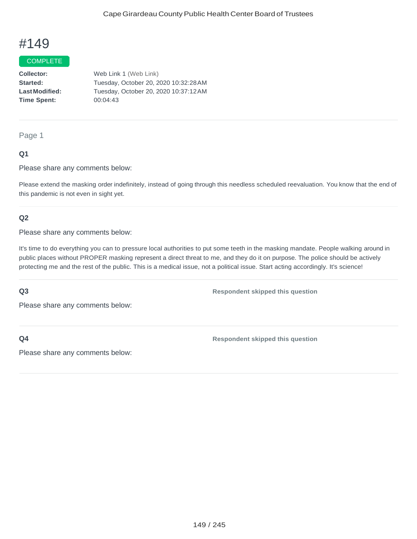### **COMPLETE**

**Collector: Started: LastModified: Time Spent:**  Web Link 1 (Web Link) Tuesday, October 20, 2020 10:32:28AM Tuesday, October 20, 2020 10:37:12AM 00:04:43

Page 1

## **Q1**

Please share any comments below:

Please extend the masking order indefinitely, instead of going through this needless scheduled reevaluation. You know that the end of this pandemic is not even in sight yet.

## **Q2**

Please share any comments below:

It's time to do everything you can to pressure local authorities to put some teeth in the masking mandate. People walking around in public places without PROPER masking represent a direct threat to me, and they do it on purpose. The police should be actively protecting me and the rest of the public. This is a medical issue, not a political issue. Start acting accordingly. It's science!

### **Q3**

**Respondent skipped this question**

Please share any comments below:

**Q4**

**Respondent skipped this question**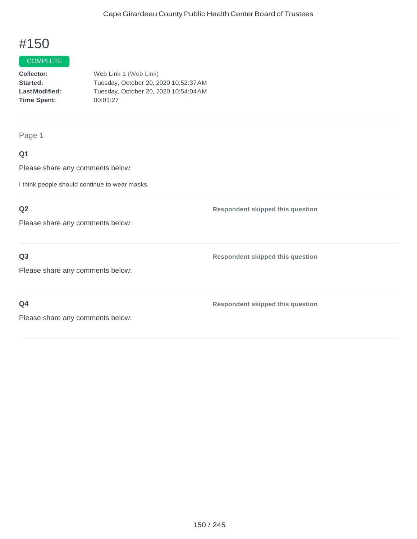# **COMPLETE**

**Collector: Started: LastModified: Time Spent:** Web Link 1 (Web Link) Tuesday, October 20, 2020 10:52:37AM Tuesday, October 20, 2020 10:54:04AM 00:01:27

Page 1

# **Q1**

Please share any comments below:

I think people should continue to wear masks.

## **Q2**

Please share any comments below:

**Q3**

Please share any comments below:

**Q4**

**Respondent skipped this question**

**Respondent skipped this question**

**Respondent skipped this question**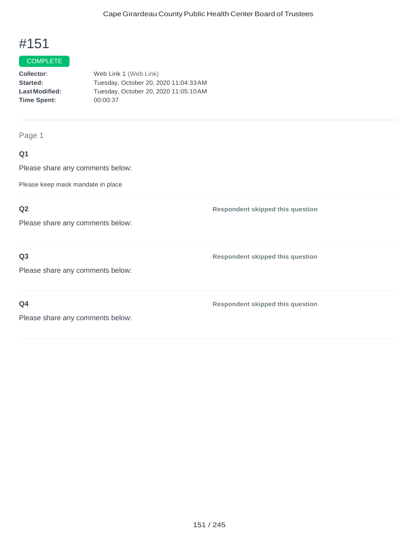### **COMPLETE**

| <b>Collector:</b>    | Web Link 1 (Web Link)                 |
|----------------------|---------------------------------------|
| <b>Started:</b>      | Tuesday, October 20, 2020 11:04:33 AM |
| <b>LastModified:</b> | Tuesday, October 20, 2020 11:05:10 AM |
| <b>Time Spent:</b>   | 00:00:37                              |
|                      |                                       |

Page 1

# **Q1**

Please share any comments below:

Please keep mask mandate in place

# **Q2**

Please share any comments below:

## **Q3**

Please share any comments below:

**Q4**

**Respondent skipped this question**

**Respondent skipped this question**

**Respondent skipped this question**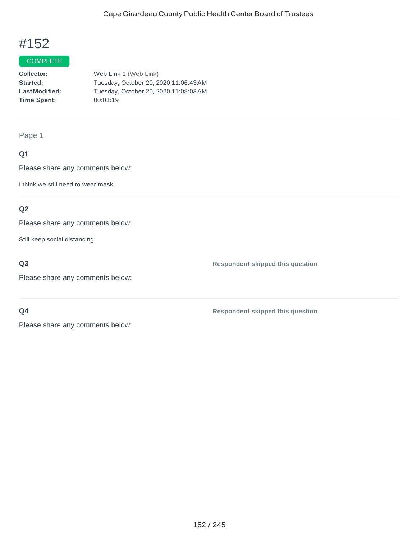**Respondent skipped this question**

**Respondent skipped this question**

# #152

# **COMPLETE**

**Collector: Started: LastModified: Time Spent:**  Web Link 1 (Web Link) Tuesday, October 20, 2020 11:06:43AM Tuesday, October 20, 2020 11:08:03AM 00:01:19

Page 1

# **Q1**

Please share any comments below:

I think we still need to wear mask

# **Q2**

Please share any comments below:

Still keep social distancing

# **Q3**

Please share any comments below:

**Q4**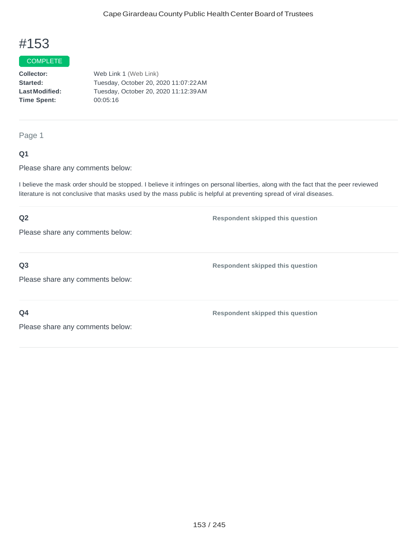#### COMPLETE

**Collector: Started: LastModified: Time Spent:**  Web Link 1 (Web Link) Tuesday, October 20, 2020 11:07:22AM Tuesday, October 20, 2020 11:12:39AM 00:05:16

Page 1

## **Q1**

Please share any comments below:

I believe the mask order should be stopped. I believe it infringes on personal liberties, along with the fact that the peer reviewed literature is not conclusive that masks used by the mass public is helpful at preventing spread of viral diseases.

# **Q2** Please share any comments below: **Respondent skipped this question Q3** Please share any comments below: **Respondent skipped this question Q4** Please share any comments below: **Respondent skipped this question**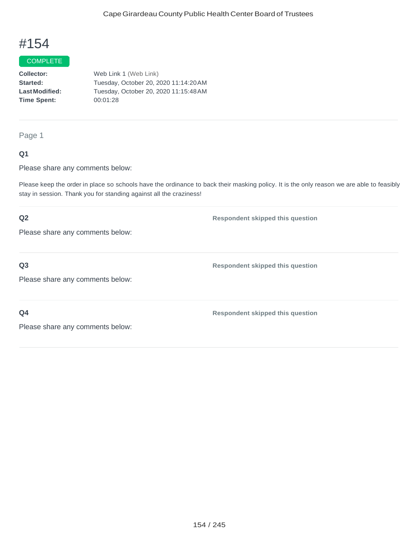#### **COMPLETE**

**Collector: Started: LastModified: Time Spent:**  Web Link 1 (Web Link) Tuesday, October 20, 2020 11:14:20AM Tuesday, October 20, 2020 11:15:48AM 00:01:28

Page 1

## **Q1**

Please share any comments below:

Please keep the order in place so schools have the ordinance to back their masking policy. It is the only reason we are able to feasibly stay in session. Thank you for standing against all the craziness!

# **Q2** Please share any comments below: **Respondent skipped this question Q3** Please share any comments below: **Respondent skipped this question Q4 Respondent skipped this question**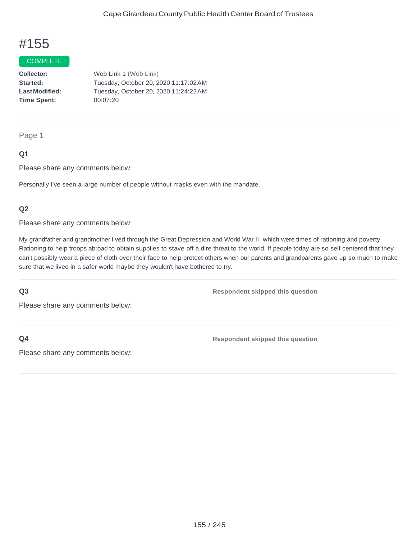#### **COMPLETE**

**Collector: Started: LastModified: Time Spent:**  Web Link 1 (Web Link) Tuesday, October 20, 2020 11:17:02AM Tuesday, October 20, 2020 11:24:22AM 00:07:20

#### Page 1

## **Q1**

Please share any comments below:

Personally I've seen a large number of people without masks even with the mandate.

### **Q2**

Please share any comments below:

My grandfather and grandmother lived through the Great Depression and World War II, which were times of rationing and poverty. Rationing to help troops abroad to obtain supplies to stave off a dire threat to the world. If people today are so self centered that they can't possibly wear a piece of cloth over their face to help protect others when our parents and grandparents gave up so much to make sure that we lived in a safer world maybe they wouldn't have bothered to try.

#### **Q3**

**Respondent skipped this question**

Please share any comments below:

**Q4**

**Respondent skipped this question**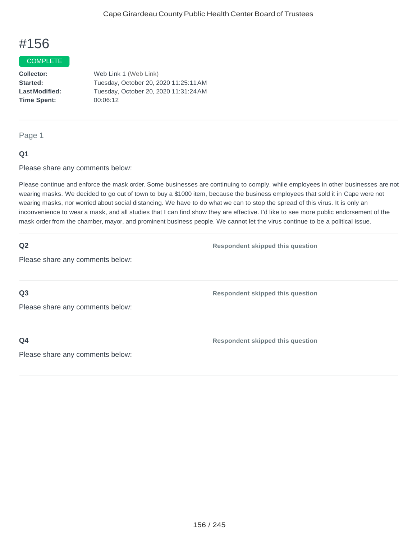#### **COMPLETE**

**Collector: Started: LastModified: Time Spent:**  Web Link 1 (Web Link) Tuesday, October 20, 2020 11:25:11AM Tuesday, October 20, 2020 11:31:24AM 00:06:12

#### Page 1

## **Q1**

Please share any comments below:

Please continue and enforce the mask order. Some businesses are continuing to comply, while employees in other businesses are not wearing masks. We decided to go out of town to buy a \$1000 item, because the business employees that sold it in Cape were not wearing masks, nor worried about social distancing. We have to do what we can to stop the spread of this virus. It is only an inconvenience to wear a mask, and all studies that I can find show they are effective. I'd like to see more public endorsement of the mask order from the chamber, mayor, and prominent business people. We cannot let the virus continue to be a political issue.

### **Q2**

**Respondent skipped this question**

**Respondent skipped this question**

Please share any comments below:

**Q3**

Please share any comments below:

**Q4**

**Respondent skipped this question**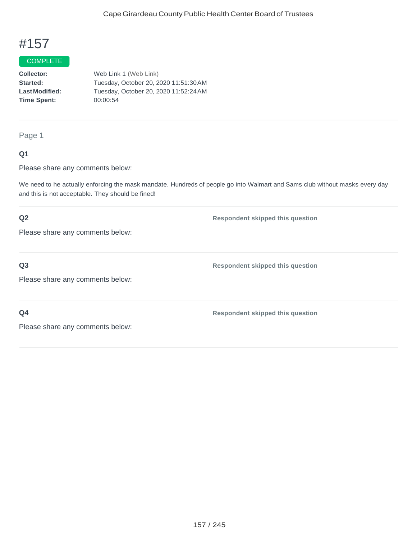#### **COMPLETE**

**Collector: Started: LastModified: Time Spent:**  Web Link 1 (Web Link) Tuesday, October 20, 2020 11:51:30AM Tuesday, October 20, 2020 11:52:24AM 00:00:54

### Page 1

## **Q1**

Please share any comments below:

We need to he actually enforcing the mask mandate. Hundreds of people go into Walmart and Sams club without masks every day and this is not acceptable. They should be fined!

## **Q2**

Please share any comments below:

# **Q3**

Please share any comments below:

**Q4**

**Respondent skipped this question**

**Respondent skipped this question**

**Respondent skipped this question**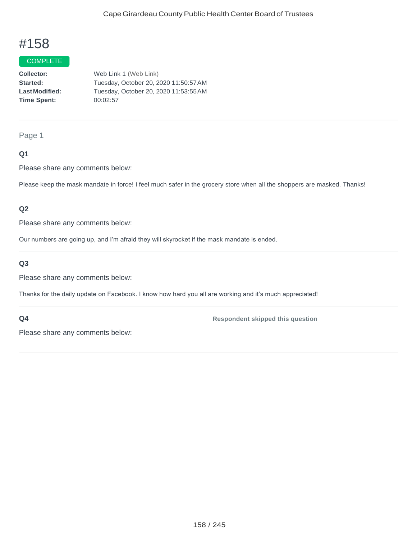#### **COMPLETE**

**Collector: Started: LastModified: Time Spent:**  Web Link 1 (Web Link) Tuesday, October 20, 2020 11:50:57AM Tuesday, October 20, 2020 11:53:55AM 00:02:57

#### Page 1

## **Q1**

Please share any comments below:

Please keep the mask mandate in force! I feel much safer in the grocery store when all the shoppers are masked. Thanks!

### **Q2**

Please share any comments below:

Our numbers are going up, and I'm afraid they will skyrocket if the mask mandate is ended.

## **Q3**

Please share any comments below:

Thanks for the daily update on Facebook. I know how hard you all are working and it's much appreciated!

#### **Q4**

**Respondent skipped this question**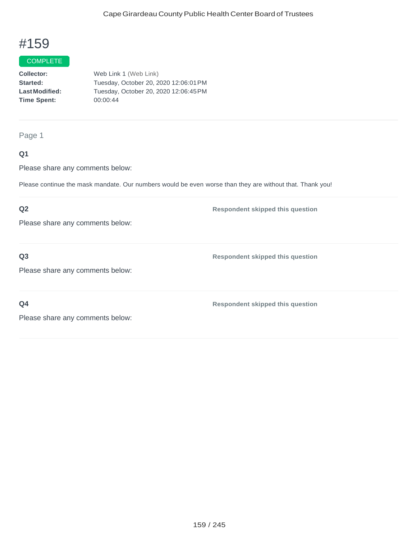# **COMPLETE**

**Collector: Started: LastModified: Time Spent:**  Web Link 1 (Web Link) Tuesday, October 20, 2020 12:06:01PM Tuesday, October 20, 2020 12:06:45PM 00:00:44

Page 1

## **Q1**

Please share any comments below:

Please continue the mask mandate. Our numbers would be even worse than they are without that. Thank you!

## **Q2**

Please share any comments below:

**Q3**

**Respondent skipped this question**

**Respondent skipped this question**

Please share any comments below:

**Q4**

**Respondent skipped this question**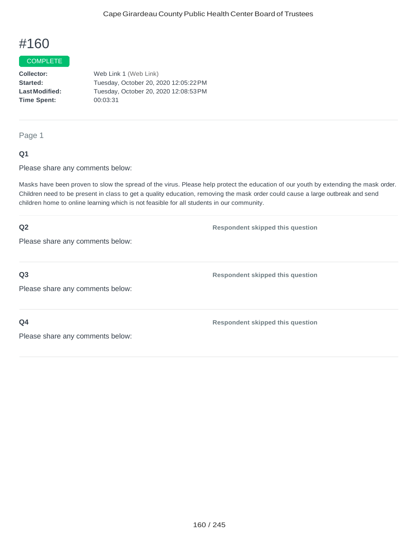### COMPLETE

**Collector: Started: LastModified: Time Spent:**  Web Link 1 (Web Link) Tuesday, October 20, 2020 12:05:22PM Tuesday, October 20, 2020 12:08:53PM 00:03:31

Page 1

### **Q1**

Please share any comments below:

Masks have been proven to slow the spread of the virus. Please help protect the education of our youth by extending the mask order. Children need to be present in class to get a quality education, removing the mask order could cause a large outbreak and send children home to online learning which is not feasible for all students in our community.

| Q2                               | <b>Respondent skipped this question</b> |
|----------------------------------|-----------------------------------------|
| Please share any comments below: |                                         |
| Q <sub>3</sub>                   | <b>Respondent skipped this question</b> |
| Please share any comments below: |                                         |
| Q <sub>4</sub>                   | <b>Respondent skipped this question</b> |
| Please share any comments below: |                                         |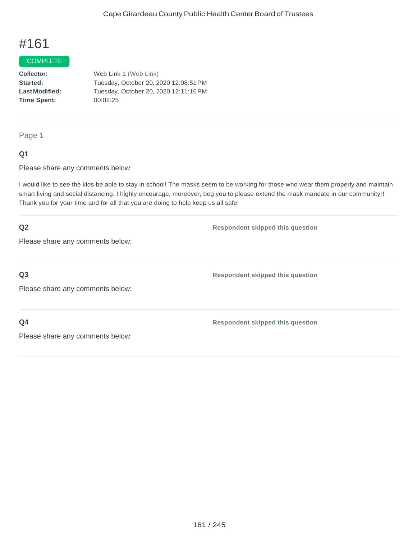### COMPLETE

**Collector: Started: LastModified: Time Spent:** Web Link 1 (Web Link) Tuesday, October 20, 2020 12:08:51PM Tuesday, October 20, 2020 12:11:16PM 00:02:25

Page 1

### **Q1**

Please share any comments below:

I would like to see the kids be able to stay in school! The masks seem to be working for those who wear them properly and maintain smart living and social distancing. I highly encourage, moreover, beg you to please extend the mask mandate in our community!! Thank you for your time and for all that you are doing to help keep us all safe!

| Q2                               | <b>Respondent skipped this question</b> |
|----------------------------------|-----------------------------------------|
| Please share any comments below: |                                         |
|                                  |                                         |
| Q <sub>3</sub>                   | <b>Respondent skipped this question</b> |
| Please share any comments below: |                                         |
|                                  |                                         |
| Q <sub>4</sub>                   | <b>Respondent skipped this question</b> |
| Please share any comments below: |                                         |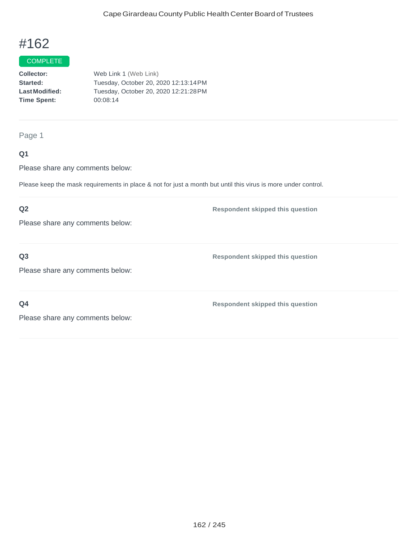# COMPLETE

**Collector: Started: LastModified: Time Spent:** Web Link 1 (Web Link) Tuesday, October 20, 2020 12:13:14PM Tuesday, October 20, 2020 12:21:28PM 00:08:14

Page 1

## **Q1**

Please share any comments below:

Please keep the mask requirements in place & not for just a month but until this virus is more under control.

## **Q2**

Please share any comments below:

**Q3**

**Respondent skipped this question**

**Respondent skipped this question**

Please share any comments below:

**Q4**

**Respondent skipped this question**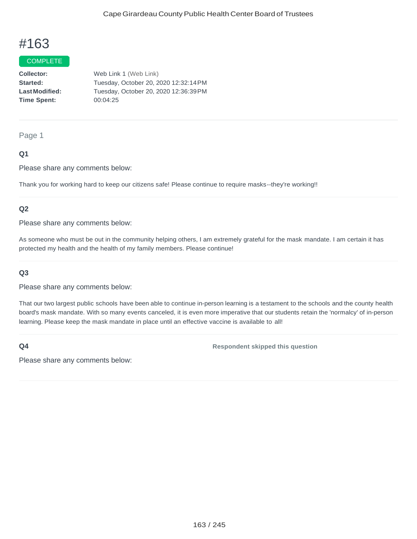#### COMPLETE

**Collector: Started: LastModified: Time Spent:**  Web Link 1 (Web Link) Tuesday, October 20, 2020 12:32:14PM Tuesday, October 20, 2020 12:36:39PM 00:04:25

#### Page 1

## **Q1**

Please share any comments below:

Thank you for working hard to keep our citizens safe! Please continue to require masks--they're working!!

#### **Q2**

Please share any comments below:

As someone who must be out in the community helping others, I am extremely grateful for the mask mandate. I am certain it has protected my health and the health of my family members. Please continue!

#### **Q3**

Please share any comments below:

That our two largest public schools have been able to continue in-person learning is a testament to the schools and the county health board's mask mandate. With so many events canceled, it is even more imperative that our students retain the 'normalcy' of in-person learning. Please keep the mask mandate in place until an effective vaccine is available to all!

#### **Q4**

**Respondent skipped this question**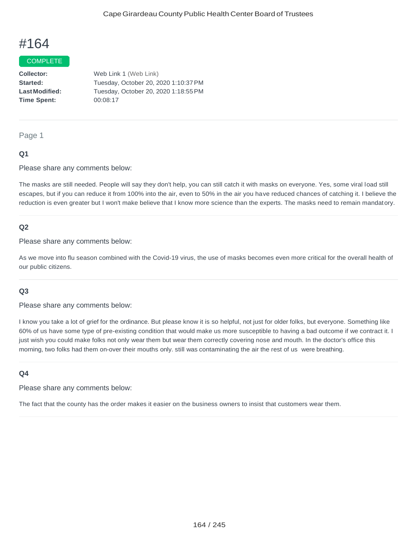#### COMPLETE

**Collector: Started: LastModified: Time Spent:**  Web Link 1 (Web Link) Tuesday, October 20, 2020 1:10:37PM Tuesday, October 20, 2020 1:18:55PM 00:08:17

#### Page 1

### **Q1**

Please share any comments below:

The masks are still needed. People will say they don't help, you can still catch it with masks on everyone. Yes, some viral load still escapes, but if you can reduce it from 100% into the air, even to 50% in the air you have reduced chances of catching it. I believe the reduction is even greater but I won't make believe that I know more science than the experts. The masks need to remain mandatory.

### **Q2**

Please share any comments below:

As we move into flu season combined with the Covid-19 virus, the use of masks becomes even more critical for the overall health of our public citizens.

#### **Q3**

Please share any comments below:

I know you take a lot of grief for the ordinance. But please know it is so helpful, not just for older folks, but everyone. Something like 60% of us have some type of pre-existing condition that would make us more susceptible to having a bad outcome if we contract it. I just wish you could make folks not only wear them but wear them correctly covering nose and mouth. In the doctor's office this morning, two folks had them on-over their mouths only. still was contaminating the air the rest of us were breathing.

#### **Q4**

Please share any comments below:

The fact that the county has the order makes it easier on the business owners to insist that customers wear them.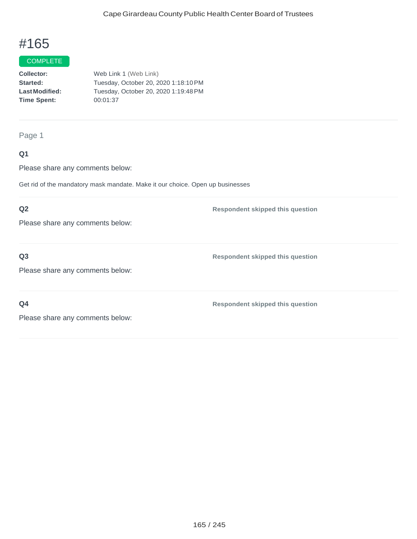# **COMPLETE**

**Collector: Started: LastModified: Time Spent:**  Web Link 1 (Web Link) Tuesday, October 20, 2020 1:18:10PM Tuesday, October 20, 2020 1:19:48PM 00:01:37

#### Page 1

## **Q1**

Please share any comments below:

Get rid of the mandatory mask mandate. Make it our choice. Open up businesses

## **Q2**

Please share any comments below:

## **Q3**

Please share any comments below:

**Q4**

**Respondent skipped this question**

**Respondent skipped this question**

**Respondent skipped this question**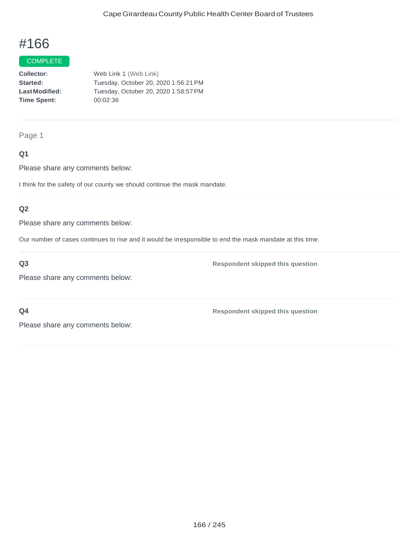### COMPLETE

**Collector: Started: LastModified: Time Spent:** Web Link 1 (Web Link) Tuesday, October 20, 2020 1:56:21PM Tuesday, October 20, 2020 1:58:57PM 00:02:36

### Page 1

## **Q1**

Please share any comments below:

I think for the safety of our county we should continue the mask mandate.

## **Q2**

Please share any comments below:

Our number of cases continues to rise and it would be irresponsible to end the mask mandate at this time.

**Q3**

Please share any comments below:

**Respondent skipped this question**

**Q4**

**Respondent skipped this question**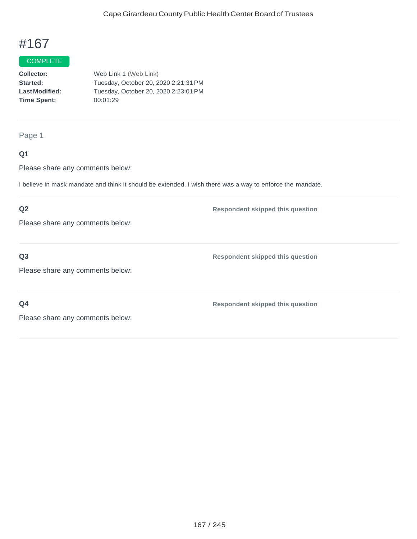### **COMPLETE**

| <b>Collector:</b>    | Web Link 1 (Web Link)                |
|----------------------|--------------------------------------|
| <b>Started:</b>      | Tuesday, October 20, 2020 2:21:31 PM |
| <b>LastModified:</b> | Tuesday, October 20, 2020 2:23:01 PM |
| <b>Time Spent:</b>   | 00:01:29                             |
|                      |                                      |

# Page 1

# **Q1**

Please share any comments below:

I believe in mask mandate and think it should be extended. I wish there was a way to enforce the mandate.

# **Q2**

Please share any comments below:

# **Q3**

**Respondent skipped this question**

Please share any comments below:

**Q4**

**Respondent skipped this question**

**Respondent skipped this question**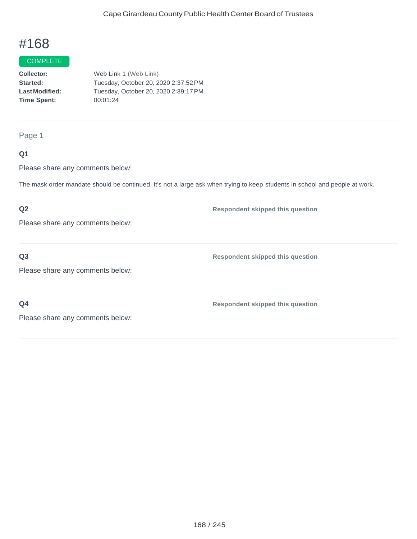### COMPLETE

**Collector: Started: LastModified: Time Spent:**  Web Link 1 (Web Link) Tuesday, October 20, 2020 2:37:52PM Tuesday, October 20, 2020 2:39:17PM 00:01:24

Page 1

## **Q1**

Please share any comments below:

The mask order mandate should be continued. It's not a large ask when trying to keep students in school and people at work.

## **Q2**

Please share any comments below:

**Q3**

**Respondent skipped this question**

**Respondent skipped this question**

Please share any comments below:

**Q4**

**Respondent skipped this question**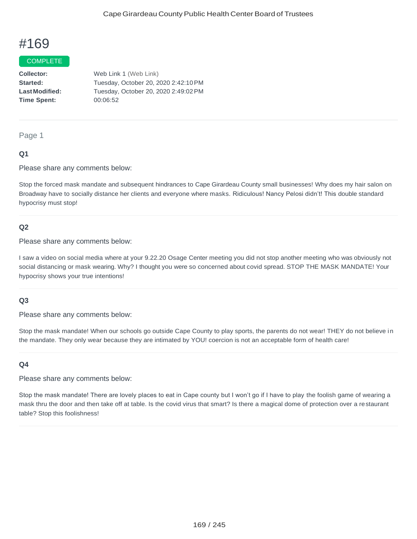#### COMPLETE

**Collector: Started: LastModified: Time Spent:** Web Link 1 (Web Link) Tuesday, October 20, 2020 2:42:10PM Tuesday, October 20, 2020 2:49:02PM 00:06:52

#### Page 1

### **Q1**

Please share any comments below:

Stop the forced mask mandate and subsequent hindrances to Cape Girardeau County small businesses! Why does my hair salon on Broadway have to socially distance her clients and everyone where masks. Ridiculous! Nancy Pelosi didn't! This double standard hypocrisy must stop!

#### **Q2**

Please share any comments below:

I saw a video on social media where at your 9.22.20 Osage Center meeting you did not stop another meeting who was obviously not social distancing or mask wearing. Why? I thought you were so concerned about covid spread. STOP THE MASK MANDATE! Your hypocrisy shows your true intentions!

### **Q3**

Please share any comments below:

Stop the mask mandate! When our schools go outside Cape County to play sports, the parents do not wear! THEY do not believe in the mandate. They only wear because they are intimated by YOU! coercion is not an acceptable form of health care!

#### **Q4**

Please share any comments below:

Stop the mask mandate! There are lovely places to eat in Cape county but I won't go if I have to play the foolish game of wearing a mask thru the door and then take off at table. Is the covid virus that smart? Is there a magical dome of protection over a restaurant table? Stop this foolishness!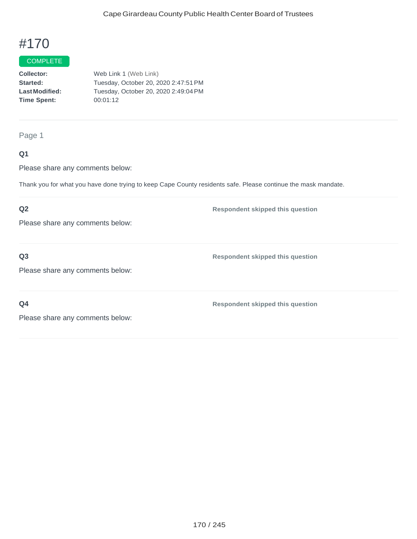# **COMPLETE**

**Collector: Started: LastModified: Time Spent:**  Web Link 1 (Web Link) Tuesday, October 20, 2020 2:47:51PM Tuesday, October 20, 2020 2:49:04PM 00:01:12

Page 1

## **Q1**

Please share any comments below:

Thank you for what you have done trying to keep Cape County residents safe. Please continue the mask mandate.

# **Q2**

Please share any comments below:

**Q3**

**Respondent skipped this question**

**Respondent skipped this question**

Please share any comments below:

**Q4**

**Respondent skipped this question**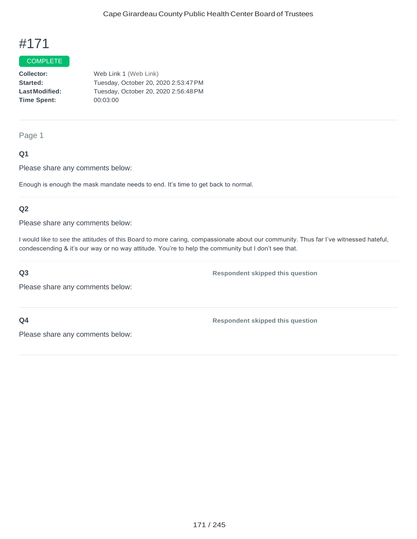### **COMPLETE**

**Collector: Started: LastModified: Time Spent:** Web Link 1 (Web Link) Tuesday, October 20, 2020 2:53:47PM Tuesday, October 20, 2020 2:56:48PM 00:03:00

Page 1

## **Q1**

Please share any comments below:

Enough is enough the mask mandate needs to end. It's time to get back to normal.

## **Q2**

Please share any comments below:

I would like to see the attitudes of this Board to more caring, compassionate about our community. Thus far I've witnessed hateful, condescending & it's our way or no way attitude. You're to help the community but I don't see that.

## **Q3**

Please share any comments below:

**Q4**

**Respondent skipped this question**

**Respondent skipped this question**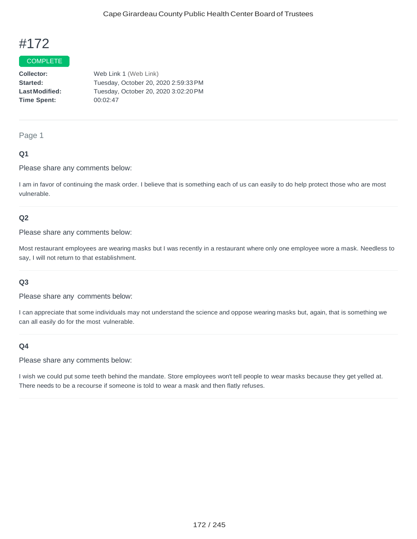### COMPLETE

**Collector: Started: LastModified: Time Spent:**  Web Link 1 (Web Link) Tuesday, October 20, 2020 2:59:33PM Tuesday, October 20, 2020 3:02:20PM 00:02:47

#### Page 1

## **Q1**

Please share any comments below:

I am in favor of continuing the mask order. I believe that is something each of us can easily to do help protect those who are most vulnerable.

## **Q2**

Please share any comments below:

Most restaurant employees are wearing masks but I was recently in a restaurant where only one employee wore a mask. Needless to say, I will not return to that establishment.

### **Q3**

Please share any comments below:

I can appreciate that some individuals may not understand the science and oppose wearing masks but, again, that is something we can all easily do for the most vulnerable.

### **Q4**

Please share any comments below:

I wish we could put some teeth behind the mandate. Store employees won't tell people to wear masks because they get yelled at. There needs to be a recourse if someone is told to wear a mask and then flatly refuses.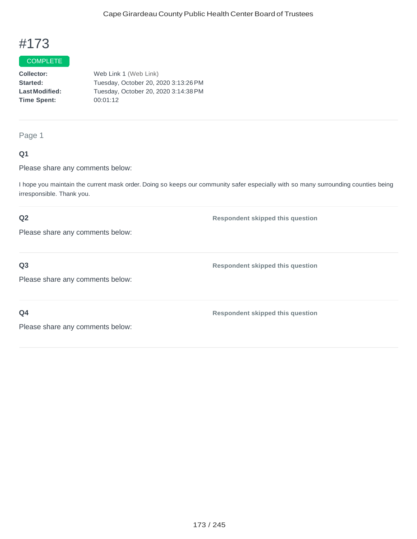#### COMPLETE

**Collector: Started: LastModified: Time Spent:** Web Link 1 (Web Link) Tuesday, October 20, 2020 3:13:26PM Tuesday, October 20, 2020 3:14:38PM 00:01:12

### Page 1

## **Q1**

Please share any comments below:

I hope you maintain the current mask order. Doing so keeps our community safer especially with so many surrounding counties being irresponsible. Thank you.

## **Q2**

Please share any comments below:

# **Q3**

Please share any comments below:

**Respondent skipped this question**

**Respondent skipped this question**

**Respondent skipped this question**

**Q4**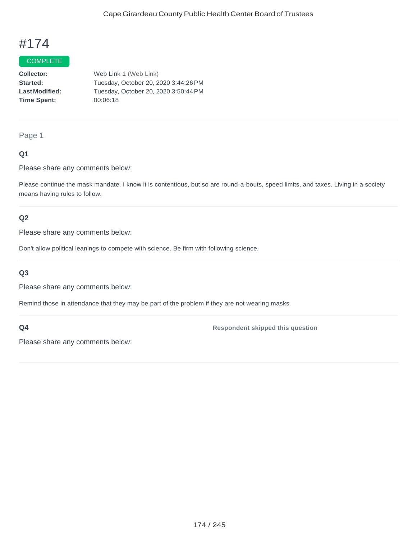### **COMPLETE**

**Collector: Started: LastModified: Time Spent:**  Web Link 1 (Web Link) Tuesday, October 20, 2020 3:44:26PM Tuesday, October 20, 2020 3:50:44PM 00:06:18

# Page 1

## **Q1**

Please share any comments below:

Please continue the mask mandate. I know it is contentious, but so are round-a-bouts, speed limits, and taxes. Living in a society means having rules to follow.

### **Q2**

Please share any comments below:

Don't allow political leanings to compete with science. Be firm with following science.

#### **Q3**

Please share any comments below:

Remind those in attendance that they may be part of the problem if they are not wearing masks.

### **Q4**

**Respondent skipped this question**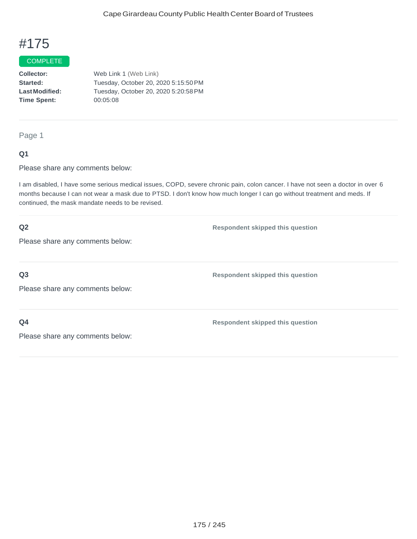## COMPLETE

**Collector: Started: LastModified: Time Spent:**  Web Link 1 (Web Link) Tuesday, October 20, 2020 5:15:50PM Tuesday, October 20, 2020 5:20:58PM 00:05:08

#### Page 1

### **Q1**

Please share any comments below:

I am disabled, I have some serious medical issues, COPD, severe chronic pain, colon cancer. I have not seen a doctor in over 6 months because I can not wear a mask due to PTSD. I don't know how much longer I can go without treatment and meds. If continued, the mask mandate needs to be revised.

| Q2                               | <b>Respondent skipped this question</b> |
|----------------------------------|-----------------------------------------|
| Please share any comments below: |                                         |
|                                  |                                         |
| Q <sub>3</sub>                   | <b>Respondent skipped this question</b> |
| Please share any comments below: |                                         |
|                                  |                                         |
| Q <sub>4</sub>                   | <b>Respondent skipped this question</b> |
| Please share any comments below: |                                         |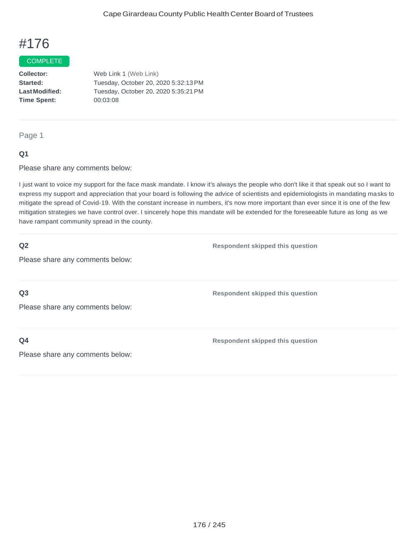#### COMPLETE

**Collector: Started: LastModified: Time Spent:**  Web Link 1 (Web Link) Tuesday, October 20, 2020 5:32:13PM Tuesday, October 20, 2020 5:35:21PM 00:03:08

### Page 1

### **Q1**

Please share any comments below:

I just want to voice my support for the face mask mandate. I know it's always the people who don't like it that speak out so I want to express my support and appreciation that your board is following the advice of scientists and epidemiologists in mandating masks to mitigate the spread of Covid-19. With the constant increase in numbers, it's now more important than ever since it is one of the few mitigation strategies we have control over. I sincerely hope this mandate will be extended for the foreseeable future as long as we have rampant community spread in the county.

### **Q2**

**Respondent skipped this question**

**Respondent skipped this question**

Please share any comments below:

**Q3**

Please share any comments below:

**Q4**

**Respondent skipped this question**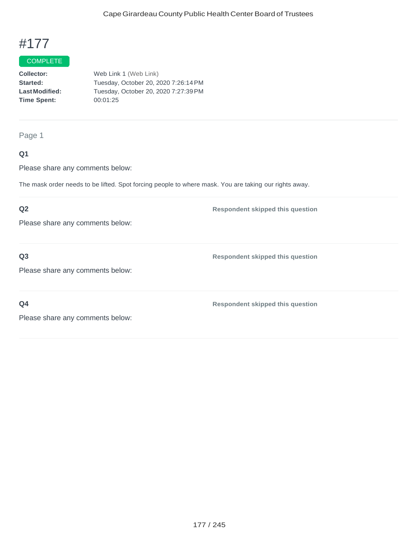# COMPLETE

**Collector: Started: LastModified: Time Spent:**  Web Link 1 (Web Link) Tuesday, October 20, 2020 7:26:14PM Tuesday, October 20, 2020 7:27:39PM 00:01:25

Page 1

## **Q1**

Please share any comments below:

The mask order needs to be lifted. Spot forcing people to where mask. You are taking our rights away.

## **Q2**

Please share any comments below:

**Q3**

**Respondent skipped this question**

**Respondent skipped this question**

Please share any comments below:

**Q4**

**Respondent skipped this question**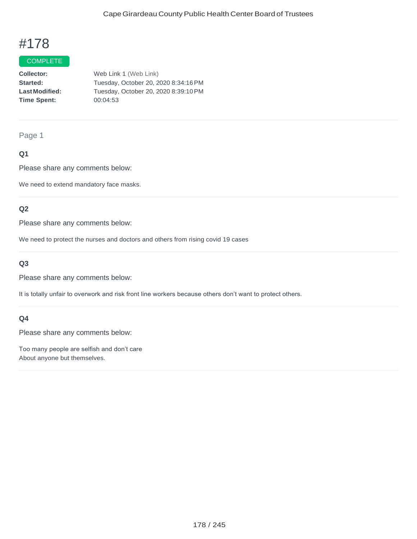#### COMPLETE

**Collector: Started: LastModified: Time Spent:**  Web Link 1 (Web Link) Tuesday, October 20, 2020 8:34:16PM Tuesday, October 20, 2020 8:39:10PM 00:04:53

Page 1

## **Q1**

Please share any comments below:

We need to extend mandatory face masks.

## **Q2**

Please share any comments below:

We need to protect the nurses and doctors and others from rising covid 19 cases

# **Q3**

Please share any comments below:

It is totally unfair to overwork and risk front line workers because others don't want to protect others.

### **Q4**

Please share any comments below:

Too many people are selfish and don't care About anyone but themselves.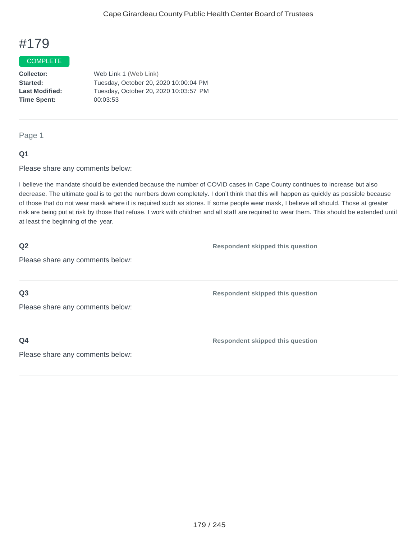#### **COMPLETE**

**Collector: Started:** Web Link 1 (Web Link) Tuesday, October 20, 2020 10:00:04 PM **Last Modified:** Tuesday, October 20, 2020 10:03:57 PM **Time Spent:** 00:03:53

#### Page 1

## **Q1**

Please share any comments below:

I believe the mandate should be extended because the number of COVID cases in Cape County continues to increase but also decrease. The ultimate goal is to get the numbers down completely. I don't think that this will happen as quickly as possible because of those that do not wear mask where it is required such as stores. If some people wear mask, I believe all should. Those at greater risk are being put at risk by those that refuse. I work with children and all staff are required to wear them. This should be extended until at least the beginning of the year.

### **Q2**

**Respondent skipped this question**

**Respondent skipped this question**

Please share any comments below:

**Q3**

Please share any comments below:

**Q4**

**Respondent skipped this question**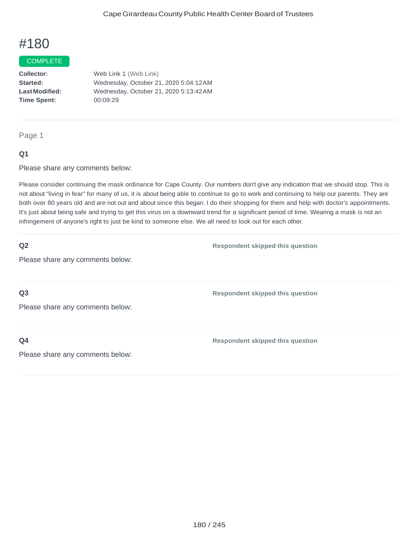#### **COMPLETE**

**Collector: Started: LastModified: Time Spent:**  Web Link 1 (Web Link) Wednesday, October 21, 2020 5:04:12AM Wednesday, October 21, 2020 5:13:42AM 00:09:29

#### Page 1

## **Q1**

Please share any comments below:

Please consider continuing the mask ordinance for Cape County. Our numbers don't give any indication that we should stop. This is not about "living in fear" for many of us, it is about being able to continue to go to work and continuing to help our parents. They are both over 80 years old and are not out and about since this began. I do their shopping for them and help with doctor's appointments. It's just about being safe and trying to get this virus on a downward trend for a significant period of time. Wearing a mask is not an infringement of anyone's right to just be kind to someone else. We all need to look out for each other.

### **Q2**

**Respondent skipped this question**

**Respondent skipped this question**

Please share any comments below:

**Q3**

Please share any comments below:

**Q4**

**Respondent skipped this question**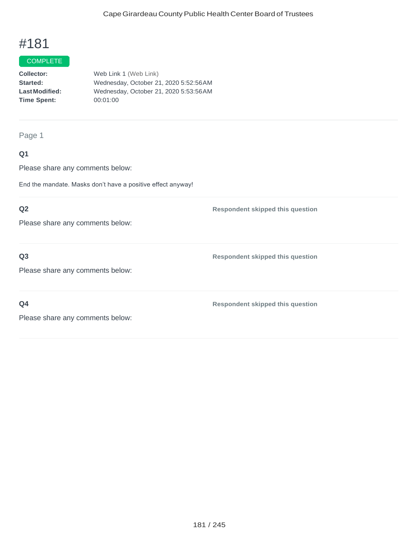## **COMPLETE**

**Collector: Started: LastModified: Time Spent:**  Web Link 1 (Web Link) Wednesday, October 21, 2020 5:52:56AM Wednesday, October 21, 2020 5:53:56AM 00:01:00

Page 1

## **Q1**

Please share any comments below:

End the mandate. Masks don't have a positive effect anyway!

## **Q2**

Please share any comments below:

## **Q3**

Please share any comments below:

**Q4**

**Respondent skipped this question**

**Respondent skipped this question**

**Respondent skipped this question**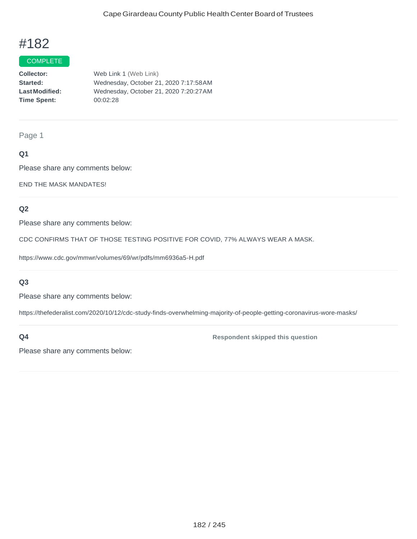### COMPLETE

**Collector: Started: LastModified: Time Spent:**  Web Link 1 (Web Link) Wednesday, October 21, 2020 7:17:58AM Wednesday, October 21, 2020 7:20:27AM 00:02:28

Page 1

## **Q1**

Please share any comments below:

END THE MASK MANDATES!

## **Q2**

Please share any comments below:

CDC CONFIRMS THAT OF THOSE TESTING POSITIVE FOR COVID, 77% ALWAYS WEAR A MASK.

https:/[/www.cdc.gov/mmwr/volumes/69/wr/pdfs/mm6936a5-H.pdf](http://www.cdc.gov/mmwr/volumes/69/wr/pdfs/mm6936a5-H.pdf)

#### **Q3**

Please share any comments below:

https://thefederalist.com/2020/10/12/cdc-study-finds-overwhelming-majority-of-people-getting-coronavirus-wore-masks/

## **Q4**

**Respondent skipped this question**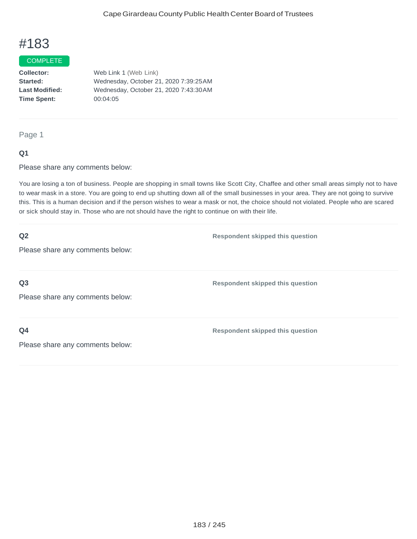### COMPLETE

**Collector:** Web Link 1 (Web Link) **Started:** Wednesday, October 21, 2020 7:39:25AM **Last Modified:** Wednesday, October 21, 2020 7:43:30AM **Time Spent:** 00:04:05

Page 1

## **Q1**

Please share any comments below:

You are losing a ton of business. People are shopping in small towns like Scott City, Chaffee and other small areas simply not to have to wear mask in a store. You are going to end up shutting down all of the small businesses in your area. They are not going to survive this. This is a human decision and if the person wishes to wear a mask or not, the choice should not violated. People who are scared or sick should stay in. Those who are not should have the right to continue on with their life.

| Q2<br>Please share any comments below:             | <b>Respondent skipped this question</b> |
|----------------------------------------------------|-----------------------------------------|
| Q <sub>3</sub><br>Please share any comments below: | <b>Respondent skipped this question</b> |
| Q <sub>4</sub><br>Please share any comments below: | <b>Respondent skipped this question</b> |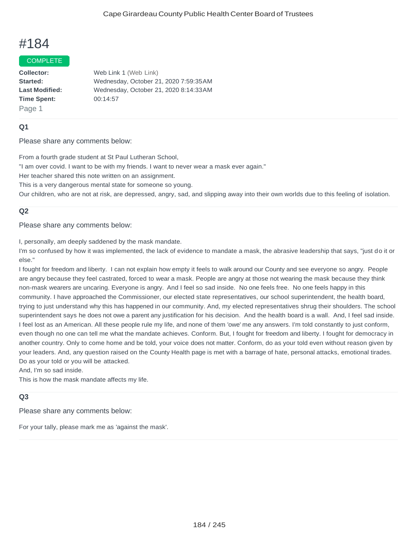#### COMPLETE

**Collector:** Web Link 1 (Web Link) **Started:** Wednesday, October 21, 2020 7:59:35AM **Last Modified:** Wednesday, October 21, 2020 8:14:33AM **Time Spent:** 00:14:57 Page 1

## **Q1**

Please share any comments below:

From a fourth grade student at St Paul Lutheran School,

"I am over covid. I want to be with my friends. I want to never wear a mask ever again."

Her teacher shared this note written on an assignment.

This is a very dangerous mental state for someone so young.

Our children, who are not at risk, are depressed, angry, sad, and slipping away into their own worlds due to this feeling of isolation.

## **Q2**

Please share any comments below:

I, personally, am deeply saddened by the mask mandate.

I'm so confused by how it was implemented, the lack of evidence to mandate a mask, the abrasive leadership that says, "just do it or else."

I fought for freedom and liberty. I can not explain how empty it feels to walk around our County and see everyone so angry. People are angry because they feel castrated, forced to wear a mask. People are angry at those not wearing the mask because they think non-mask wearers are uncaring. Everyone is angry. And I feel so sad inside. No one feels free. No one feels happy in this community. I have approached the Commissioner, our elected state representatives, our school superintendent, the health board, trying to just understand why this has happened in our community. And, my elected representatives shrug their shoulders. The school superintendent says he does not owe a parent any justification for his decision. And the health board is a wall. And, I feel sad inside. I feel lost as an American. All these people rule my life, and none of them 'owe' me any answers. I'm told constantly to just conform, even though no one can tell me what the mandate achieves. Conform. But, I fought for freedom and liberty. I fought for democracy in another country. Only to come home and be told, your voice does not matter. Conform, do as your told even without reason given by your leaders. And, any question raised on the County Health page is met with a barrage of hate, personal attacks, emotional tirades. Do as your told or you will be attacked.

And, I'm so sad inside.

This is how the mask mandate affects my life.

## **Q3**

Please share any comments below:

For your tally, please mark me as 'against the mask'.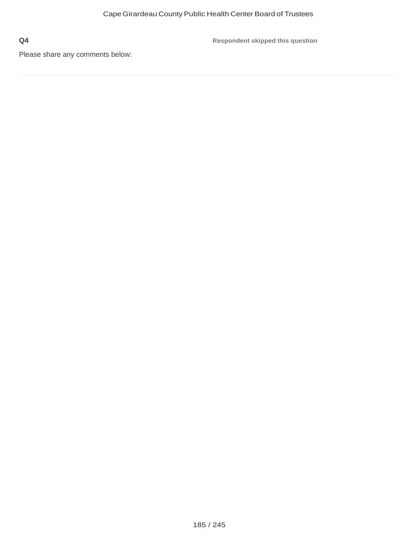**Respondent skipped this question**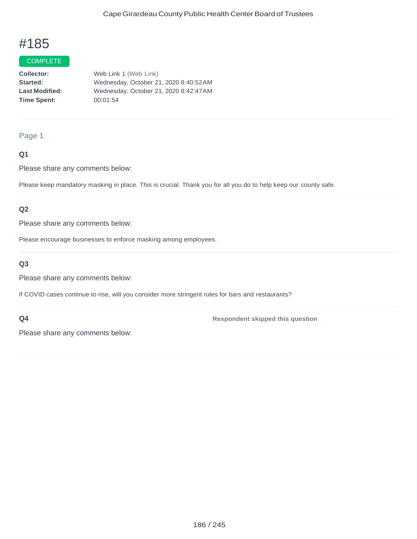### COMPLETE

**Collector:** Web Link 1 (Web Link) **Started:** Wednesday, October 21, 2020 8:40:52AM **Last Modified:** Wednesday, October 21, 2020 8:42:47AM **Time Spent:** 00:01:54

### Page 1

## **Q1**

Please share any comments below:

Please keep mandatory masking in place. This is crucial. Thank you for all you do to help keep our county safe.

## **Q2**

Please share any comments below:

Please encourage businesses to enforce masking among employees.

## **Q3**

Please share any comments below:

If COVID cases continue to rise, will you consider more stringent rules for bars and restaurants?

#### **Q4**

**Respondent skipped this question**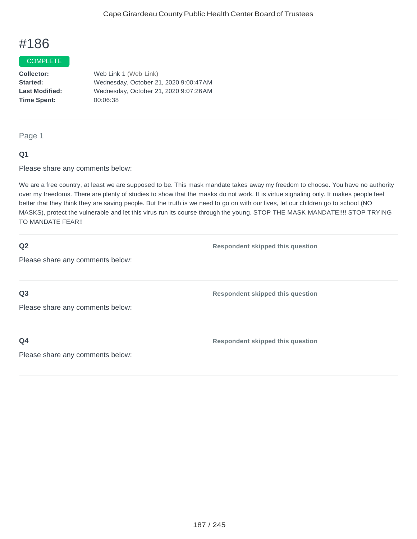#### **COMPLETE**

**Collector:** Web Link 1 (Web Link) **Started:** Wednesday, October 21, 2020 9:00:47AM **Last Modified:** Wednesday, October 21, 2020 9:07:26AM **Time Spent:** 00:06:38

#### Page 1

## **Q1**

Please share any comments below:

We are a free country, at least we are supposed to be. This mask mandate takes away my freedom to choose. You have no authority over my freedoms. There are plenty of studies to show that the masks do not work. It is virtue signaling only. It makes people feel better that they think they are saving people. But the truth is we need to go on with our lives, let our children go to school (NO MASKS), protect the vulnerable and let this virus run its course through the young. STOP THE MASK MANDATE!!!! STOP TRYING TO MANDATE FEAR!!

### **Q2**

**Respondent skipped this question**

Please share any comments below:

**Q3**

Please share any comments below:

**Q4**

**Respondent skipped this question**

**Respondent skipped this question**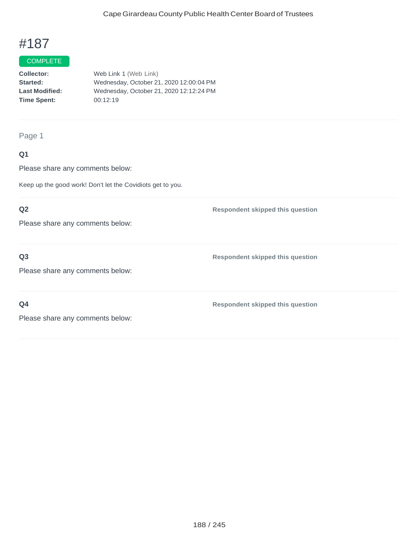## COMPLETE

**Collector:** Web Link 1 (Web Link) **Started:** Wednesday, October 21, 2020 12:00:04 PM **Last Modified:** Wednesday, October 21, 2020 12:12:24 PM **Time Spent:** 00:12:19

Page 1

## **Q1**

Please share any comments below:

Keep up the good work! Don't let the Covidiots get to you.

## **Q2**

Please share any comments below:

## **Q3**

Please share any comments below:

**Q4**

**Respondent skipped this question**

**Respondent skipped this question**

**Respondent skipped this question**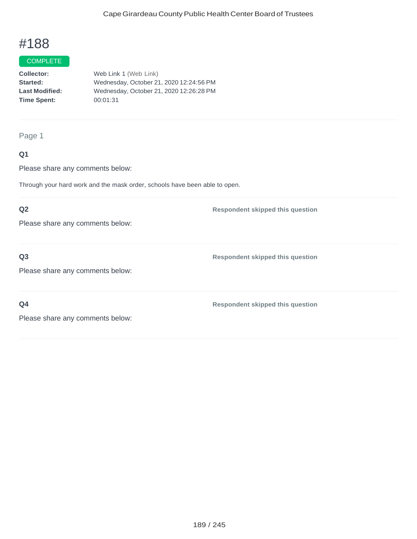## COMPLETE

**Collector:** Web Link 1 (Web Link) **Started:** Wednesday, October 21, 2020 12:24:56 PM **Last Modified:** Wednesday, October 21, 2020 12:26:28 PM **Time Spent:** 00:01:31

Page 1

## **Q1**

Please share any comments below:

Through your hard work and the mask order, schools have been able to open.

## **Q2**

Please share any comments below:

## **Q3**

Please share any comments below:

**Respondent skipped this question**

**Respondent skipped this question**

**Q4**

**Respondent skipped this question**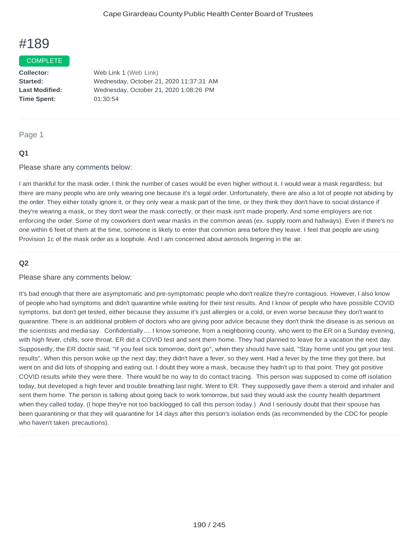#### COMPLETE

**Collector:** Web Link 1 (Web Link) **Started:** Wednesday, October 21, 2020 11:37:31 AM **Last Modified:** Wednesday, October 21, 2020 1:08:26 PM **Time Spent:** 01:30:54

## Page 1

## **Q1**

Please share any comments below:

I am thankful for the mask order. I think the number of cases would be even higher without it. I would wear a mask regardless; but there are many people who are only wearing one because it's a legal order. Unfortunately, there are also a lot of people not abiding by the order. They either totally ignore it, or they only wear a mask part of the time, or they think they don't have to social distance if they're wearing a mask, or they don't wear the mask correctly, or their mask isn't made properly. And some employers are not enforcing the order. Some of my coworkers don't wear masks in the common areas (ex. supply room and hallways). Even if there's no one within 6 feet of them at the time, someone is likely to enter that common area before they leave. I feel that people are using Provision 1c of the mask order as a loophole. And I am concerned about aerosols lingering in the air.

## **Q2**

#### Please share any comments below:

It's bad enough that there are asymptomatic and pre-symptomatic people who don't realize they're contagious. However, I also know of people who had symptoms and didn't quarantine while waiting for their test results. And I know of people who have possible COVID symptoms, but don't get tested, either because they assume it's just allergies or a cold, or even worse because they don't want to quarantine. There is an additional problem of doctors who are giving poor advice because they don't think the disease is as serious as the scientists and media say. Confidentially .... I know someone, from a neighboring county, who went to the ER on a Sunday evening, with high fever, chills, sore throat. ER did a COVID test and sent them home. They had planned to leave for a vacation the next day. Supposedly, the ER doctor said, "If you feel sick tomorrow, don't go", when they should have said, "Stay home until you get your test results". When this person woke up the next day, they didn't have a fever, so they went. Had a fever by the time they got there, but went on and did lots of shopping and eating out. I doubt they wore a mask, because they hadn't up to that point. They got positive COVID results while they were there. There would be no way to do contact tracing. This person was supposed to come off isolation today, but developed a high fever and trouble breathing last night. Went to ER. They supposedly gave them a steroid and inhaler and sent them home. The person is talking about going back to work tomorrow, but said they would ask the county health department when they called today. (I hope they're not too backlogged to call this person today.) And I seriously doubt that their spouse has been quarantining or that they will quarantine for 14 days after this person's isolation ends (as recommended by the CDC for people who haven't taken precautions).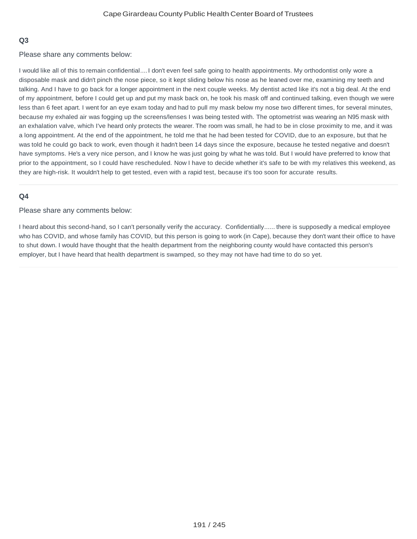## **Q3**

Please share any comments below:

I would like all of this to remain confidential....I don't even feel safe going to health appointments. My orthodontist only wore a disposable mask and didn't pinch the nose piece, so it kept sliding below his nose as he leaned over me, examining my teeth and talking. And I have to go back for a longer appointment in the next couple weeks. My dentist acted like it's not a big deal. At the end of my appointment, before I could get up and put my mask back on, he took his mask off and continued talking, even though we were less than 6 feet apart. I went for an eye exam today and had to pull my mask below my nose two different times, for several minutes, because my exhaled air was fogging up the screens/lenses I was being tested with. The optometrist was wearing an N95 mask with an exhalation valve, which I've heard only protects the wearer. The room was small, he had to be in close proximity to me, and it was a long appointment. At the end of the appointment, he told me that he had been tested for COVID, due to an exposure, but that he was told he could go back to work, even though it hadn't been 14 days since the exposure, because he tested negative and doesn't have symptoms. He's a very nice person, and I know he was just going by what he was told. But I would have preferred to know that prior to the appointment, so I could have rescheduled. Now I have to decide whether it's safe to be with my relatives this weekend, as they are high-risk. It wouldn't help to get tested, even with a rapid test, because it's too soon for accurate results.

## **Q4**

Please share any comments below:

I heard about this second-hand, so I can't personally verify the accuracy. Confidentially...... there is supposedly a medical employee who has COVID, and whose family has COVID, but this person is going to work (in Cape), because they don't want their office to have to shut down. I would have thought that the health department from the neighboring county would have contacted this person's employer, but I have heard that health department is swamped, so they may not have had time to do so yet.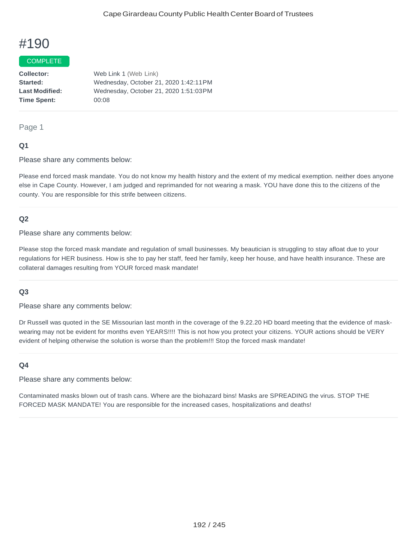## COMPLETE

**Collector:** Web Link 1 (Web Link) **Started:** Wednesday, October 21, 2020 1:42:11PM **Last Modified:** Wednesday, October 21, 2020 1:51:03PM **Time Spent:** 00:08

### Page 1

## **Q1**

Please share any comments below:

Please end forced mask mandate. You do not know my health history and the extent of my medical exemption. neither does anyone else in Cape County. However, I am judged and reprimanded for not wearing a mask. YOU have done this to the citizens of the county. You are responsible for this strife between citizens.

## **Q2**

Please share any comments below:

Please stop the forced mask mandate and regulation of small businesses. My beautician is struggling to stay afloat due to your regulations for HER business. How is she to pay her staff, feed her family, keep her house, and have health insurance. These are collateral damages resulting from YOUR forced mask mandate!

## **Q3**

Please share any comments below:

Dr Russell was quoted in the SE Missourian last month in the coverage of the 9.22.20 HD board meeting that the evidence of maskwearing may not be evident for months even YEARS!!!! This is not how you protect your citizens. YOUR actions should be VERY evident of helping otherwise the solution is worse than the problem!!! Stop the forced mask mandate!

## **Q4**

Please share any comments below:

Contaminated masks blown out of trash cans. Where are the biohazard bins! Masks are SPREADING the virus. STOP THE FORCED MASK MANDATE! You are responsible for the increased cases, hospitalizations and deaths!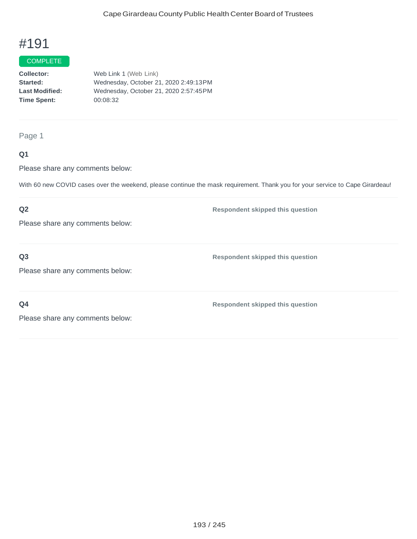## COMPLETE

**Collector:** Web Link 1 (Web Link) **Started:** Wednesday, October 21, 2020 2:49:13PM **Last Modified:** Wednesday, October 21, 2020 2:57:45PM **Time Spent:** 00:08:32

Page 1

## **Q1**

Please share any comments below:

With 60 new COVID cases over the weekend, please continue the mask requirement. Thank you for your service to Cape Girardeau!

## **Q2**

Please share any comments below:

## **Q3**

Please share any comments below:

**Respondent skipped this question**

**Respondent skipped this question**

**Q4**

**Respondent skipped this question**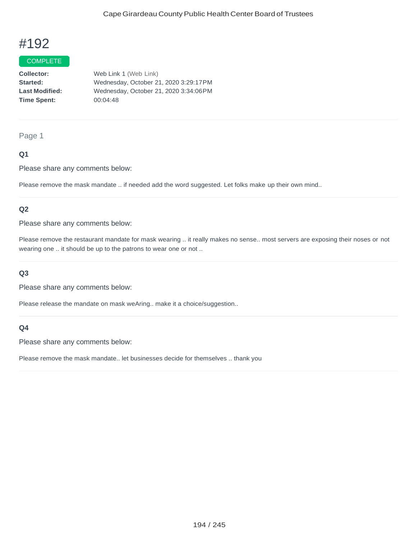### COMPLETE

**Collector:** Web Link 1 (Web Link) **Started:** Wednesday, October 21, 2020 3:29:17PM **Last Modified:** Wednesday, October 21, 2020 3:34:06PM **Time Spent:** 00:04:48

### Page 1

## **Q1**

Please share any comments below:

Please remove the mask mandate .. if needed add the word suggested. Let folks make up their own mind..

## **Q2**

Please share any comments below:

Please remove the restaurant mandate for mask wearing .. it really makes no sense.. most servers are exposing their noses or not wearing one .. it should be up to the patrons to wear one or not ..

### **Q3**

Please share any comments below:

Please release the mandate on mask weAring.. make it a choice/suggestion..

### **Q4**

Please share any comments below:

Please remove the mask mandate.. let businesses decide for themselves .. thank you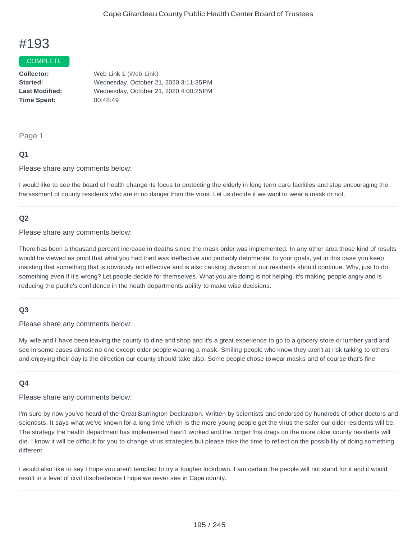#### COMPLETE

**Collector:** Web Link 1 (Web Link) **Started:** Wednesday, October 21, 2020 3:11:35PM **Last Modified:** Wednesday, October 21, 2020 4:00:25PM **Time Spent:** 00:48:49

#### Page 1

#### **Q1**

Please share any comments below:

I would like to see the board of health change its focus to protecting the elderly in long term care facilities and stop encouraging the harassment of county residents who are in no danger from the virus. Let us decide if we want to wear a mask or not.

## **Q2**

Please share any comments below:

There has been a thousand percent increase in deaths since the mask order was implemented. In any other area those kind of results would be viewed as proof that what you had tried was ineffective and probably detrimental to your goals, yet in this case you keep insisting that something that is obviously not effective and is also causing division of our residents should continue. Why, just to do something even if it's wrong? Let people decide for themselves. What you are doing is not helping, it's making people angry and is reducing the public's confidence in the heath departments ability to make wise decisions.

## **Q3**

Please share any comments below:

My wife and I have been leaving the county to dine and shop and it's a great experience to go to a grocery store or lumber yard and see in some cases almost no one except older people wearing a mask. Smiling people who know they aren't at risk talking to others and enjoying their day is the direction our county should take also. Some people chose towear masks and of course that's fine.

#### **Q4**

Please share any comments below:

I'm sure by now you've heard of the Great Barrington Declaration. Written by scientists and endorsed by hundreds of other doctors and scientists. It says what we've known for a long time which is the more young people get the virus the safer our older residents will be. The strategy the health department has implemented hasn't worked and the longer this drags on the more older county residents will die. I know it will be difficult for you to change virus strategies but please take the time to reflect on the possibility of doing something different.

I would also like to say I hope you aren't tempted to try a tougher lockdown. I am certain the people will not stand for it and it would result in a level of civil disobedience I hope we never see in Cape county.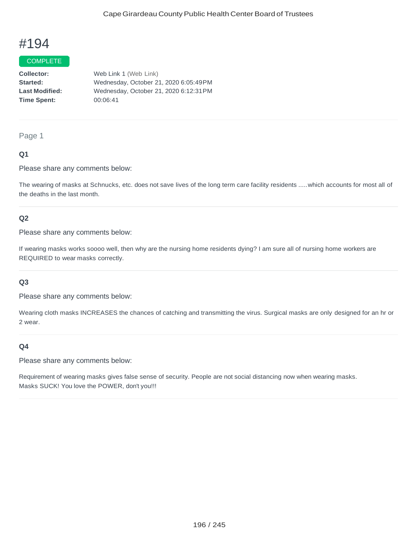### COMPLETE

**Collector:** Web Link 1 (Web Link) **Started:** Wednesday, October 21, 2020 6:05:49PM **Last Modified:** Wednesday, October 21, 2020 6:12:31PM **Time Spent:** 00:06:41

#### Page 1

## **Q1**

Please share any comments below:

The wearing of masks at Schnucks, etc. does not save lives of the long term care facility residents .....which accounts for most all of the deaths in the last month.

## **Q2**

Please share any comments below:

If wearing masks works soooo well, then why are the nursing home residents dying? I am sure all of nursing home workers are REQUIRED to wear masks correctly.

#### **Q3**

Please share any comments below:

Wearing cloth masks INCREASES the chances of catching and transmitting the virus. Surgical masks are only designed for an hr or 2 wear.

#### **Q4**

Please share any comments below:

Requirement of wearing masks gives false sense of security. People are not social distancing now when wearing masks. Masks SUCK! You love the POWER, don't you!!!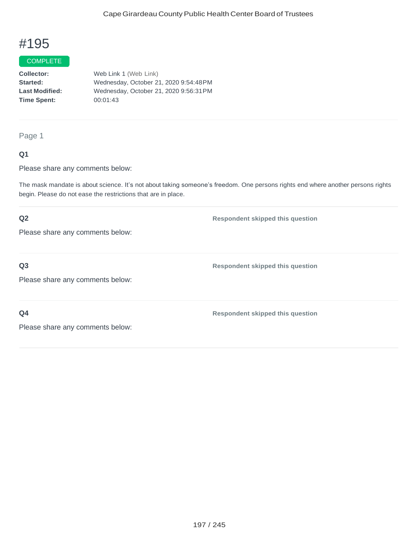#### COMPLETE

**Collector:** Web Link 1 (Web Link) **Started:** Wednesday, October 21, 2020 9:54:48PM **Last Modified:** Wednesday, October 21, 2020 9:56:31PM **Time Spent:** 00:01:43

## Page 1

## **Q1**

Please share any comments below:

The mask mandate is about science. It's not about taking someone's freedom. One persons rights end where another persons rights begin. Please do not ease the restrictions that are in place.

## **Q2**

Please share any comments below:

## **Q3**

Please share any comments below:

**Q4**

**Respondent skipped this question**

**Respondent skipped this question**

**Respondent skipped this question**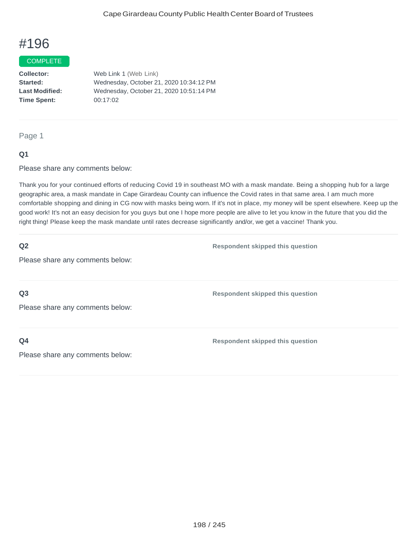#### COMPLETE

**Collector:** Web Link 1 (Web Link) **Started:** Wednesday, October 21, 2020 10:34:12 PM **Last Modified:** Wednesday, October 21, 2020 10:51:14 PM **Time Spent:** 00:17:02

#### Page 1

## **Q1**

Please share any comments below:

Thank you for your continued efforts of reducing Covid 19 in southeast MO with a mask mandate. Being a shopping hub for a large geographic area, a mask mandate in Cape Girardeau County can influence the Covid rates in that same area. I am much more comfortable shopping and dining in CG now with masks being worn. If it's not in place, my money will be spent elsewhere. Keep up the good work! It's not an easy decision for you guys but one I hope more people are alive to let you know in the future that you did the right thing! Please keep the mask mandate until rates decrease significantly and/or, we get a vaccine! Thank you.

## **Q2**

**Respondent skipped this question**

**Respondent skipped this question**

Please share any comments below:

**Q3**

Please share any comments below:

**Q4**

**Respondent skipped this question**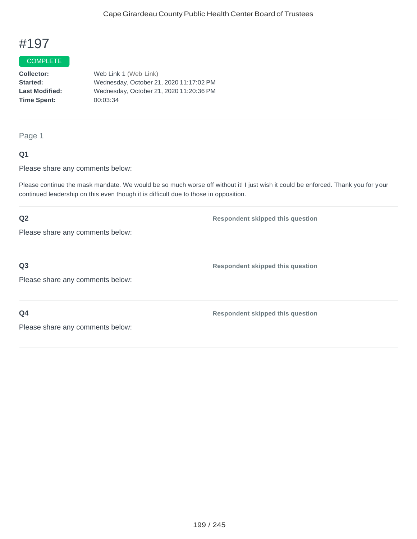### COMPLETE

**Collector:** Web Link 1 (Web Link) **Started:** Wednesday, October 21, 2020 11:17:02 PM **Last Modified:** Wednesday, October 21, 2020 11:20:36 PM **Time Spent:** 00:03:34

## Page 1

## **Q1**

Please share any comments below:

Please continue the mask mandate. We would be so much worse off without it! I just wish it could be enforced. Thank you for your continued leadership on this even though it is difficult due to those in opposition.

## **Q2** Please share any comments below: **Respondent skipped this question Q3** Please share any comments below: **Respondent skipped this question Q4** Please share any comments below: **Respondent skipped this question**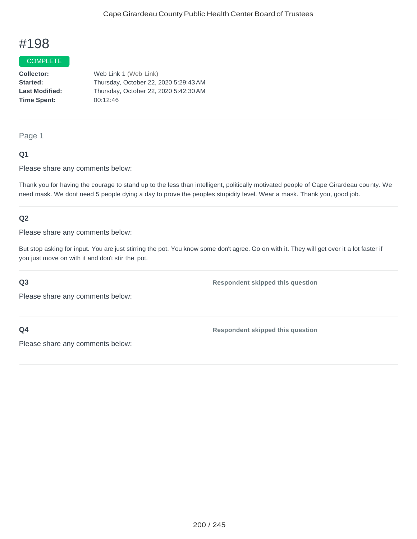#### COMPLETE

**Collector:** Web Link 1 (Web Link) **Started:** Thursday, October 22, 2020 5:29:43AM **Last Modified:** Thursday, October 22, 2020 5:42:30AM **Time Spent:** 00:12:46

Page 1

## **Q1**

Please share any comments below:

Thank you for having the courage to stand up to the less than intelligent, politically motivated people of Cape Girardeau county. We need mask. We dont need 5 people dying a day to prove the peoples stupidity level. Wear a mask. Thank you, good job.

## **Q2**

Please share any comments below:

But stop asking for input. You are just stirring the pot. You know some don't agree. Go on with it. They will get over it a lot faster if you just move on with it and don't stir the pot.

#### **Q3**

**Respondent skipped this question**

Please share any comments below:

**Q4**

**Respondent skipped this question**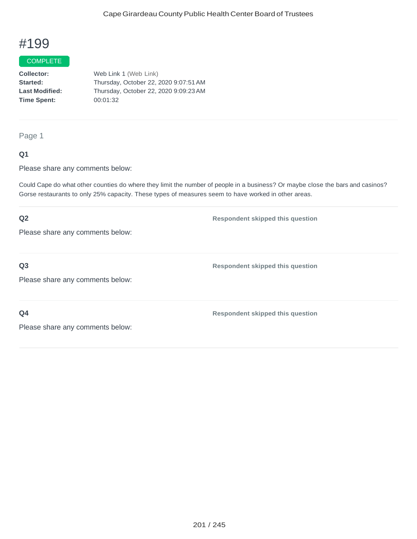#### **COMPLETE**

**Collector:** Web Link 1 (Web Link) **Started:** Thursday, October 22, 2020 9:07:51AM **Last Modified:** Thursday, October 22, 2020 9:09:23AM **Time Spent:** 00:01:32

Page 1

## **Q1**

Please share any comments below:

Could Cape do what other counties do where they limit the number of people in a business? Or maybe close the bars and casinos? Gorse restaurants to only 25% capacity. These types of measures seem to have worked in other areas.

## **Q2** Please share any comments below: **Respondent skipped this question Q3** Please share any comments below: **Respondent skipped this question Q4** Please share any comments below: **Respondent skipped this question**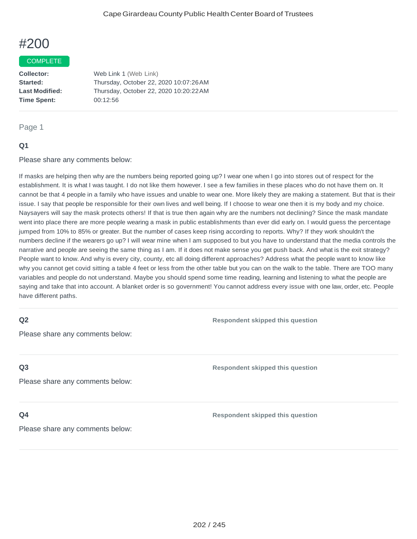#### **COMPLETE**

**Collector:** Web Link 1 (Web Link) **Started:** Thursday, October 22, 2020 10:07:26AM **Last Modified:** Thursday, October 22, 2020 10:20:22AM **Time Spent:** 00:12:56

#### Page 1

## **Q1**

Please share any comments below:

If masks are helping then why are the numbers being reported going up? I wear one when I go into stores out of respect for the establishment. It is what I was taught. I do not like them however. I see a few families in these places who do not have them on. It cannot be that 4 people in a family who have issues and unable to wear one. More likely they are making a statement. But that is their issue. I say that people be responsible for their own lives and well being. If I choose to wear one then it is my body and my choice. Naysayers will say the mask protects others! If that is true then again why are the numbers not declining? Since the mask mandate went into place there are more people wearing a mask in public establishments than ever did early on. I would guess the percentage jumped from 10% to 85% or greater. But the number of cases keep rising according to reports. Why? If they work shouldn't the numbers decline if the wearers go up? I will wear mine when I am supposed to but you have to understand that the media controls the narrative and people are seeing the same thing as I am. If it does not make sense you get push back. And what is the exit strategy? People want to know. And why is every city, county, etc all doing different approaches? Address what the people want to know like why you cannot get covid sitting a table 4 feet or less from the other table but you can on the walk to the table. There are TOO many variables and people do not understand. Maybe you should spend some time reading, learning and listening to what the people are saying and take that into account. A blanket order is so government! You cannot address every issue with one law, order, etc. People have different paths.

## **Q2**

Please share any comments below:

## **Q3**

Please share any comments below:

### **Q4**

Please share any comments below:

**Respondent skipped this question**

**Respondent skipped this question**

**Respondent skipped this question**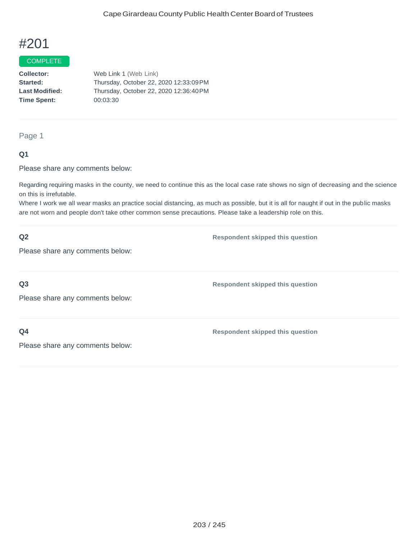#### COMPLETE

**Collector:** Web Link 1 (Web Link) **Started:** Thursday, October 22, 2020 12:33:09PM **Last Modified:** Thursday, October 22, 2020 12:36:40PM **Time Spent:** 00:03:30

Page 1

## **Q1**

Please share any comments below:

Regarding requiring masks in the county, we need to continue this as the local case rate shows no sign of decreasing and the science on this is irrefutable.

Where I work we all wear masks an practice social distancing, as much as possible, but it is all for naught if out in the public masks are not worn and people don't take other common sense precautions. Please take a leadership role on this.

| Q2                               | <b>Respondent skipped this question</b> |
|----------------------------------|-----------------------------------------|
| Please share any comments below: |                                         |
|                                  |                                         |
| Q <sub>3</sub>                   | <b>Respondent skipped this question</b> |
| Please share any comments below: |                                         |
|                                  |                                         |
| Q <sub>4</sub>                   | <b>Respondent skipped this question</b> |
| Please share any comments below: |                                         |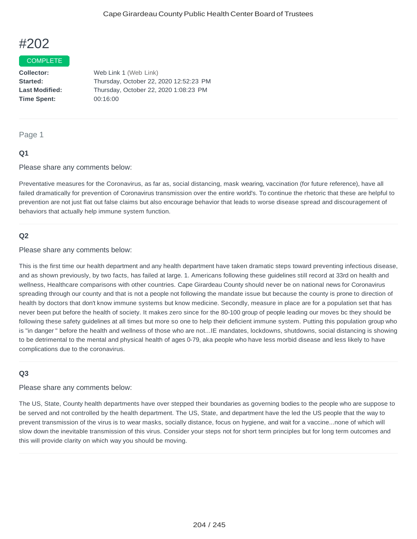#### COMPLETE

**Collector:** Web Link 1 (Web Link) **Started:** Thursday, October 22, 2020 12:52:23 PM **Last Modified:** Thursday, October 22, 2020 1:08:23 PM **Time Spent:** 00:16:00

### Page 1

## **Q1**

Please share any comments below:

Preventative measures for the Coronavirus, as far as, social distancing, mask wearing, vaccination (for future reference), have all failed dramatically for prevention of Coronavirus transmission over the entire world's. To continue the rhetoric that these are helpful to prevention are not just flat out false claims but also encourage behavior that leads to worse disease spread and discouragement of behaviors that actually help immune system function.

#### **Q2**

Please share any comments below:

This is the first time our health department and any health department have taken dramatic steps toward preventing infectious disease, and as shown previously, by two facts, has failed at large. 1. Americans following these guidelines still record at 33rd on health and wellness, Healthcare comparisons with other countries. Cape Girardeau County should never be on national news for Coronavirus spreading through our county and that is not a people not following the mandate issue but because the county is prone to direction of health by doctors that don't know immune systems but know medicine. Secondly, measure in place are for a population set that has never been put before the health of society. It makes zero since for the 80-100 group of people leading our moves bc they should be following these safety guidelines at all times but more so one to help their deficient immune system. Putting this population group who is "in danger " before the health and wellness of those who are not...IE mandates, lockdowns, shutdowns, social distancing is showing to be detrimental to the mental and physical health of ages 0-79, aka people who have less morbid disease and less likely to have complications due to the coronavirus.

## **Q3**

Please share any comments below:

The US, State, County health departments have over stepped their boundaries as governing bodies to the people who are suppose to be served and not controlled by the health department. The US, State, and department have the led the US people that the way to prevent transmission of the virus is to wear masks, socially distance, focus on hygiene, and wait for a vaccine...none of which will slow down the inevitable transmission of this virus. Consider your steps not for short term principles but for long term outcomes and this will provide clarity on which way you should be moving.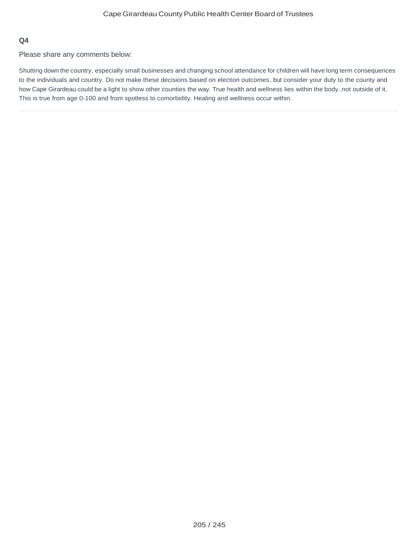## **Q4**

Please share any comments below:

Shutting down the country, especially small businesses and changing school attendance for children will have long term consequences to the individuals and country. Do not make these decisions based on election outcomes, but consider your duty to the county and how Cape Girardeau could be a light to show other counties the way. True health and wellness lies within the body..not outside of it. This is true from age 0-100 and from spotless to comorbidity. Healing and wellness occur within.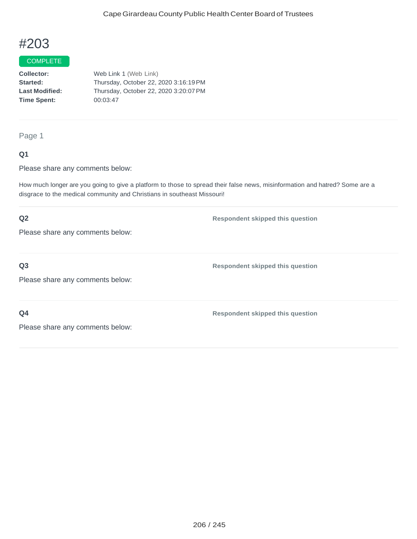### COMPLETE

**Collector:** Web Link 1 (Web Link) **Started:** Thursday, October 22, 2020 3:16:19PM **Last Modified:** Thursday, October 22, 2020 3:20:07PM **Time Spent:** 00:03:47

Page 1

## **Q1**

Please share any comments below:

How much longer are you going to give a platform to those to spread their false news, misinformation and hatred? Some are a disgrace to the medical community and Christians in southeast Missouri!

## **Q2** Please share any comments below: **Respondent skipped this question Q3** Please share any comments below: **Respondent skipped this question Q4** Please share any comments below: **Respondent skipped this question**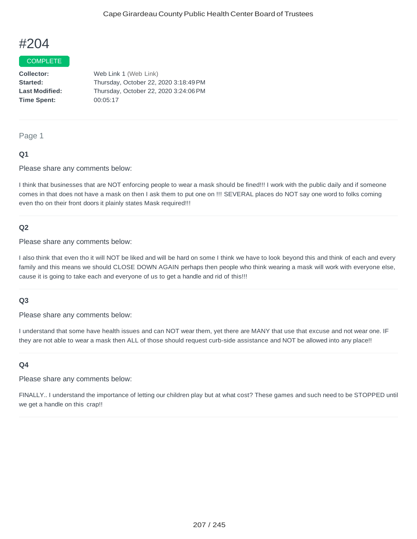### COMPLETE

**Collector:** Web Link 1 (Web Link) **Started:** Thursday, October 22, 2020 3:18:49PM **Last Modified:** Thursday, October 22, 2020 3:24:06PM **Time Spent:** 00:05:17

Page 1

## **Q1**

Please share any comments below:

I think that businesses that are NOT enforcing people to wear a mask should be fined!!! I work with the public daily and if someone comes in that does not have a mask on then I ask them to put one on !!! SEVERAL places do NOT say one word to folks coming even tho on their front doors it plainly states Mask required!!!

#### **Q2**

Please share any comments below:

I also think that even tho it will NOT be liked and will be hard on some I think we have to look beyond this and think of each and every family and this means we should CLOSE DOWN AGAIN perhaps then people who think wearing a mask will work with everyone else, cause it is going to take each and everyone of us to get a handle and rid of this!!!

#### **Q3**

Please share any comments below:

I understand that some have health issues and can NOT wear them, yet there are MANY that use that excuse and not wear one. IF they are not able to wear a mask then ALL of those should request curb-side assistance and NOT be allowed into any place!!

#### **Q4**

Please share any comments below:

FINALLY.. I understand the importance of letting our children play but at what cost? These games and such need to be STOPPED until we get a handle on this crap!!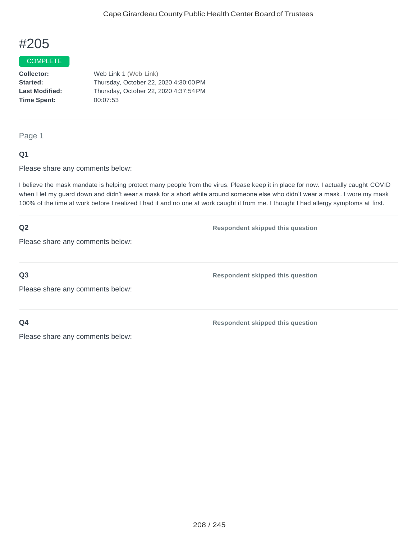### COMPLETE

**Collector:** Web Link 1 (Web Link) **Started:** Thursday, October 22, 2020 4:30:00PM **Last Modified:** Thursday, October 22, 2020 4:37:54PM **Time Spent:** 00:07:53

Page 1

## **Q1**

Please share any comments below:

I believe the mask mandate is helping protect many people from the virus. Please keep it in place for now. I actually caught COVID when I let my guard down and didn't wear a mask for a short while around someone else who didn't wear a mask. I wore my mask 100% of the time at work before I realized I had it and no one at work caught it from me. I thought I had allergy symptoms at first.

| Q2                               | <b>Respondent skipped this question</b> |
|----------------------------------|-----------------------------------------|
| Please share any comments below: |                                         |
|                                  |                                         |
| Q <sub>3</sub>                   | <b>Respondent skipped this question</b> |
| Please share any comments below: |                                         |
|                                  |                                         |
| Q <sub>4</sub>                   | <b>Respondent skipped this question</b> |
| Please share any comments below: |                                         |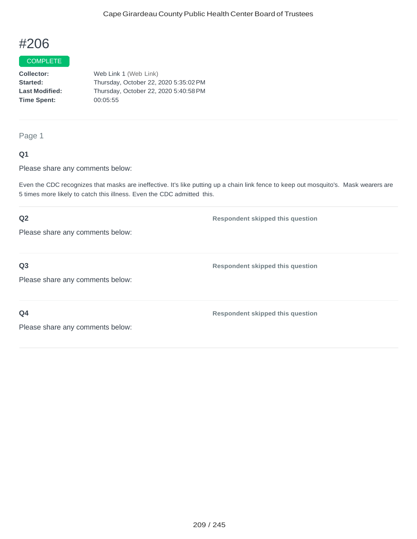#### COMPLETE

**Collector:** Web Link 1 (Web Link) **Started:** Thursday, October 22, 2020 5:35:02PM **Last Modified:** Thursday, October 22, 2020 5:40:58PM **Time Spent:** 00:05:55

Page 1

## **Q1**

Please share any comments below:

Even the CDC recognizes that masks are ineffective. It's like putting up a chain link fence to keep out mosquito's. Mask wearers are 5 times more likely to catch this illness. Even the CDC admitted this.

## **Q2** Please share any comments below: **Respondent skipped this question Q3** Please share any comments below: **Respondent skipped this question Q4** Please share any comments below: **Respondent skipped this question**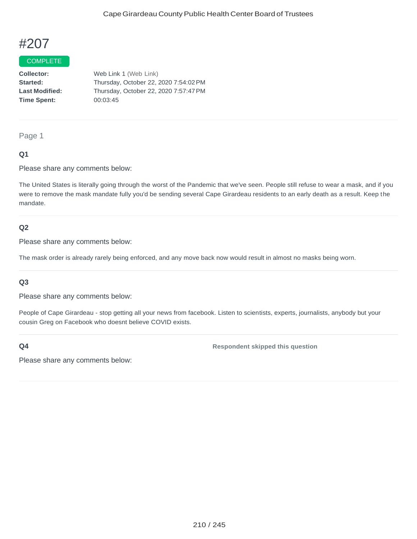### COMPLETE

**Collector:** Web Link 1 (Web Link) **Started:** Thursday, October 22, 2020 7:54:02PM **Last Modified:** Thursday, October 22, 2020 7:57:47PM **Time Spent:** 00:03:45

Page 1

## **Q1**

Please share any comments below:

The United States is literally going through the worst of the Pandemic that we've seen. People still refuse to wear a mask, and if you were to remove the mask mandate fully you'd be sending several Cape Girardeau residents to an early death as a result. Keep the mandate.

#### **Q2**

Please share any comments below:

The mask order is already rarely being enforced, and any move back now would result in almost no masks being worn.

#### **Q3**

Please share any comments below:

People of Cape Girardeau - stop getting all your news from facebook. Listen to scientists, experts, journalists, anybody but your cousin Greg on Facebook who doesnt believe COVID exists.

**Q4**

**Respondent skipped this question**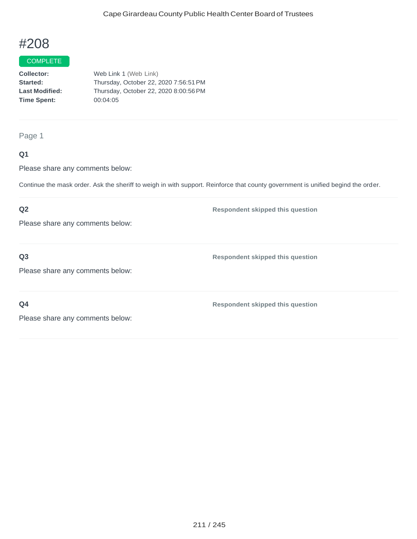### COMPLETE

**Collector:** Web Link 1 (Web Link) **Started:** Thursday, October 22, 2020 7:56:51PM **Last Modified:** Thursday, October 22, 2020 8:00:56PM **Time Spent:** 00:04:05

Page 1

## **Q1**

Please share any comments below:

Continue the mask order. Ask the sheriff to weigh in with support. Reinforce that county government is unified begind the order.

## **Q2**

Please share any comments below:

**Q3**

**Respondent skipped this question**

**Respondent skipped this question**

Please share any comments below:

**Q4**

**Respondent skipped this question**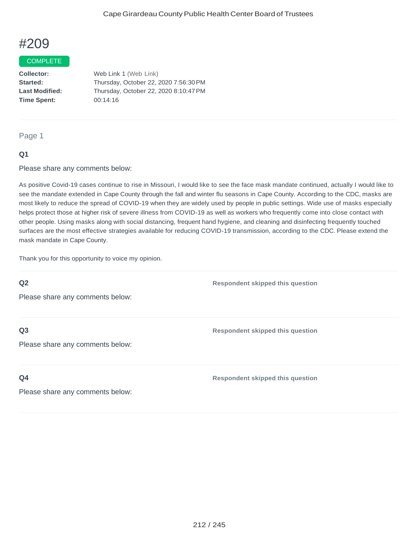#### COMPLETE

**Collector:** Web Link 1 (Web Link) **Started:** Thursday, October 22, 2020 7:56:30PM **Last Modified:** Thursday, October 22, 2020 8:10:47PM **Time Spent:** 00:14:16

#### Page 1

## **Q1**

Please share any comments below:

As positive Covid-19 cases continue to rise in Missouri, I would like to see the face mask mandate continued, actually I would like to see the mandate extended in Cape County through the fall and winter flu seasons in Cape County. According to the CDC, masks are most likely to reduce the spread of COVID-19 when they are widely used by people in public settings. Wide use of masks especially helps protect those at higher risk of severe illness from COVID-19 as well as workers who frequently come into close contact with other people. Using masks along with social distancing, frequent hand hygiene, and cleaning and disinfecting frequently touched surfaces are the most effective strategies available for reducing COVID-19 transmission, according to the CDC. Please extend the mask mandate in Cape County.

Thank you for this opportunity to voice my opinion.

## **Q2**

**Respondent skipped this question**

Please share any comments below:

## **Q3**

Please share any comments below:

**Respondent skipped this question**

## **Q4**

**Respondent skipped this question**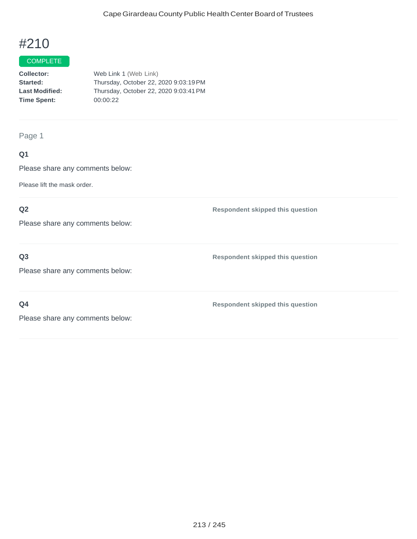### COMPLETE

**Collector:** Web Link 1 (Web Link) **Started:** Thursday, October 22, 2020 9:03:19PM **Last Modified:** Thursday, October 22, 2020 9:03:41PM **Time Spent:** 00:00:22

Page 1

## **Q1**

Please share any comments below:

Please lift the mask order.

## **Q2**

Please share any comments below:

**Q3**

Please share any comments below:

**Q4**

**Respondent skipped this question**

**Respondent skipped this question**

**Respondent skipped this question**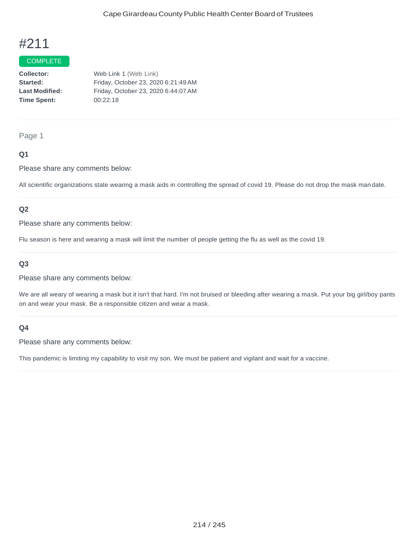#### COMPLETE

**Collector:** Web Link 1 (Web Link) **Started:** Friday, October 23, 2020 6:21:49AM **Last Modified:** Friday, October 23, 2020 6:44:07AM **Time Spent:** 00:22:18

## Page 1

## **Q1**

Please share any comments below:

All scientific organizations state wearing a mask aids in controlling the spread of covid 19. Please do not drop the mask mandate.

## **Q2**

Please share any comments below:

Flu season is here and wearing a mask will limit the number of people getting the flu as well as the covid 19.

## **Q3**

Please share any comments below:

We are all weary of wearing a mask but it isn't that hard. I'm not bruised or bleeding after wearing a mask. Put your big girl/boy pants on and wear your mask. Be a responsible citizen and wear a mask.

### **Q4**

Please share any comments below:

This pandemic is limiting my capability to visit my son. We must be patient and vigilant and wait for a vaccine.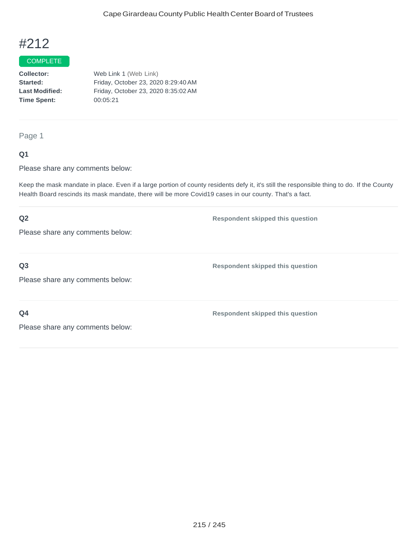### COMPLETE

**Collector:** Web Link 1 (Web Link) **Started:** Friday, October 23, 2020 8:29:40AM **Last Modified:** Friday, October 23, 2020 8:35:02AM **Time Spent:** 00:05:21

Page 1

### **Q1**

Please share any comments below:

Keep the mask mandate in place. Even if a large portion of county residents defy it, it's still the responsible thing to do. If the County Health Board rescinds its mask mandate, there will be more Covid19 cases in our county. That's a fact.

## **Q2** Please share any comments below: **Respondent skipped this question Q3** Please share any comments below: **Respondent skipped this question Q4** Please share any comments below: **Respondent skipped this question**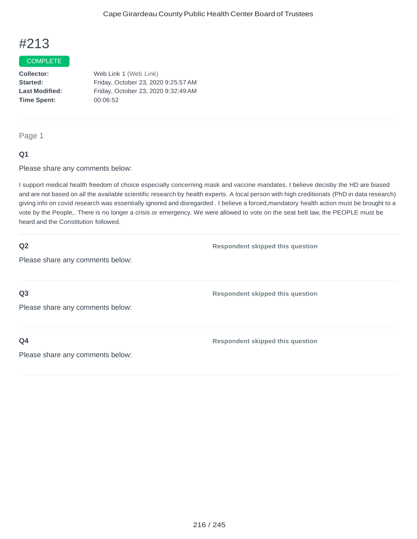### COMPLETE

**Collector:** Web Link 1 (Web Link) **Started:** Friday, October 23, 2020 9:25:57AM **Last Modified:** Friday, October 23, 2020 9:32:49AM **Time Spent:** 00:06:52

Page 1

## **Q1**

Please share any comments below:

I support medical health freedom of choice especially concerning mask and vaccine mandates. I believe decisby the HD are biased and are not based on all the available scientific research by health experts. A local person with high creditionals (PhD in data research) giving info on covid research was essentially ignored and disregarded . I believe a forced,mandatory health action must be brought to a vote by the People,. There is no longer a crisis or emergency. We were allowed to vote on the seat belt law, the PEOPLE must be heard and the Constitution followed.

## **Q2**

**Respondent skipped this question**

Please share any comments below:

**Q3**

Please share any comments below:

**Q4**

**Respondent skipped this question**

**Respondent skipped this question**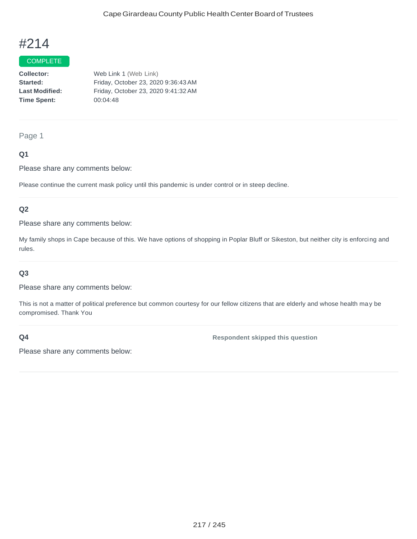#### COMPLETE

**Collector:** Web Link 1 (Web Link) **Started:** Friday, October 23, 2020 9:36:43AM **Last Modified:** Friday, October 23, 2020 9:41:32AM **Time Spent:** 00:04:48

#### Page 1

### **Q1**

Please share any comments below:

Please continue the current mask policy until this pandemic is under control or in steep decline.

#### **Q2**

Please share any comments below:

My family shops in Cape because of this. We have options of shopping in Poplar Bluff or Sikeston, but neither city is enforcing and rules.

#### **Q3**

Please share any comments below:

This is not a matter of political preference but common courtesy for our fellow citizens that are elderly and whose health may be compromised. Thank You

### **Q4**

**Respondent skipped this question**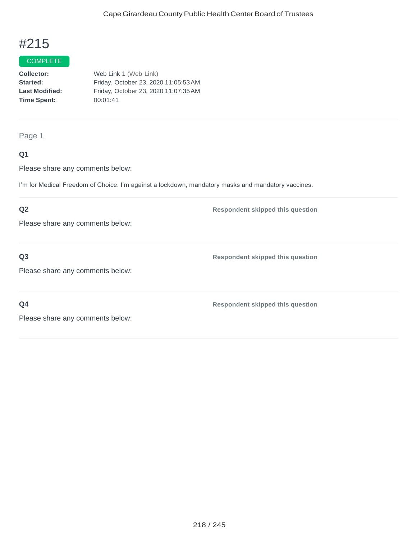#### COMPLETE

**Collector:** Web Link 1 (Web Link) **Started:** Friday, October 23, 2020 11:05:53AM **Last Modified:** Friday, October 23, 2020 11:07:35AM **Time Spent:** 00:01:41

Page 1

### **Q1**

Please share any comments below:

I'm for Medical Freedom of Choice. I'm against a lockdown, mandatory masks and mandatory vaccines.

### **Q2**

Please share any comments below:

**Q3**

**Respondent skipped this question**

**Respondent skipped this question**

Please share any comments below:

**Q4**

**Respondent skipped this question**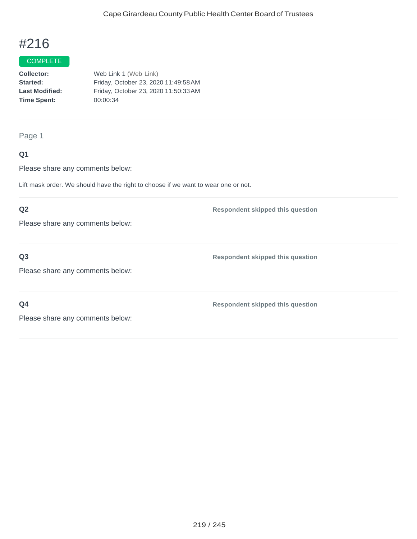### COMPLETE

**Collector:** Web Link 1 (Web Link) **Started:** Friday, October 23, 2020 11:49:58AM **Last Modified:** Friday, October 23, 2020 11:50:33AM **Time Spent:** 00:00:34

Page 1

### **Q1**

Please share any comments below:

Lift mask order. We should have the right to choose if we want to wear one or not.

#### **Q2**

Please share any comments below:

## **Q3**

Please share any comments below:

**Respondent skipped this question**

**Respondent skipped this question**

**Q4**

**Respondent skipped this question**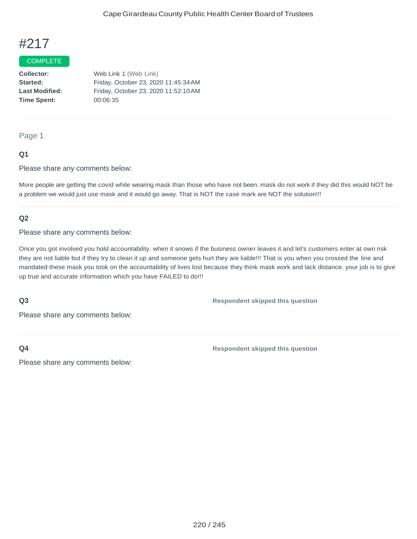### **COMPLETE**

**Collector:** Web Link 1 (Web Link) **Started:** Friday, October 23, 2020 11:45:34AM **Last Modified:** Friday, October 23, 2020 11:52:10AM **Time Spent:** 00:06:35

Page 1

#### **Q1**

Please share any comments below:

More people are getting the covid while wearing mask than those who have not been. mask do not work if they did this would NOT be a problem we would just use mask and it would go away. That is NOT the case mark are NOT the solution!!!

#### **Q2**

Please share any comments below:

Once you got involved you hold accountability. when it snows if the business owner leaves it and let's customers enter at own risk they are not liable but if they try to clean it up and someone gets hurt they are liable!!! That is you when you crossed the line and mandated these mask you took on the accountability of lives lost because they think mask work and lack distance. your job is to give up true and accurate information which you have FAILED to do!!!

#### **Q3**

**Respondent skipped this question**

Please share any comments below:

**Q4**

**Respondent skipped this question**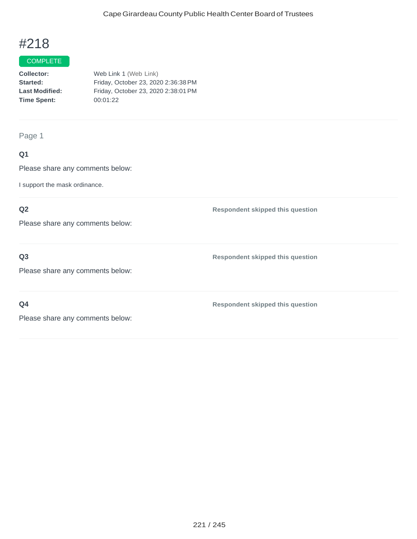#### COMPLETE

**Collector:** Web Link 1 (Web Link) **Started:** Friday, October 23, 2020 2:36:38PM **Last Modified:** Friday, October 23, 2020 2:38:01PM **Time Spent:** 00:01:22

Page 1

## **Q1**

Please share any comments below:

I support the mask ordinance.

## **Q2**

Please share any comments below:

## **Q3**

Please share any comments below:

**Q4**

**Respondent skipped this question**

**Respondent skipped this question**

**Respondent skipped this question**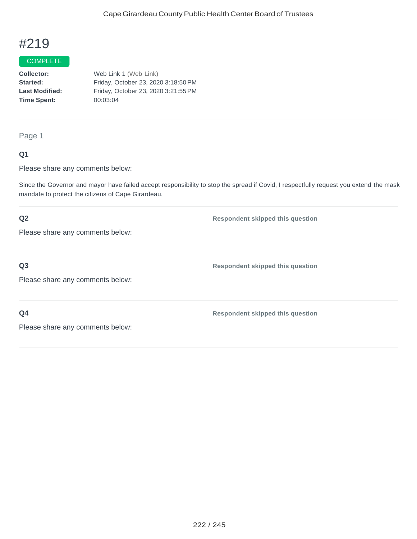#### **COMPLETE**

**Collector:** Web Link 1 (Web Link) **Started:** Friday, October 23, 2020 3:18:50PM **Last Modified:** Friday, October 23, 2020 3:21:55PM **Time Spent:** 00:03:04

Page 1

#### **Q1**

Please share any comments below:

Since the Governor and mayor have failed accept responsibility to stop the spread if Covid, I respectfully request you extend the mask mandate to protect the citizens of Cape Girardeau.

**Respondent skipped this question**

**Respondent skipped this question**

**Respondent skipped this question**

## **Q2**

Please share any comments below:

**Q3**

Please share any comments below:

**Q4**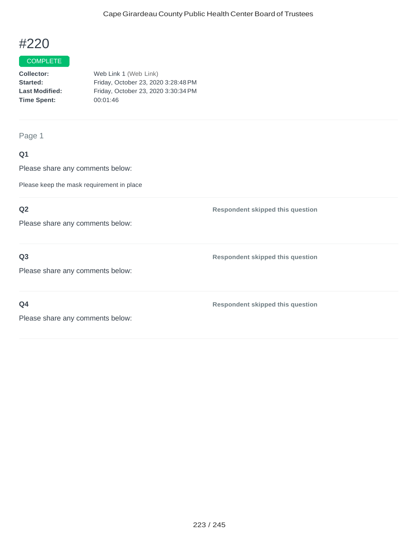#### COMPLETE

**Collector:** Web Link 1 (Web Link) **Started:** Friday, October 23, 2020 3:28:48PM **Last Modified:** Friday, October 23, 2020 3:30:34PM **Time Spent:** 00:01:46

Page 1

## **Q1**

Please share any comments below:

Please keep the mask requirement in place

### **Q2**

Please share any comments below:

## **Q3**

Please share any comments below:

**Q4**

**Respondent skipped this question**

**Respondent skipped this question**

**Respondent skipped this question**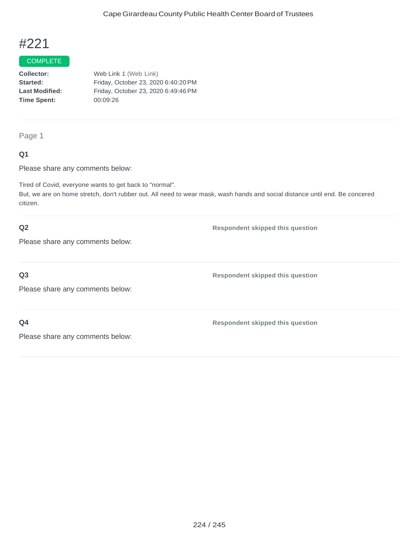#### COMPLETE

**Collector:** Web Link 1 (Web Link) **Started:** Friday, October 23, 2020 6:40:20PM **Last Modified:** Friday, October 23, 2020 6:49:46PM **Time Spent:** 00:09:26

Page 1

#### **Q1**

Please share any comments below:

Tired of Covid, everyone wants to get back to "normal".

But, we are on home stretch, don't rubber out. All need to wear mask, wash hands and social distance until end. Be concered citizen.

### **Q2**

**Respondent skipped this question**

**Respondent skipped this question**

**Respondent skipped this question**

Please share any comments below:

#### **Q3**

Please share any comments below:

## **Q4**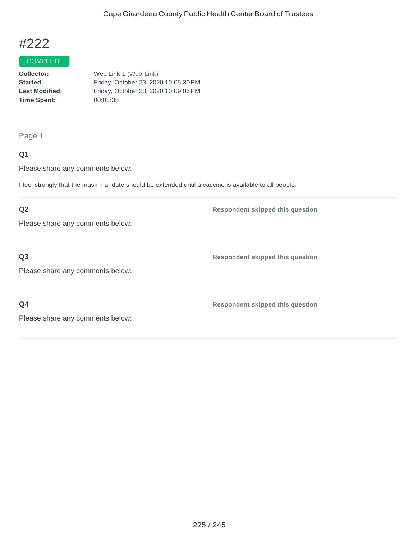#### **COMPLETE**

**Collector:** Web Link 1 (Web Link) **Started:** Friday, October 23, 2020 10:05:30PM **Last Modified:** Friday, October 23, 2020 10:09:05PM **Time Spent:** 00:03:35

Page 1

## **Q1**

Please share any comments below:

I feel strongly that the mask mandate should be extended until a vaccine is available to all people.

### **Q2**

Please share any comments below:

**Q3**

**Respondent skipped this question**

**Respondent skipped this question**

Please share any comments below:

**Q4**

**Respondent skipped this question**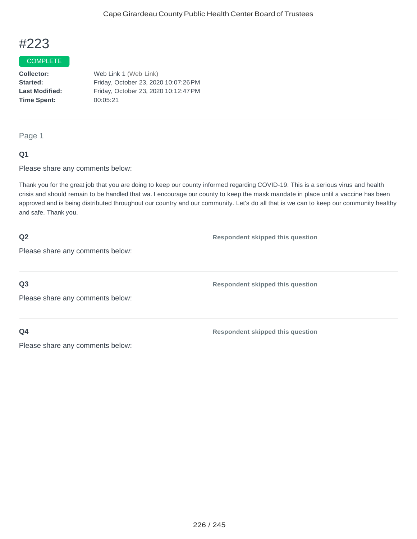#### COMPLETE

**Collector:** Web Link 1 (Web Link) **Started:** Friday, October 23, 2020 10:07:26PM **Last Modified:** Friday, October 23, 2020 10:12:47PM **Time Spent:** 00:05:21

Page 1

#### **Q1**

Please share any comments below:

Thank you for the great job that you are doing to keep our county informed regarding COVID-19. This is a serious virus and health crisis and should remain to be handled that wa. I encourage our county to keep the mask mandate in place until a vaccine has been approved and is being distributed throughout our country and our community. Let's do all that is we can to keep our community healthy and safe. Thank you.

| Q2                               | <b>Respondent skipped this question</b> |
|----------------------------------|-----------------------------------------|
| Please share any comments below: |                                         |
|                                  |                                         |
| Q3                               | <b>Respondent skipped this question</b> |
| Please share any comments below: |                                         |
|                                  |                                         |
| Q <sub>4</sub>                   | <b>Respondent skipped this question</b> |
| Please share any comments below: |                                         |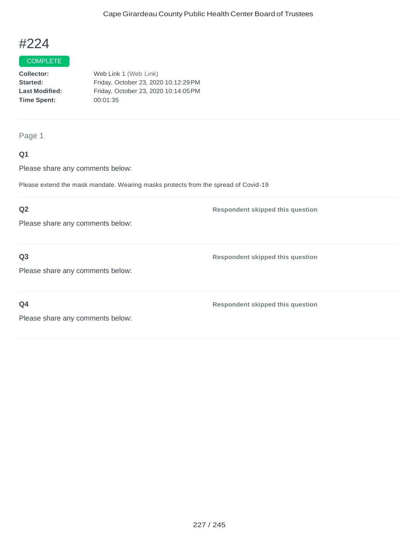#### **COMPLETE**

**Collector:** Web Link 1 (Web Link) **Started:** Friday, October 23, 2020 10:12:29PM **Last Modified:** Friday, October 23, 2020 10:14:05PM **Time Spent:** 00:01:35

#### Page 1

### **Q1**

Please share any comments below:

Please extend the mask mandate. Wearing masks protects from the spread of Covid-19

### **Q2**

Please share any comments below:

## **Q3**

**Respondent skipped this question**

Please share any comments below:

**Q4**

**Respondent skipped this question**

**Respondent skipped this question**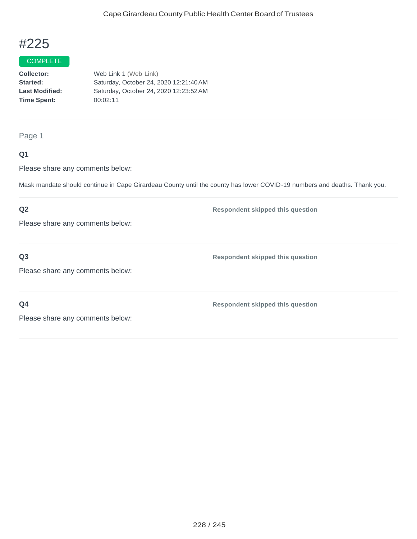#### COMPLETE

**Collector:** Web Link 1 (Web Link) **Started:** Saturday, October 24, 2020 12:21:40AM **Last Modified:** Saturday, October 24, 2020 12:23:52AM **Time Spent:** 00:02:11

Page 1

### **Q1**

Please share any comments below:

Mask mandate should continue in Cape Girardeau County until the county has lower COVID-19 numbers and deaths. Thank you.

### **Q2**

Please share any comments below:

**Q3**

**Respondent skipped this question**

**Respondent skipped this question**

Please share any comments below:

**Q4**

**Respondent skipped this question**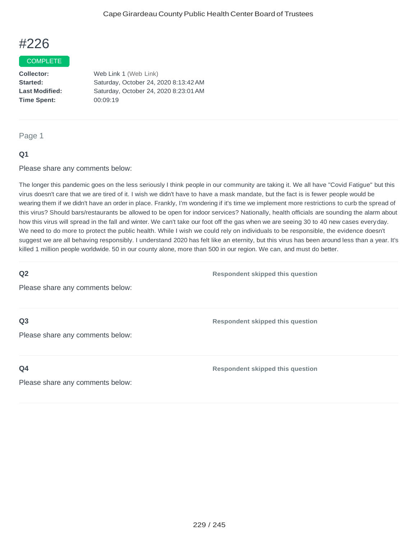#### COMPLETE

**Collector:** Web Link 1 (Web Link) **Started:** Saturday, October 24, 2020 8:13:42AM **Last Modified:** Saturday, October 24, 2020 8:23:01AM **Time Spent:** 00:09:19

#### Page 1

#### **Q1**

Please share any comments below:

The longer this pandemic goes on the less seriously I think people in our community are taking it. We all have "Covid Fatigue" but this virus doesn't care that we are tired of it. I wish we didn't have to have a mask mandate, but the fact is is fewer people would be wearing them if we didn't have an order in place. Frankly, I'm wondering if it's time we implement more restrictions to curb the spread of this virus? Should bars/restaurants be allowed to be open for indoor services? Nationally, health officials are sounding the alarm about how this virus will spread in the fall and winter. We can't take our foot off the gas when we are seeing 30 to 40 new cases everyday. We need to do more to protect the public health. While I wish we could rely on individuals to be responsible, the evidence doesn't suggest we are all behaving responsibly. I understand 2020 has felt like an eternity, but this virus has been around less than a year. It's killed 1 million people worldwide. 50 in our county alone, more than 500 in our region. We can, and must do better.

### **Q2**

**Respondent skipped this question**

Please share any comments below:

### **Q3**

Please share any comments below:

#### **Q4**

**Respondent skipped this question**

**Respondent skipped this question**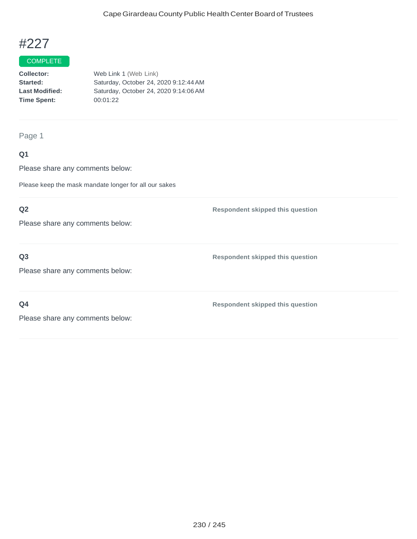#### COMPLETE

**Collector:** Web Link 1 (Web Link) **Started:** Saturday, October 24, 2020 9:12:44AM **Last Modified:** Saturday, October 24, 2020 9:14:06AM **Time Spent:** 00:01:22

Page 1

## **Q1**

Please share any comments below:

Please keep the mask mandate longer for all our sakes

## **Q2**

Please share any comments below:

## **Q3**

Please share any comments below:

**Q4**

**Respondent skipped this question**

**Respondent skipped this question**

**Respondent skipped this question**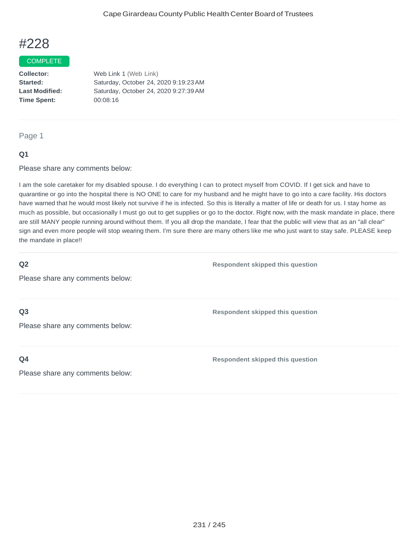#### COMPLETE

**Collector:** Web Link 1 (Web Link) **Started:** Saturday, October 24, 2020 9:19:23AM **Last Modified:** Saturday, October 24, 2020 9:27:39AM **Time Spent:** 00:08:16

Page 1

#### **Q1**

Please share any comments below:

I am the sole caretaker for my disabled spouse. I do everything I can to protect myself from COVID. If I get sick and have to quarantine or go into the hospital there is NO ONE to care for my husband and he might have to go into a care facility. His doctors have warned that he would most likely not survive if he is infected. So this is literally a matter of life or death for us. I stay home as much as possible, but occasionally I must go out to get supplies or go to the doctor. Right now, with the mask mandate in place, there are still MANY people running around without them. If you all drop the mandate, I fear that the public will view that as an "all clear" sign and even more people will stop wearing them. I'm sure there are many others like me who just want to stay safe. PLEASE keep the mandate in place!!

#### **Q2**

Please share any comments below:

**Q3**

Please share any comments below:

**Q4**

**Respondent skipped this question**

**Respondent skipped this question**

**Respondent skipped this question**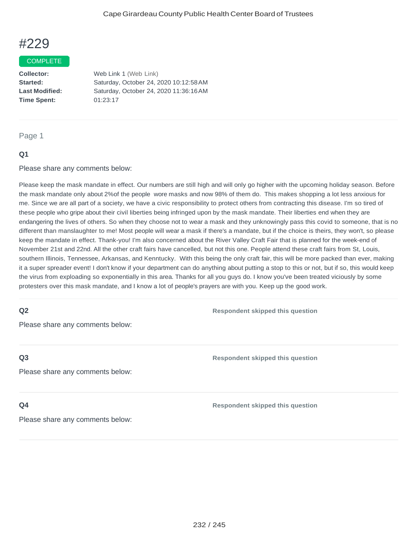#### COMPLETE

**Time Spent:** 01:23:17

**Collector:** Web Link 1 (Web Link) **Started:** Saturday, October 24, 2020 10:12:58AM **Last Modified:** Saturday, October 24, 2020 11:36:16AM

#### Page 1

#### **Q1**

Please share any comments below:

Please keep the mask mandate in effect. Our numbers are still high and will only go higher with the upcoming holiday season. Before the mask mandate only about 2%of the people wore masks and now 98% of them do. This makes shopping a lot less anxious for me. Since we are all part of a society, we have a civic responsibility to protect others from contracting this disease. I'm so tired of these people who gripe about their civil liberties being infringed upon by the mask mandate. Their liberties end when they are endangering the lives of others. So when they choose not to wear a mask and they unknowingly pass this covid to someone, that is no different than manslaughter to me! Most people will wear a mask if there's a mandate, but if the choice is theirs, they won't, so please keep the mandate in effect. Thank-you! I'm also concerned about the River Valley Craft Fair that is planned for the week-end of November 21st and 22nd. All the other craft fairs have cancelled, but not this one. People attend these craft fairs from St, Louis, southern Illinois, Tennessee, Arkansas, and Kenntucky. With this being the only craft fair, this will be more packed than ever, making it a super spreader event! I don't know if your department can do anything about putting a stop to this or not, but if so, this would keep the virus from exploading so exponentially in this area. Thanks for all you guys do. I know you've been treated viciously by some protesters over this mask mandate, and I know a lot of people's prayers are with you. Keep up the good work.

## **Q2**

Please share any comments below:

#### **Q3**

Please share any comments below:

#### **Q4**

**Respondent skipped this question**

**Respondent skipped this question**

**Respondent skipped this question**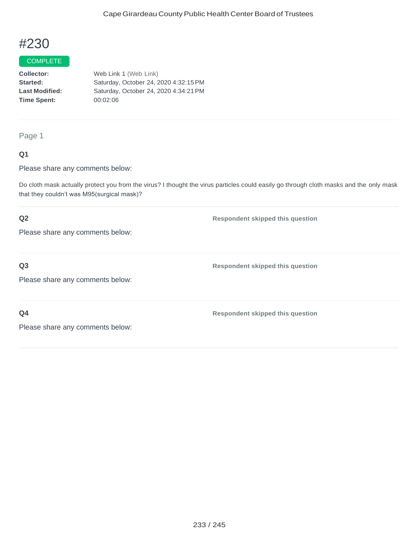#### COMPLETE

**Collector:** Web Link 1 (Web Link) **Started:** Saturday, October 24, 2020 4:32:15PM **Last Modified:** Saturday, October 24, 2020 4:34:21PM **Time Spent:** 00:02:06

Page 1

### **Q1**

Please share any comments below:

Do cloth mask actually protect you from the virus? I thought the virus particles could easily go through cloth masks and the only mask that they couldn't was M95(surgical mask)?

## **Q2**

Please share any comments below:

## **Q3**

Please share any comments below:

**Respondent skipped this question**

**Respondent skipped this question**

**Respondent skipped this question**

**Q4**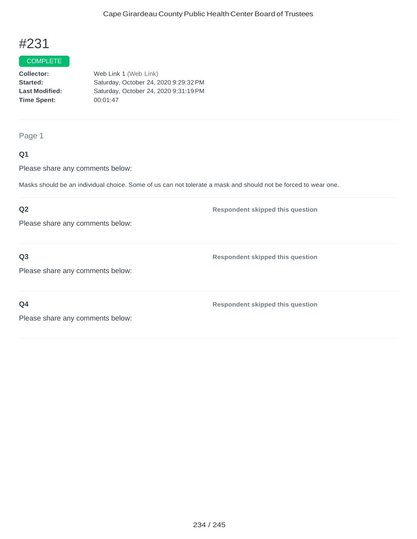#### COMPLETE

**Collector:** Web Link 1 (Web Link) **Started:** Saturday, October 24, 2020 9:29:32PM **Last Modified:** Saturday, October 24, 2020 9:31:19PM **Time Spent:** 00:01:47

Page 1

### **Q1**

Please share any comments below:

Masks should be an individual choice. Some of us can not tolerate a mask and should not be forced to wear one.

### **Q2**

Please share any comments below:

**Q3**

**Respondent skipped this question**

Please share any comments below:

**Q4**

**Respondent skipped this question**

**Respondent skipped this question**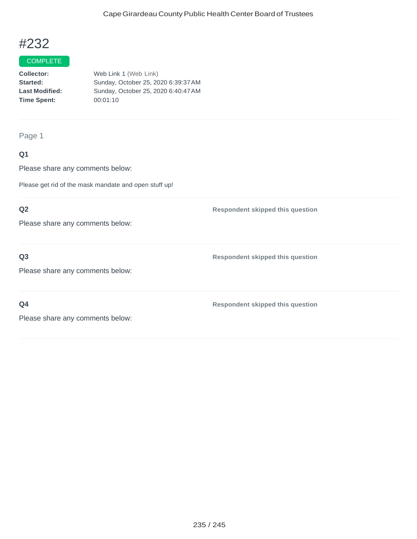#### COMPLETE

**Collector:** Web Link 1 (Web Link) **Started:** Sunday, October 25, 2020 6:39:37AM **Last Modified:** Sunday, October 25, 2020 6:40:47AM **Time Spent:** 00:01:10

Page 1

## **Q1**

Please share any comments below:

Please get rid of the mask mandate and open stuff up!

## **Q2**

Please share any comments below:

## **Q3**

Please share any comments below:

**Q4**

**Respondent skipped this question**

**Respondent skipped this question**

**Respondent skipped this question**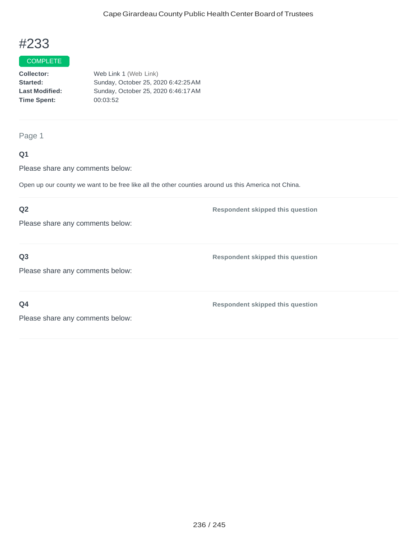#### COMPLETE

**Collector:** Web Link 1 (Web Link) **Started:** Sunday, October 25, 2020 6:42:25AM **Last Modified:** Sunday, October 25, 2020 6:46:17AM **Time Spent:** 00:03:52

Page 1

## **Q1**

Please share any comments below:

Open up our county we want to be free like all the other counties around us this America not China.

### **Q2**

Please share any comments below:

## **Q3**

Please share any comments below:

**Q4**

**Respondent skipped this question**

**Respondent skipped this question**

**Respondent skipped this question**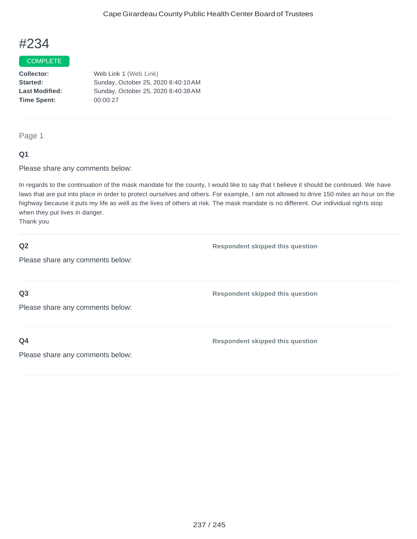#### COMPLETE

**Collector:** Web Link 1 (Web Link) **Started:** Sunday, October 25, 2020 8:40:10AM **Last Modified:** Sunday, October 25, 2020 8:40:38AM **Time Spent:** 00:00:27

Page 1

#### **Q1**

Please share any comments below:

In regards to the continuation of the mask mandate for the county, I would like to say that I believe it should be continued. We have laws that are put into place in order to protect ourselves and others. For example, I am not allowed to drive 150 miles an hour on the highway because it puts my life as well as the lives of others at risk. The mask mandate is no different. Our individual rights stop when they put lives in danger.

Thank you

#### **Q2**

**Respondent skipped this question**

Please share any comments below:

**Q3**

Please share any comments below:

**Q4**

**Respondent skipped this question**

**Respondent skipped this question**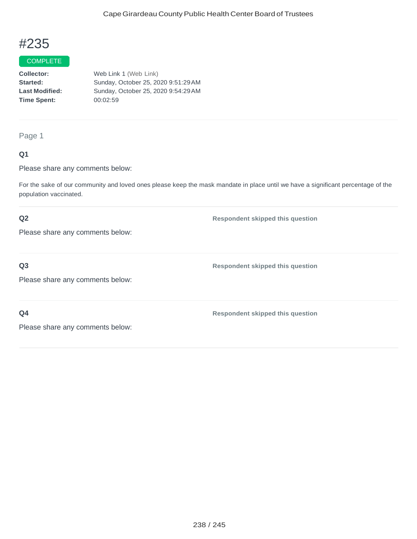#### COMPLETE

**Collector:** Web Link 1 (Web Link) **Started:** Sunday, October 25, 2020 9:51:29AM **Last Modified:** Sunday, October 25, 2020 9:54:29AM **Time Spent:** 00:02:59

Page 1

#### **Q1**

Please share any comments below:

For the sake of our community and loved ones please keep the mask mandate in place until we have a significant percentage of the population vaccinated.

### **Q2**

**Respondent skipped this question**

Please share any comments below:

**Q3**

Please share any comments below:

**Respondent skipped this question**

**Respondent skipped this question**

**Q4**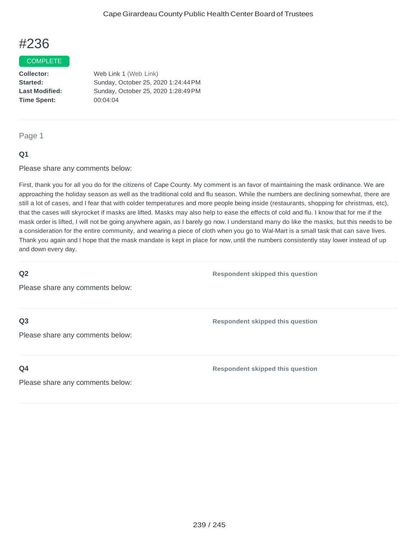#### **COMPLETE**

**Collector:** Web Link 1 (Web Link) **Started:** Sunday, October 25, 2020 1:24:44PM **Last Modified:** Sunday, October 25, 2020 1:28:49PM **Time Spent:** 00:04:04

Page 1

#### **Q1**

Please share any comments below:

First, thank you for all you do for the citizens of Cape County. My comment is an favor of maintaining the mask ordinance. We are approaching the holiday season as well as the traditional cold and flu season. While the numbers are declining somewhat, there are still a lot of cases, and I fear that with colder temperatures and more people being inside (restaurants, shopping for christmas, etc), that the cases will skyrocket if masks are lifted. Masks may also help to ease the effects of cold and flu. I know that for me if the mask order is lifted, I will not be going anywhere again, as I barely go now. I understand many do like the masks, but this needs to be a consideration for the entire community, and wearing a piece of cloth when you go to Wal-Mart is a small task that can save lives. Thank you again and I hope that the mask mandate is kept in place for now, until the numbers consistently stay lower instead of up and down every day.

#### **Q2**

**Respondent skipped this question**

Please share any comments below:

### **Q3**

Please share any comments below:

**Q4**

**Respondent skipped this question**

**Respondent skipped this question**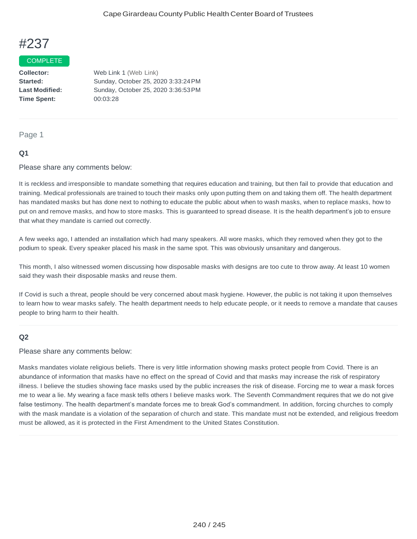#### COMPLETE

**Collector:** Web Link 1 (Web Link) **Time Spent:** 00:03:28

**Started:** Sunday, October 25, 2020 3:33:24PM **Last Modified:** Sunday, October 25, 2020 3:36:53PM

#### Page 1

### **Q1**

Please share any comments below:

It is reckless and irresponsible to mandate something that requires education and training, but then fail to provide that education and training. Medical professionals are trained to touch their masks only upon putting them on and taking them off. The health department has mandated masks but has done next to nothing to educate the public about when to wash masks, when to replace masks, how to put on and remove masks, and how to store masks. This is guaranteed to spread disease. It is the health department's job to ensure that what they mandate is carried out correctly.

A few weeks ago, I attended an installation which had many speakers. All wore masks, which they removed when they got to the podium to speak. Every speaker placed his mask in the same spot. This was obviously unsanitary and dangerous.

This month, I also witnessed women discussing how disposable masks with designs are too cute to throw away. At least 10 women said they wash their disposable masks and reuse them.

If Covid is such a threat, people should be very concerned about mask hygiene. However, the public is not taking it upon themselves to learn how to wear masks safely. The health department needs to help educate people, or it needs to remove a mandate that causes people to bring harm to their health.

#### **Q2**

Please share any comments below:

Masks mandates violate religious beliefs. There is very little information showing masks protect people from Covid. There is an abundance of information that masks have no effect on the spread of Covid and that masks may increase the risk of respiratory illness. I believe the studies showing face masks used by the public increases the risk of disease. Forcing me to wear a mask forces me to wear a lie. My wearing a face mask tells others I believe masks work. The Seventh Commandment requires that we do not give false testimony. The health department's mandate forces me to break God's commandment. In addition, forcing churches to comply with the mask mandate is a violation of the separation of church and state. This mandate must not be extended, and religious freedom must be allowed, as it is protected in the First Amendment to the United States Constitution.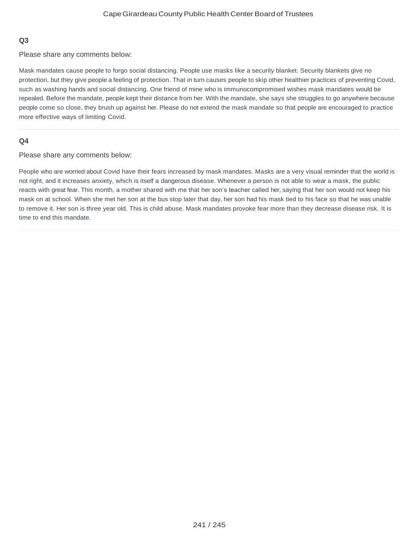### **Q3**

Please share any comments below:

Mask mandates cause people to forgo social distancing. People use masks like a security blanket. Security blankets give no protection, but they give people a feeling of protection. That in turn causes people to skip other healthier practices of preventing Covid, such as washing hands and social distancing. One friend of mine who is immunocompromised wishes mask mandates would be repealed. Before the mandate, people kept their distance from her. With the mandate, she says she struggles to go anywhere because people come so close, they brush up against her. Please do not extend the mask mandate so that people are encouraged to practice more effective ways of limiting Covid.

#### **Q4**

Please share any comments below:

People who are worried about Covid have their fears increased by mask mandates. Masks are a very visual reminder that the world is not right, and it increases anxiety, which is itself a dangerous disease. Whenever a person is not able to wear a mask, the public reacts with great fear. This month, a mother shared with me that her son's teacher called her, saying that her son would not keep his mask on at school. When she met her son at the bus stop later that day, her son had his mask tied to his face so that he was unable to remove it. Her son is three year old. This is child abuse. Mask mandates provoke fear more than they decrease disease risk. It is time to end this mandate.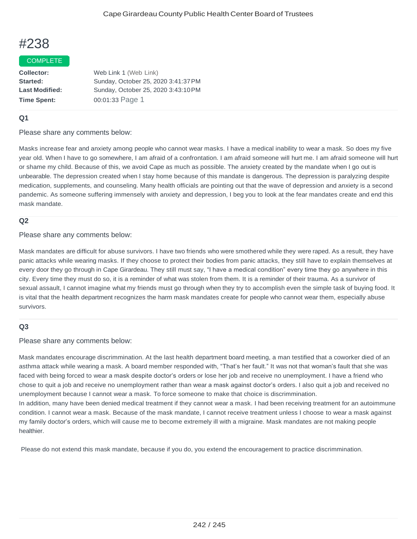#### COMPLETE

| Web Link 1 (Web Link)               |
|-------------------------------------|
| Sunday, October 25, 2020 3:41:37 PM |
| Sunday, October 25, 2020 3:43:10 PM |
| 00:01:33 Page 1                     |
|                                     |

#### **Q1**

#### Please share any comments below:

Masks increase fear and anxiety among people who cannot wear masks. I have a medical inability to wear a mask. So does my five year old. When I have to go somewhere, I am afraid of a confrontation. I am afraid someone will hurt me. I am afraid someone will hurt or shame my child. Because of this, we avoid Cape as much as possible. The anxiety created by the mandate when I go out is unbearable. The depression created when I stay home because of this mandate is dangerous. The depression is paralyzing despite medication, supplements, and counseling. Many health officials are pointing out that the wave of depression and anxiety is a second pandemic. As someone suffering immensely with anxiety and depression, I beg you to look at the fear mandates create and end this mask mandate.

#### **Q2**

#### Please share any comments below:

Mask mandates are difficult for abuse survivors. I have two friends who were smothered while they were raped. As a result, they have panic attacks while wearing masks. If they choose to protect their bodies from panic attacks, they still have to explain themselves at every door they go through in Cape Girardeau. They still must say, "I have a medical condition" every time they go anywhere in this city. Every time they must do so, it is a reminder of what was stolen from them. It is a reminder of their trauma. As a survivor of sexual assault, I cannot imagine what my friends must go through when they try to accomplish even the simple task of buying food. It is vital that the health department recognizes the harm mask mandates create for people who cannot wear them, especially abuse survivors.

#### **Q3**

#### Please share any comments below:

Mask mandates encourage discrimmination. At the last health department board meeting, a man testified that a coworker died of an asthma attack while wearing a mask. A board member responded with, "That's her fault." It was not that woman's fault that she was faced with being forced to wear a mask despite doctor's orders or lose her job and receive no unemployment. I have a friend who chose to quit a job and receive no unemployment rather than wear a mask against doctor's orders. I also quit a job and received no unemployment because I cannot wear a mask. To force someone to make that choice is discrimmination. In addition, many have been denied medical treatment if they cannot wear a mask. I had been receiving treatment for an autoimmune

condition. I cannot wear a mask. Because of the mask mandate, I cannot receive treatment unless I choose to wear a mask against my family doctor's orders, which will cause me to become extremely ill with a migraine. Mask mandates are not making people healthier.

Please do not extend this mask mandate, because if you do, you extend the encouragement to practice discrimmination.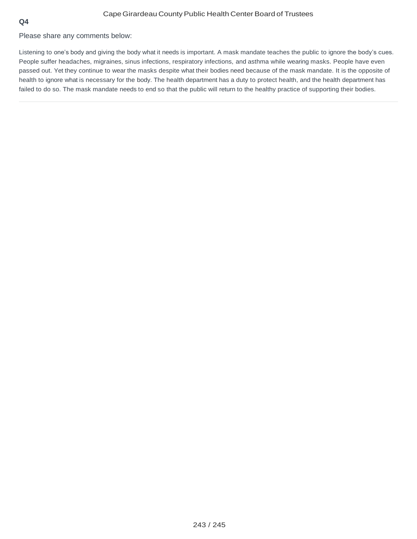Please share any comments below:

Listening to one's body and giving the body what it needs is important. A mask mandate teaches the public to ignore the body's cues. People suffer headaches, migraines, sinus infections, respiratory infections, and asthma while wearing masks. People have even passed out. Yet they continue to wear the masks despite what their bodies need because of the mask mandate. It is the opposite of health to ignore what is necessary for the body. The health department has a duty to protect health, and the health department has failed to do so. The mask mandate needs to end so that the public will return to the healthy practice of supporting their bodies.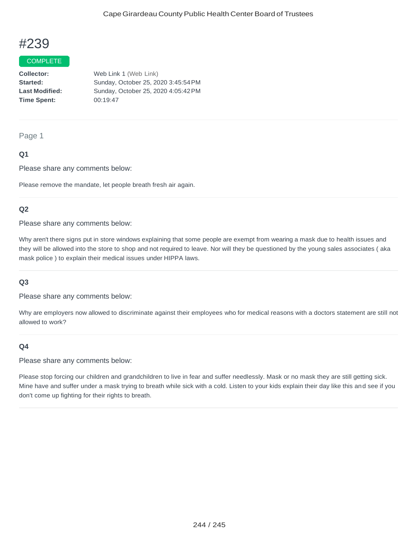#### COMPLETE

**Collector:** Web Link 1 (Web Link) **Started:** Sunday, October 25, 2020 3:45:54PM **Last Modified:** Sunday, October 25, 2020 4:05:42PM **Time Spent:** 00:19:47

#### Page 1

#### **Q1**

Please share any comments below:

Please remove the mandate, let people breath fresh air again.

#### **Q2**

Please share any comments below:

Why aren't there signs put in store windows explaining that some people are exempt from wearing a mask due to health issues and they will be allowed into the store to shop and not required to leave. Nor will they be questioned by the young sales associates ( aka mask police ) to explain their medical issues under HIPPA laws.

#### **Q3**

Please share any comments below:

Why are employers now allowed to discriminate against their employees who for medical reasons with a doctors statement are still not allowed to work?

#### **Q4**

Please share any comments below:

Please stop forcing our children and grandchildren to live in fear and suffer needlessly. Mask or no mask they are still getting sick. Mine have and suffer under a mask trying to breath while sick with a cold. Listen to your kids explain their day like this and see if you don't come up fighting for their rights to breath.